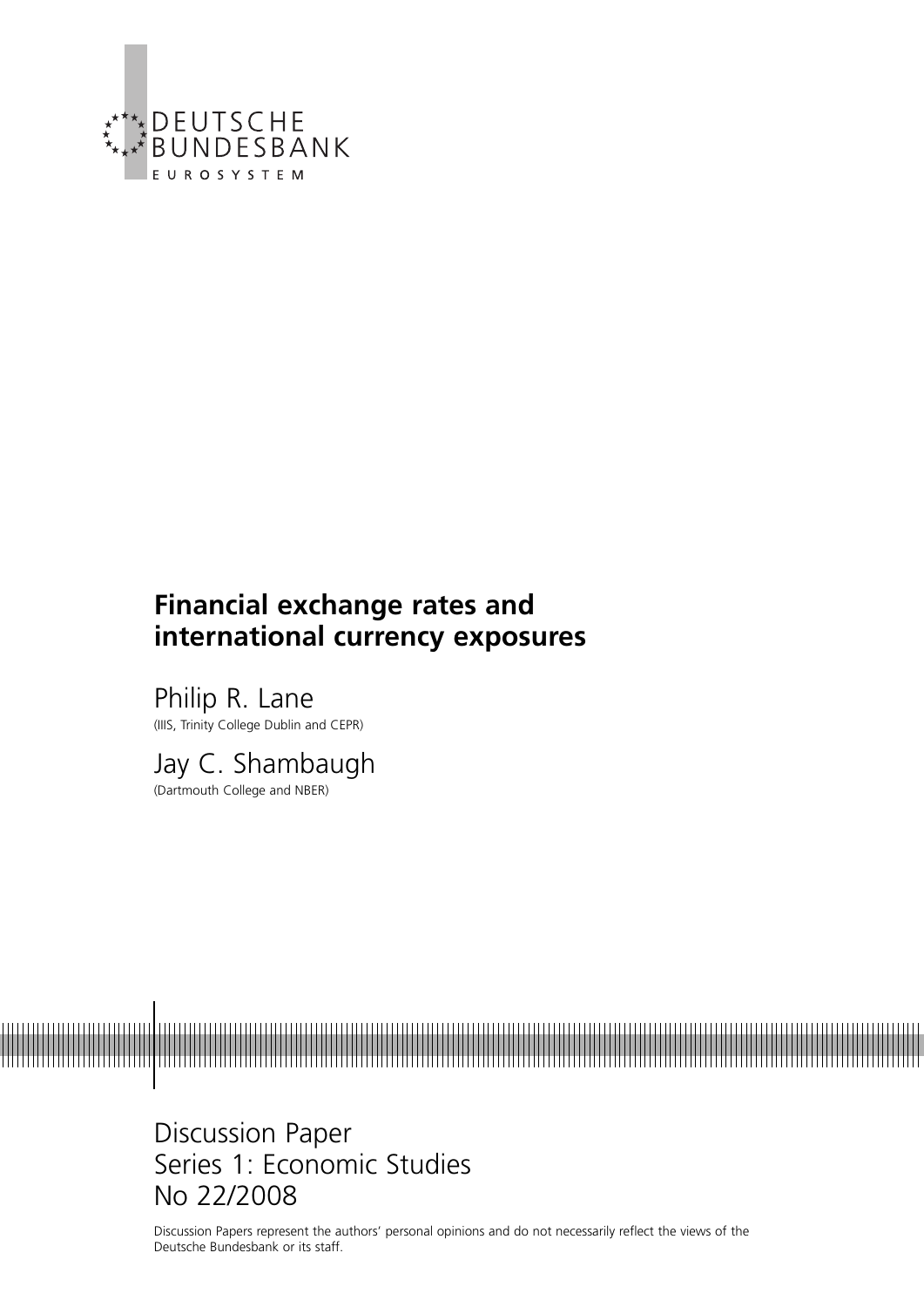

# **Financial exchange rates and international currency exposures**

Philip R. Lane (IIIS, Trinity College Dublin and CEPR)

Jay C. Shambaugh (Dartmouth College and NBER)

Discussion Paper Series 1: Economic Studies No 22/2008

Discussion Papers represent the authors' personal opinions and do not necessarily reflect the views of the Deutsche Bundesbank or its staff.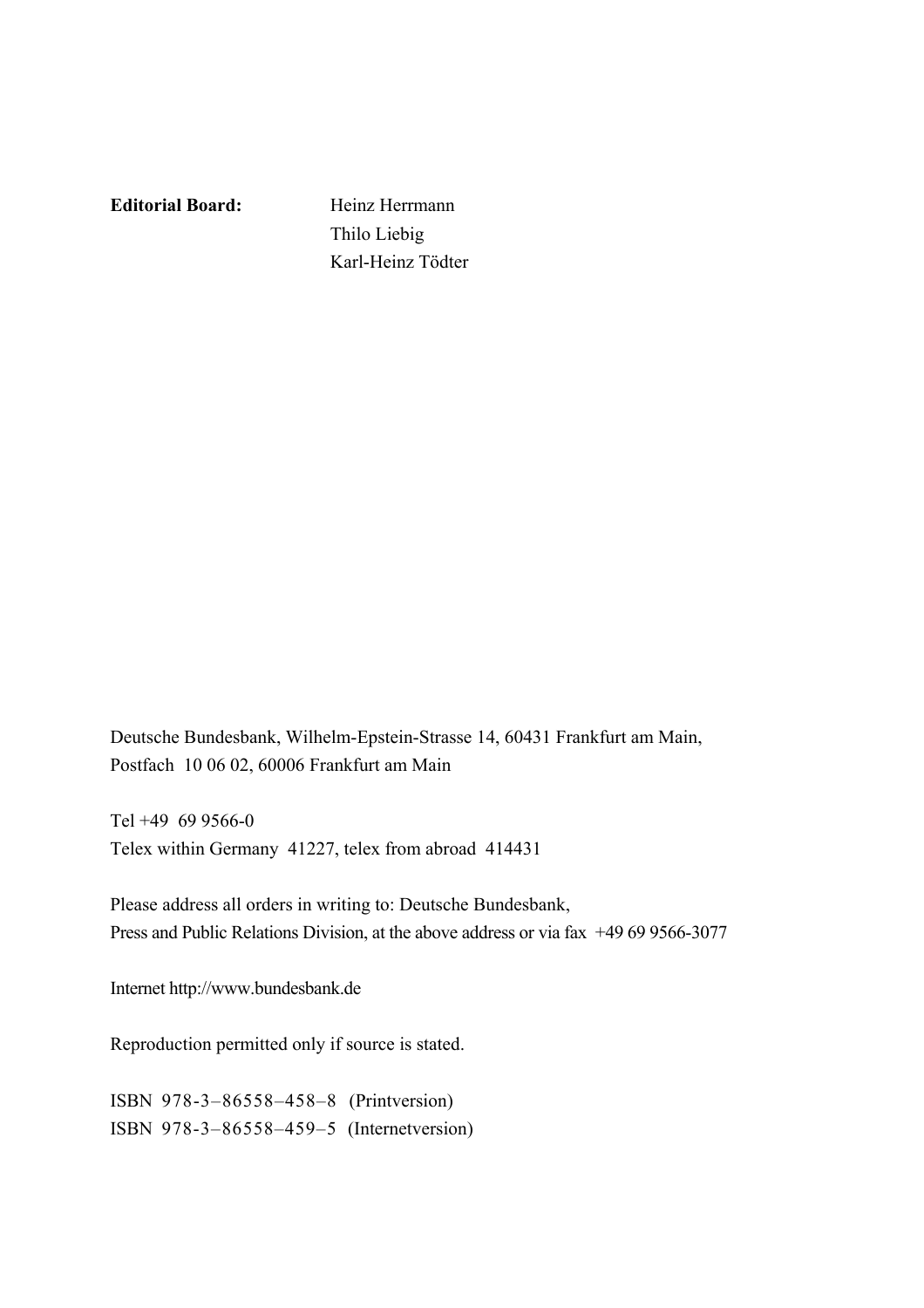**Editorial Board:** Heinz Herrmann

 Thilo Liebig Karl-Heinz Tödter

Deutsche Bundesbank, Wilhelm-Epstein-Strasse 14, 60431 Frankfurt am Main, Postfach 10 06 02, 60006 Frankfurt am Main

Tel +49 69 9566-0 Telex within Germany 41227, telex from abroad 414431

Please address all orders in writing to: Deutsche Bundesbank, Press and Public Relations Division, at the above address or via fax +49 69 9566-3077

Internet http://www.bundesbank.de

Reproduction permitted only if source is stated.

ISBN 978-3–86558–458–8 (Printversion) ISBN 978-3–86558–459–5 (Internetversion)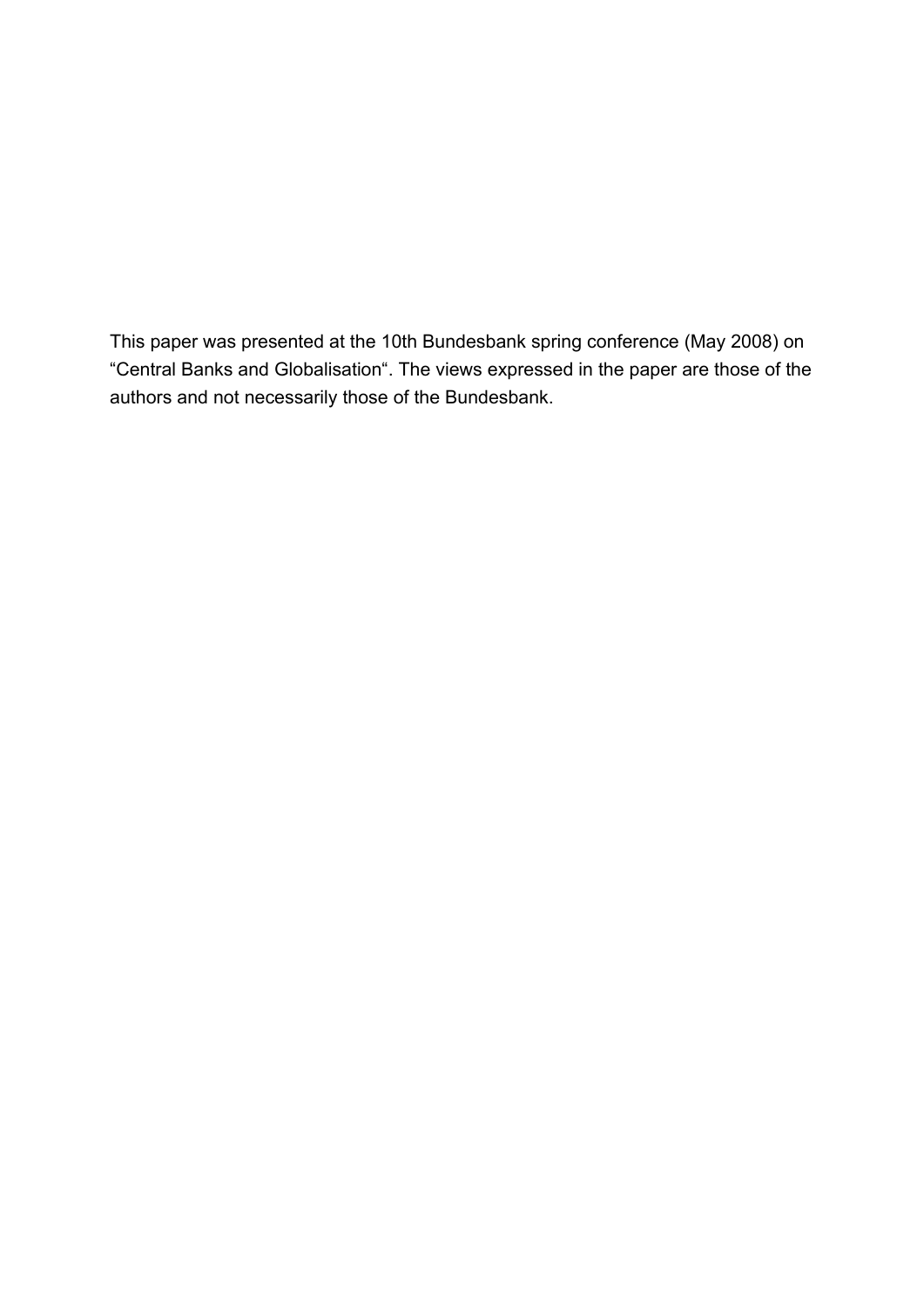This paper was presented at the 10th Bundesbank spring conference (May 2008) on "Central Banks and Globalisation". The views expressed in the paper are those of the authors and not necessarily those of the Bundesbank.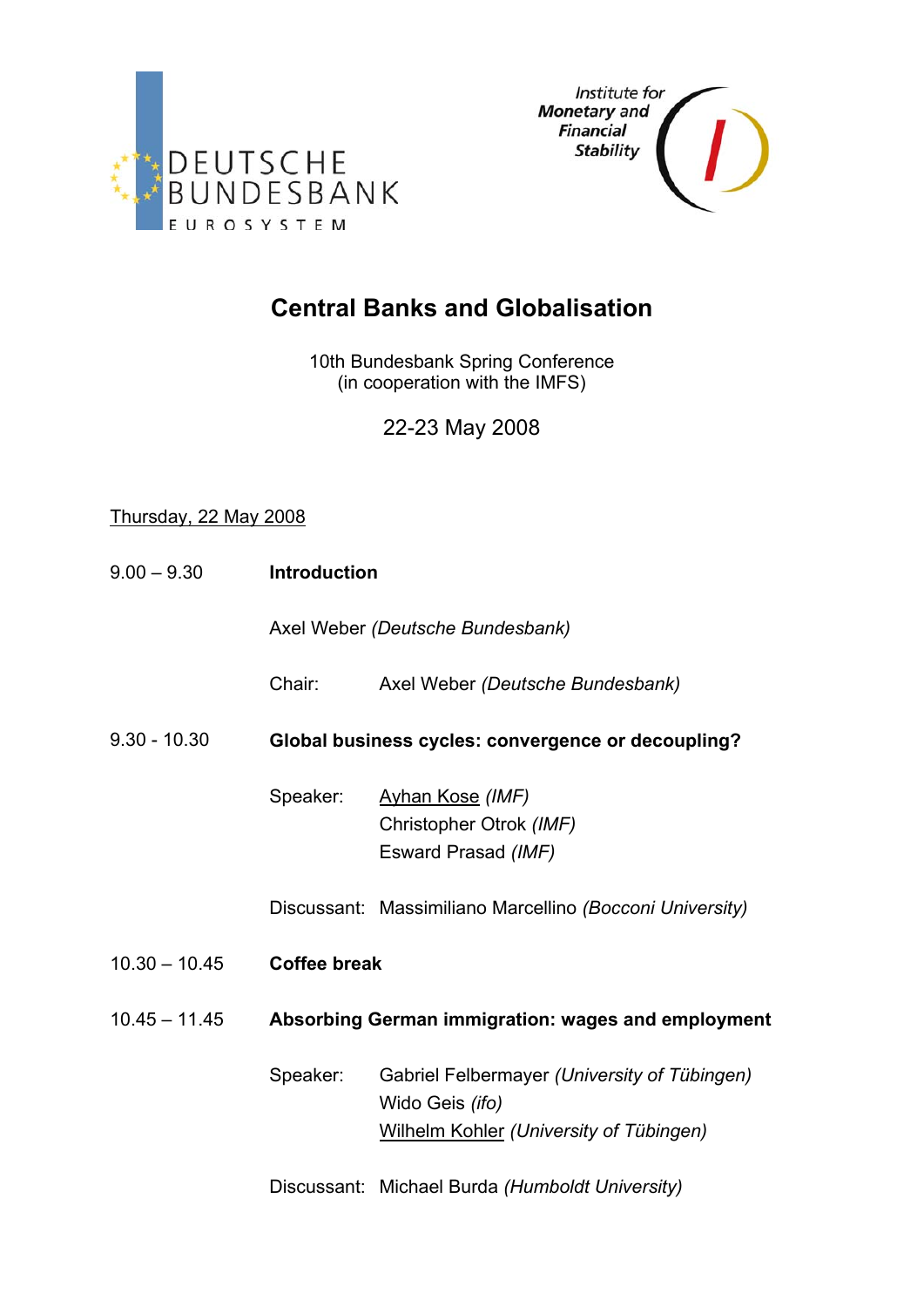



# **Central Banks and Globalisation**

10th Bundesbank Spring Conference (in cooperation with the IMFS)

22-23 May 2008

## Thursday, 22 May 2008

| $9.00 - 9.30$   | <b>Introduction</b> |                                                                                                                   |  |  |  |
|-----------------|---------------------|-------------------------------------------------------------------------------------------------------------------|--|--|--|
|                 |                     | Axel Weber (Deutsche Bundesbank)                                                                                  |  |  |  |
|                 | Chair:              | Axel Weber (Deutsche Bundesbank)                                                                                  |  |  |  |
| $9.30 - 10.30$  |                     | Global business cycles: convergence or decoupling?                                                                |  |  |  |
|                 | Speaker:            | Ayhan Kose (IMF)<br>Christopher Otrok (IMF)<br>Esward Prasad (IMF)                                                |  |  |  |
|                 |                     | Discussant: Massimiliano Marcellino (Bocconi University)                                                          |  |  |  |
| $10.30 - 10.45$ | <b>Coffee break</b> |                                                                                                                   |  |  |  |
| $10.45 - 11.45$ |                     | Absorbing German immigration: wages and employment                                                                |  |  |  |
|                 | Speaker:            | Gabriel Felbermayer (University of Tübingen)<br>Wido Geis (ifo)<br><b>Wilhelm Kohler (University of Tübingen)</b> |  |  |  |
|                 |                     | Discussant: Michael Burda (Humboldt University)                                                                   |  |  |  |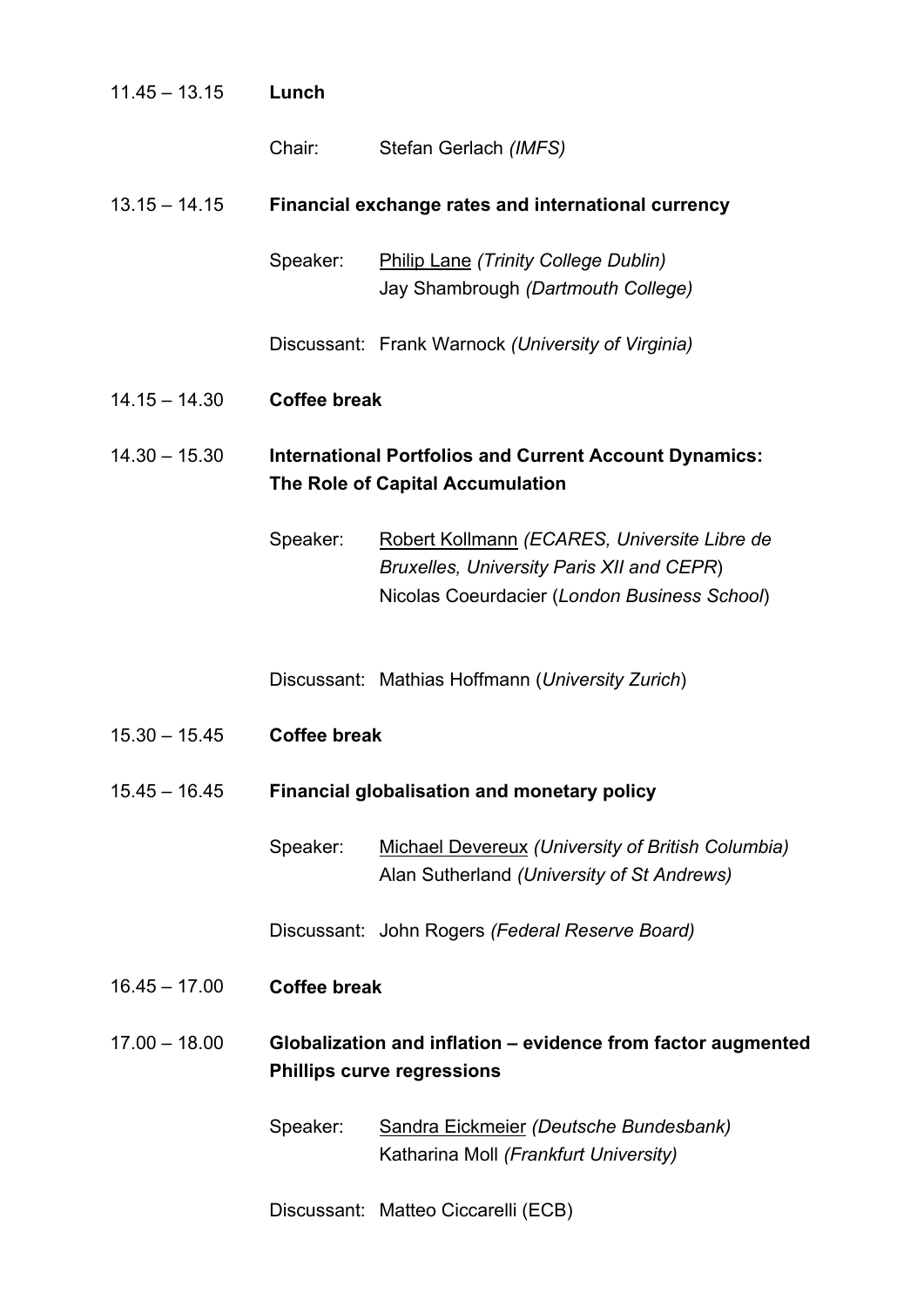| $11.45 - 13.15$ | Lunch               |                                                                                                                                           |
|-----------------|---------------------|-------------------------------------------------------------------------------------------------------------------------------------------|
|                 | Chair:              | Stefan Gerlach (IMFS)                                                                                                                     |
| $13.15 - 14.15$ |                     | Financial exchange rates and international currency                                                                                       |
|                 | Speaker:            | <b>Philip Lane (Trinity College Dublin)</b><br>Jay Shambrough (Dartmouth College)                                                         |
|                 |                     | Discussant: Frank Warnock (University of Virginia)                                                                                        |
| $14.15 - 14.30$ | <b>Coffee break</b> |                                                                                                                                           |
| $14.30 - 15.30$ |                     | <b>International Portfolios and Current Account Dynamics:</b><br>The Role of Capital Accumulation                                         |
|                 | Speaker:            | Robert Kollmann (ECARES, Universite Libre de<br>Bruxelles, University Paris XII and CEPR)<br>Nicolas Coeurdacier (London Business School) |
|                 |                     | Discussant: Mathias Hoffmann (University Zurich)                                                                                          |
| $15.30 - 15.45$ | <b>Coffee break</b> |                                                                                                                                           |
| $15.45 - 16.45$ |                     | <b>Financial globalisation and monetary policy</b>                                                                                        |
|                 | Speaker:            | <b>Michael Devereux (University of British Columbia)</b><br>Alan Sutherland (University of St Andrews)                                    |
|                 |                     | Discussant: John Rogers (Federal Reserve Board)                                                                                           |
| $16.45 - 17.00$ | <b>Coffee break</b> |                                                                                                                                           |
| $17.00 - 18.00$ |                     | Globalization and inflation - evidence from factor augmented<br><b>Phillips curve regressions</b>                                         |
|                 | Speaker:            | Sandra Eickmeier (Deutsche Bundesbank)<br>Katharina Moll (Frankfurt University)                                                           |

Discussant: Matteo Ciccarelli (ECB)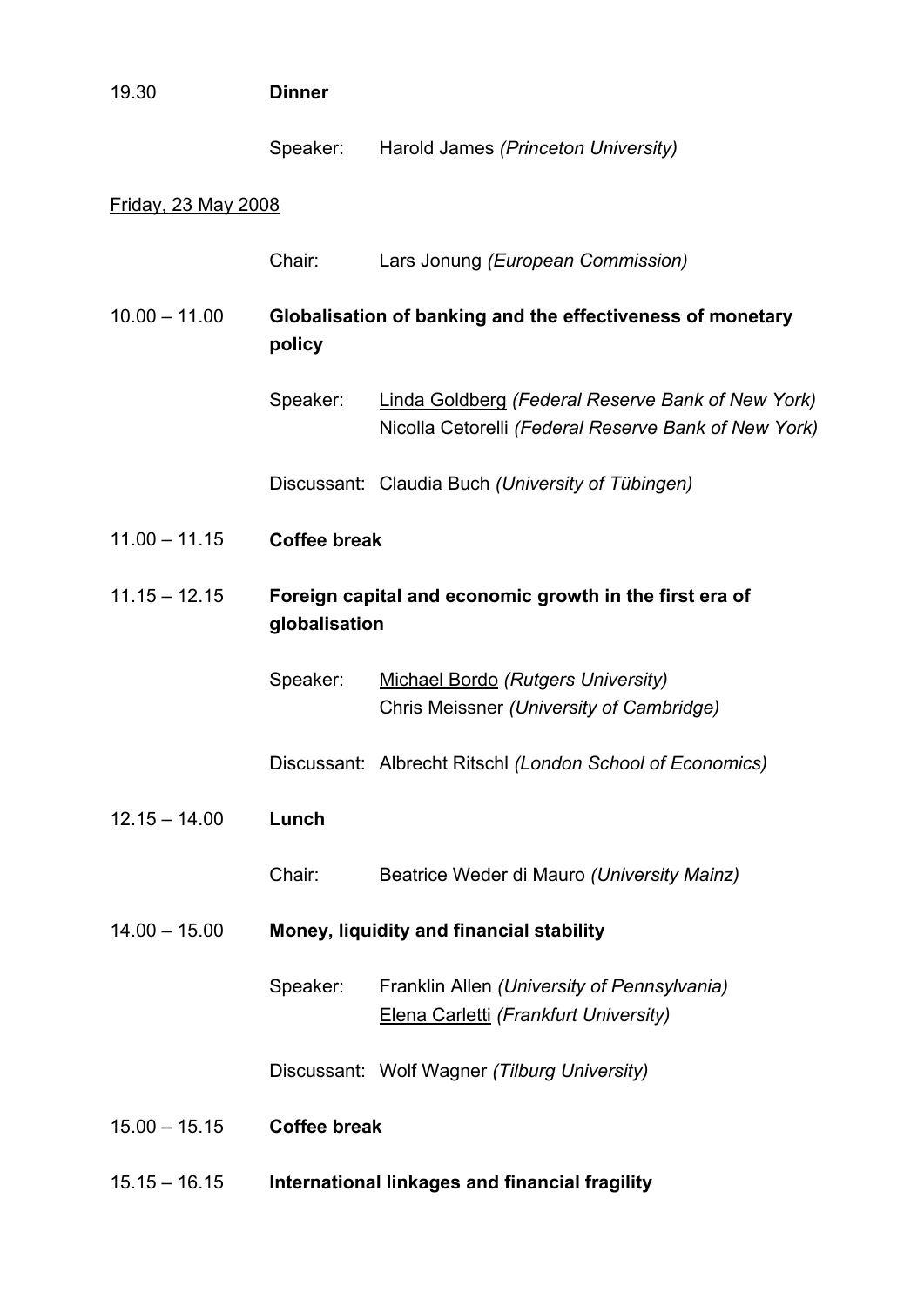| 19.30                      | <b>Dinner</b>       |                                                                                                                  |
|----------------------------|---------------------|------------------------------------------------------------------------------------------------------------------|
|                            | Speaker:            | Harold James (Princeton University)                                                                              |
| <u>Friday, 23 May 2008</u> |                     |                                                                                                                  |
|                            | Chair:              | Lars Jonung (European Commission)                                                                                |
| $10.00 - 11.00$            | policy              | Globalisation of banking and the effectiveness of monetary                                                       |
|                            | Speaker:            | <b>Linda Goldberg (Federal Reserve Bank of New York)</b><br>Nicolla Cetorelli (Federal Reserve Bank of New York) |
|                            |                     | Discussant: Claudia Buch (University of Tübingen)                                                                |
| $11.00 - 11.15$            | <b>Coffee break</b> |                                                                                                                  |
| $11.15 - 12.15$            | globalisation       | Foreign capital and economic growth in the first era of                                                          |
|                            | Speaker:            | <b>Michael Bordo (Rutgers University)</b><br>Chris Meissner (University of Cambridge)                            |
|                            |                     | Discussant: Albrecht Ritschl (London School of Economics)                                                        |
| $12.15 - 14.00$            | Lunch               |                                                                                                                  |
|                            | Chair:              | Beatrice Weder di Mauro (University Mainz)                                                                       |
| $14.00 - 15.00$            |                     | Money, liquidity and financial stability                                                                         |
|                            | Speaker:            | Franklin Allen (University of Pennsylvania)<br>Elena Carletti (Frankfurt University)                             |
|                            |                     | Discussant: Wolf Wagner (Tilburg University)                                                                     |
| $15.00 - 15.15$            | <b>Coffee break</b> |                                                                                                                  |
| $15.15 - 16.15$            |                     | International linkages and financial fragility                                                                   |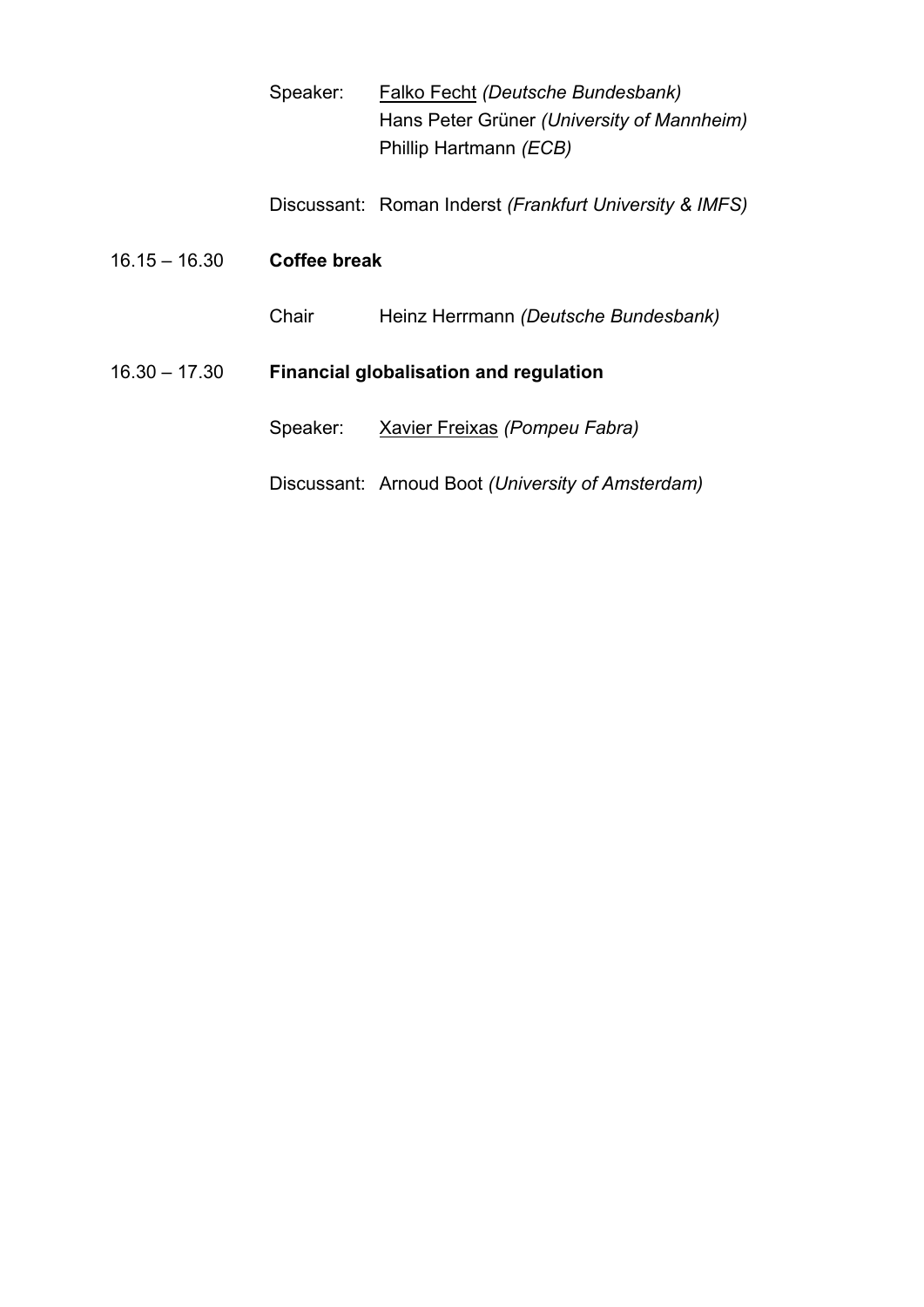| Speaker: | Falko Fecht (Deutsche Bundesbank)          |
|----------|--------------------------------------------|
|          | Hans Peter Grüner (University of Mannheim) |
|          | Phillip Hartmann (ECB)                     |

Discussant: Roman Inderst *(Frankfurt University & IMFS)* 

| $16.15 - 16.30$ | Coffee break                                  |                                                   |  |  |  |
|-----------------|-----------------------------------------------|---------------------------------------------------|--|--|--|
|                 | Chair                                         | Heinz Herrmann (Deutsche Bundesbank)              |  |  |  |
| $16.30 - 17.30$ | <b>Financial globalisation and regulation</b> |                                                   |  |  |  |
|                 | Speaker:                                      | Xavier Freixas (Pompeu Fabra)                     |  |  |  |
|                 |                                               | Discussant: Arnoud Boot (University of Amsterdam) |  |  |  |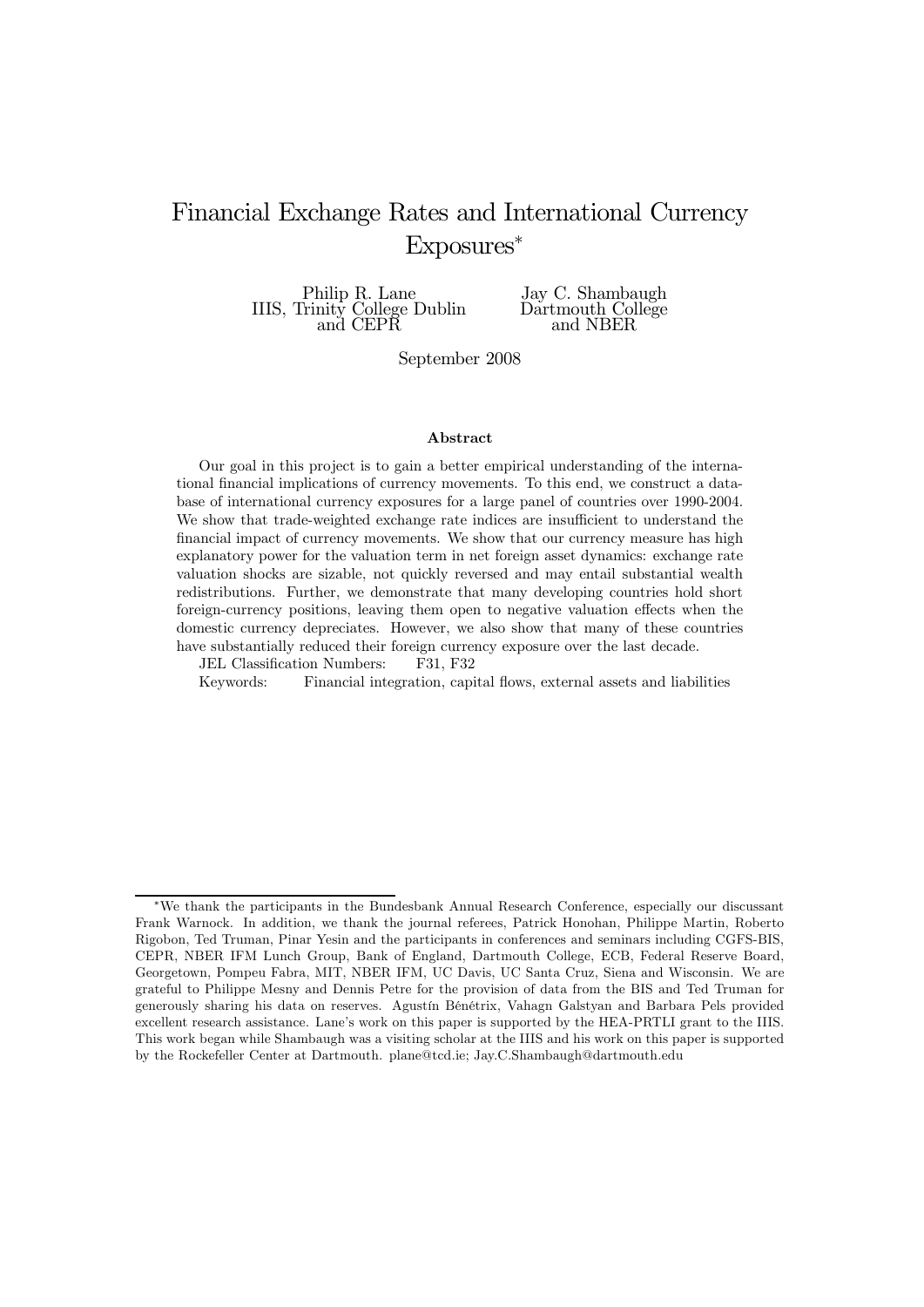## Financial Exchange Rates and International Currency Exposures

Philip R. Lane IIIS, Trinity College Dublin and CEPR

Jay C. Shambaugh Dartmouth College and NBER

September 2008

#### Abstract

Our goal in this project is to gain a better empirical understanding of the international financial implications of currency movements. To this end, we construct a database of international currency exposures for a large panel of countries over 1990-2004. We show that trade-weighted exchange rate indices are insufficient to understand the financial impact of currency movements. We show that our currency measure has high explanatory power for the valuation term in net foreign asset dynamics: exchange rate valuation shocks are sizable, not quickly reversed and may entail substantial wealth redistributions. Further, we demonstrate that many developing countries hold short foreign-currency positions, leaving them open to negative valuation effects when the domestic currency depreciates. However, we also show that many of these countries have substantially reduced their foreign currency exposure over the last decade.

JEL Classification Numbers: F31, F32

Keywords: Financial integration, capital flows, external assets and liabilities

<sup>W</sup>We thank the participants in the Bundesbank Annual Research Conference, especially our discussant Frank Warnock. In addition, we thank the journal referees, Patrick Honohan, Philippe Martin, Roberto Rigobon, Ted Truman, Pinar Yesin and the participants in conferences and seminars including CGFS-BIS, CEPR, NBER IFM Lunch Group, Bank of England, Dartmouth College, ECB, Federal Reserve Board, Georgetown, Pompeu Fabra, MIT, NBER IFM, UC Davis, UC Santa Cruz, Siena and Wisconsin. We are grateful to Philippe Mesny and Dennis Petre for the provision of data from the BIS and Ted Truman for generously sharing his data on reserves. Agustín Bénétrix, Vahagn Galstyan and Barbara Pels provided excellent research assistance. Lane's work on this paper is supported by the HEA-PRTLI grant to the IIIS. This work began while Shambaugh was a visiting scholar at the IIIS and his work on this paper is supported by the Rockefeller Center at Dartmouth. plane@tcd.ie; Jay.C.Shambaugh@dartmouth.edu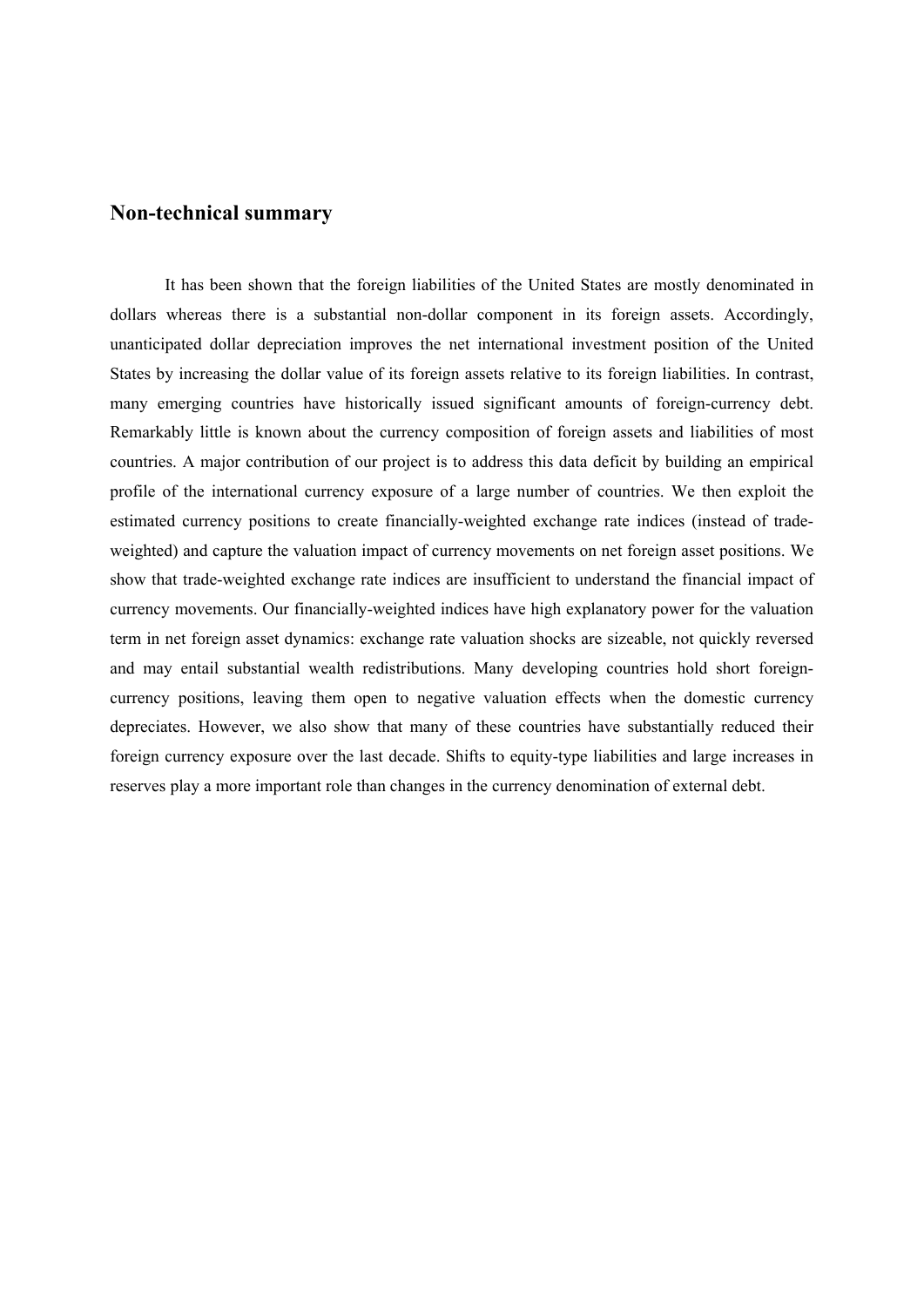### **Non-technical summary**

It has been shown that the foreign liabilities of the United States are mostly denominated in dollars whereas there is a substantial non-dollar component in its foreign assets. Accordingly, unanticipated dollar depreciation improves the net international investment position of the United States by increasing the dollar value of its foreign assets relative to its foreign liabilities. In contrast, many emerging countries have historically issued significant amounts of foreign-currency debt. Remarkably little is known about the currency composition of foreign assets and liabilities of most countries. A major contribution of our project is to address this data deficit by building an empirical profile of the international currency exposure of a large number of countries. We then exploit the estimated currency positions to create financially-weighted exchange rate indices (instead of tradeweighted) and capture the valuation impact of currency movements on net foreign asset positions. We show that trade-weighted exchange rate indices are insufficient to understand the financial impact of currency movements. Our financially-weighted indices have high explanatory power for the valuation term in net foreign asset dynamics: exchange rate valuation shocks are sizeable, not quickly reversed and may entail substantial wealth redistributions. Many developing countries hold short foreigncurrency positions, leaving them open to negative valuation effects when the domestic currency depreciates. However, we also show that many of these countries have substantially reduced their foreign currency exposure over the last decade. Shifts to equity-type liabilities and large increases in reserves play a more important role than changes in the currency denomination of external debt.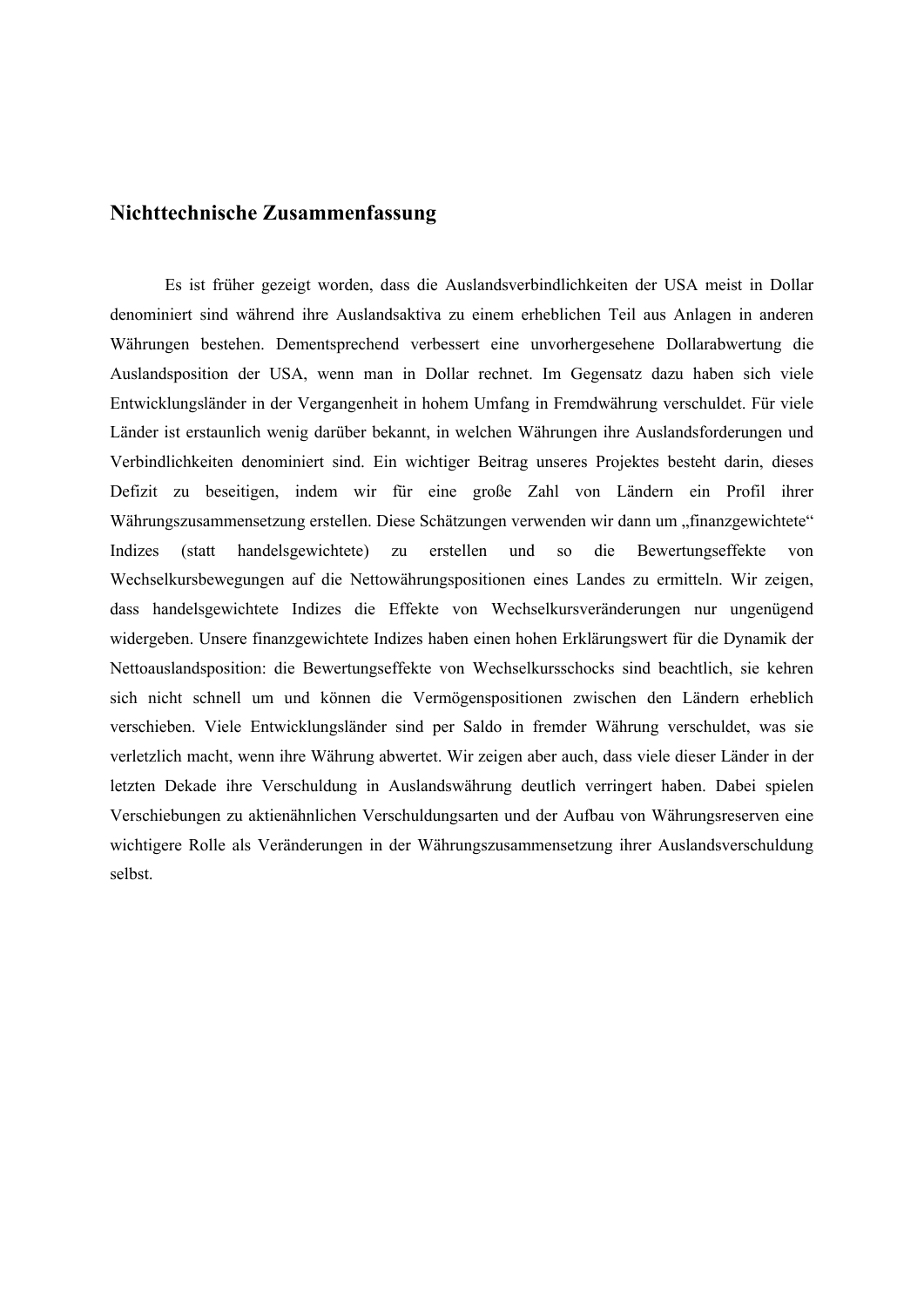### **Nichttechnische Zusammenfassung**

Es ist früher gezeigt worden, dass die Auslandsverbindlichkeiten der USA meist in Dollar denominiert sind während ihre Auslandsaktiva zu einem erheblichen Teil aus Anlagen in anderen Währungen bestehen. Dementsprechend verbessert eine unvorhergesehene Dollarabwertung die Auslandsposition der USA, wenn man in Dollar rechnet. Im Gegensatz dazu haben sich viele Entwicklungsländer in der Vergangenheit in hohem Umfang in Fremdwährung verschuldet. Für viele Länder ist erstaunlich wenig darüber bekannt, in welchen Währungen ihre Auslandsforderungen und Verbindlichkeiten denominiert sind. Ein wichtiger Beitrag unseres Projektes besteht darin, dieses Defizit zu beseitigen, indem wir für eine große Zahl von Ländern ein Profil ihrer Währungszusammensetzung erstellen. Diese Schätzungen verwenden wir dann um "finanzgewichtete" Indizes (statt handelsgewichtete) zu erstellen und so die Bewertungseffekte von Wechselkursbewegungen auf die Nettowährungspositionen eines Landes zu ermitteln. Wir zeigen, dass handelsgewichtete Indizes die Effekte von Wechselkursveränderungen nur ungenügend widergeben. Unsere finanzgewichtete Indizes haben einen hohen Erklärungswert für die Dynamik der Nettoauslandsposition: die Bewertungseffekte von Wechselkursschocks sind beachtlich, sie kehren sich nicht schnell um und können die Vermögenspositionen zwischen den Ländern erheblich verschieben. Viele Entwicklungsländer sind per Saldo in fremder Währung verschuldet, was sie verletzlich macht, wenn ihre Währung abwertet. Wir zeigen aber auch, dass viele dieser Länder in der letzten Dekade ihre Verschuldung in Auslandswährung deutlich verringert haben. Dabei spielen Verschiebungen zu aktienähnlichen Verschuldungsarten und der Aufbau von Währungsreserven eine wichtigere Rolle als Veränderungen in der Währungszusammensetzung ihrer Auslandsverschuldung selbst.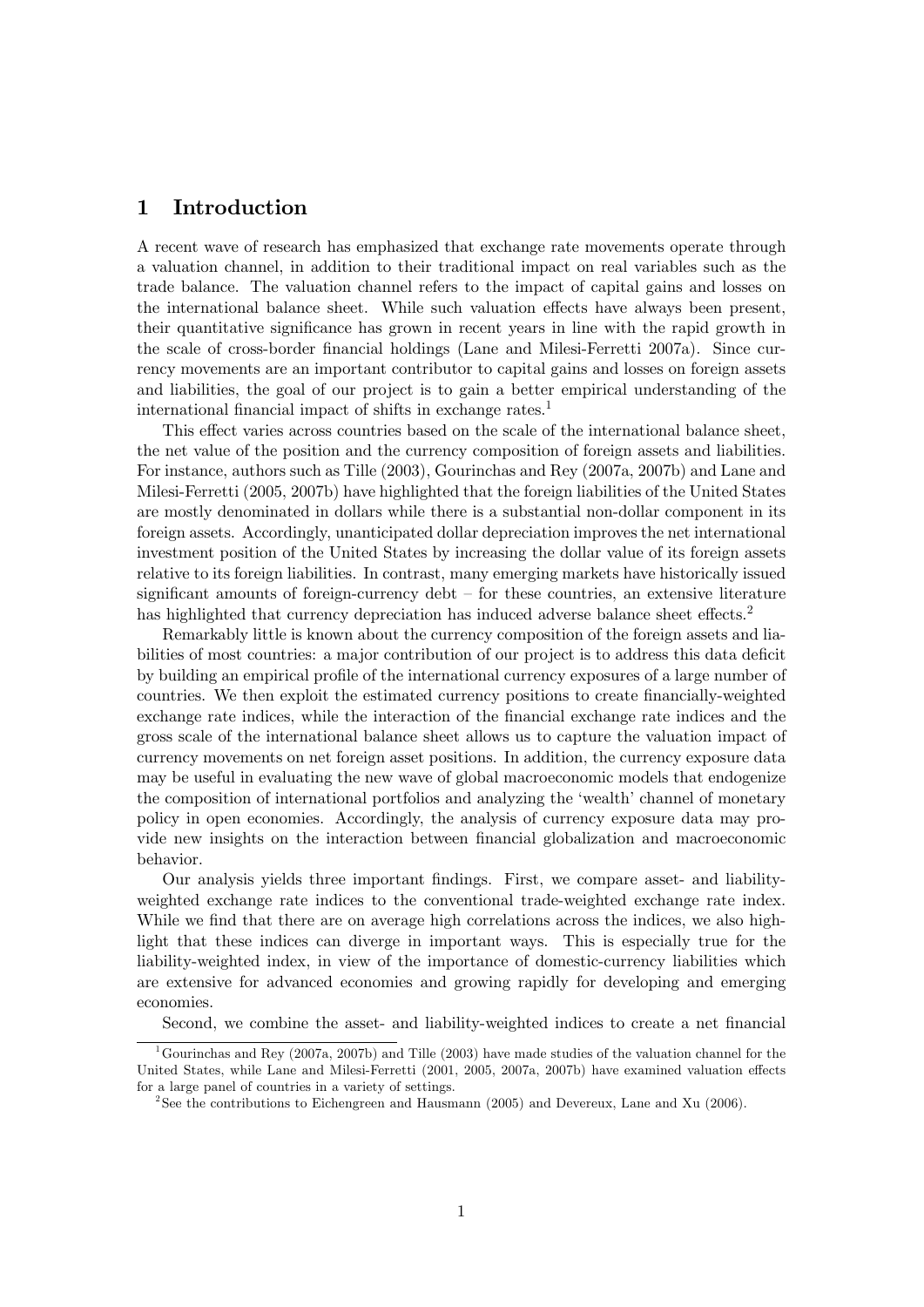### 1 Introduction

A recent wave of research has emphasized that exchange rate movements operate through a valuation channel, in addition to their traditional impact on real variables such as the trade balance. The valuation channel refers to the impact of capital gains and losses on the international balance sheet. While such valuation effects have always been present, their quantitative significance has grown in recent years in line with the rapid growth in the scale of cross-border financial holdings (Lane and Milesi-Ferretti 2007a). Since currency movements are an important contributor to capital gains and losses on foreign assets and liabilities, the goal of our project is to gain a better empirical understanding of the international financial impact of shifts in exchange rates.<sup>1</sup>

This effect varies across countries based on the scale of the international balance sheet, the net value of the position and the currency composition of foreign assets and liabilities. For instance, authors such as Tille (2003), Gourinchas and Rey (2007a, 2007b) and Lane and Milesi-Ferretti (2005, 2007b) have highlighted that the foreign liabilities of the United States are mostly denominated in dollars while there is a substantial non-dollar component in its foreign assets. Accordingly, unanticipated dollar depreciation improves the net international investment position of the United States by increasing the dollar value of its foreign assets relative to its foreign liabilities. In contrast, many emerging markets have historically issued significant amounts of foreign-currency debt — for these countries, an extensive literature has highlighted that currency depreciation has induced adverse balance sheet effects. $2^2$ 

Remarkably little is known about the currency composition of the foreign assets and liabilities of most countries: a major contribution of our project is to address this data deficit by building an empirical profile of the international currency exposures of a large number of countries. We then exploit the estimated currency positions to create financially-weighted exchange rate indices, while the interaction of the financial exchange rate indices and the gross scale of the international balance sheet allows us to capture the valuation impact of currency movements on net foreign asset positions. In addition, the currency exposure data may be useful in evaluating the new wave of global macroeconomic models that endogenize the composition of international portfolios and analyzing the 'wealth' channel of monetary policy in open economies. Accordingly, the analysis of currency exposure data may provide new insights on the interaction between financial globalization and macroeconomic behavior.

Our analysis yields three important findings. First, we compare asset- and liabilityweighted exchange rate indices to the conventional trade-weighted exchange rate index. While we find that there are on average high correlations across the indices, we also highlight that these indices can diverge in important ways. This is especially true for the liability-weighted index, in view of the importance of domestic-currency liabilities which are extensive for advanced economies and growing rapidly for developing and emerging economies.

Second, we combine the asset- and liability-weighted indices to create a net financial

<sup>&</sup>lt;sup>1</sup>Gourinchas and Rey (2007a, 2007b) and Tille (2003) have made studies of the valuation channel for the United States, while Lane and Milesi-Ferretti (2001, 2005, 2007a, 2007b) have examined valuation effects for a large panel of countries in a variety of settings.

<sup>&</sup>lt;sup>2</sup>See the contributions to Eichengreen and Hausmann (2005) and Devereux, Lane and Xu (2006).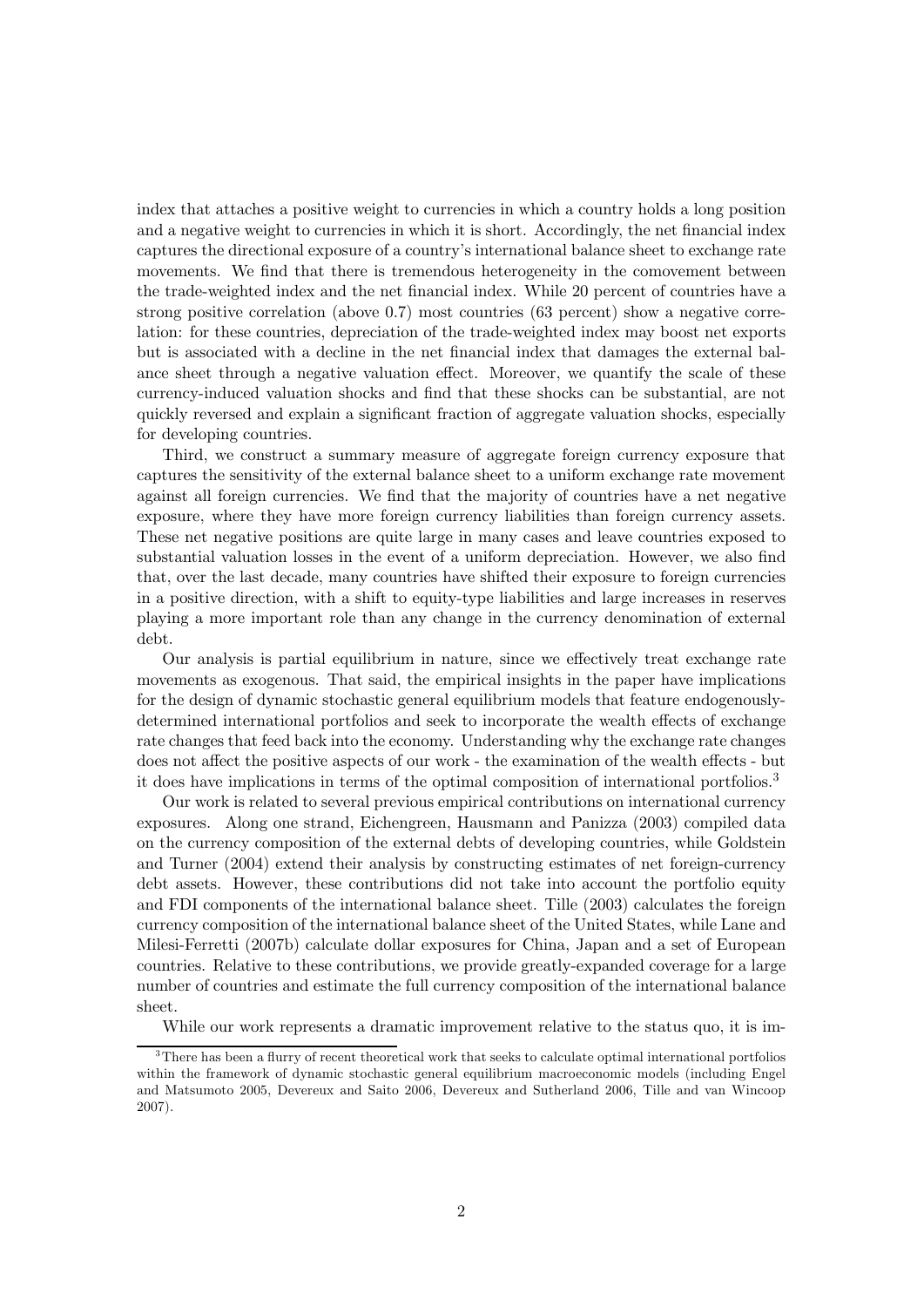index that attaches a positive weight to currencies in which a country holds a long position and a negative weight to currencies in which it is short. Accordingly, the net financial index captures the directional exposure of a country's international balance sheet to exchange rate movements. We find that there is tremendous heterogeneity in the comovement between the trade-weighted index and the net financial index. While 20 percent of countries have a strong positive correlation (above  $0.7$ ) most countries (63 percent) show a negative correlation: for these countries, depreciation of the trade-weighted index may boost net exports but is associated with a decline in the net financial index that damages the external balance sheet through a negative valuation effect. Moreover, we quantify the scale of these currency-induced valuation shocks and find that these shocks can be substantial, are not quickly reversed and explain a significant fraction of aggregate valuation shocks, especially for developing countries.

Third, we construct a summary measure of aggregate foreign currency exposure that captures the sensitivity of the external balance sheet to a uniform exchange rate movement against all foreign currencies. We find that the majority of countries have a net negative exposure, where they have more foreign currency liabilities than foreign currency assets. These net negative positions are quite large in many cases and leave countries exposed to substantial valuation losses in the event of a uniform depreciation. However, we also find that, over the last decade, many countries have shifted their exposure to foreign currencies in a positive direction, with a shift to equity-type liabilities and large increases in reserves playing a more important role than any change in the currency denomination of external debt.

Our analysis is partial equilibrium in nature, since we effectively treat exchange rate movements as exogenous. That said, the empirical insights in the paper have implications for the design of dynamic stochastic general equilibrium models that feature endogenouslydetermined international portfolios and seek to incorporate the wealth effects of exchange rate changes that feed back into the economy. Understanding why the exchange rate changes does not affect the positive aspects of our work - the examination of the wealth effects - but it does have implications in terms of the optimal composition of international portfolios.<sup>3</sup>

Our work is related to several previous empirical contributions on international currency exposures. Along one strand, Eichengreen, Hausmann and Panizza (2003) compiled data on the currency composition of the external debts of developing countries, while Goldstein and Turner (2004) extend their analysis by constructing estimates of net foreign-currency debt assets. However, these contributions did not take into account the portfolio equity and FDI components of the international balance sheet. Tille (2003) calculates the foreign currency composition of the international balance sheet of the United States, while Lane and Milesi-Ferretti (2007b) calculate dollar exposures for China, Japan and a set of European countries. Relative to these contributions, we provide greatly-expanded coverage for a large number of countries and estimate the full currency composition of the international balance sheet.

While our work represents a dramatic improvement relative to the status quo, it is im-

<sup>3</sup>There has been a flurry of recent theoretical work that seeks to calculate optimal international portfolios within the framework of dynamic stochastic general equilibrium macroeconomic models (including Engel and Matsumoto 2005, Devereux and Saito 2006, Devereux and Sutherland 2006, Tille and van Wincoop 2007).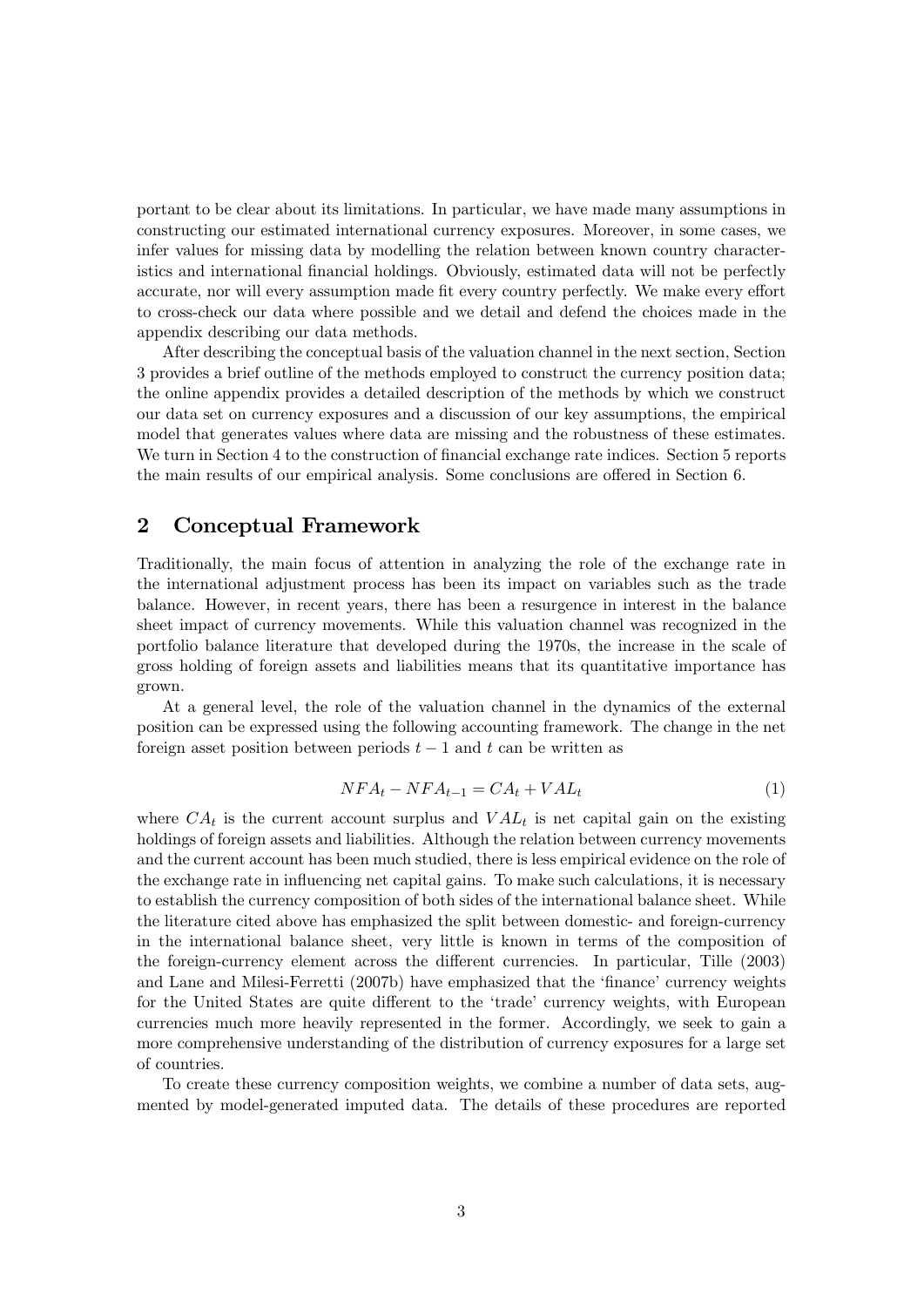portant to be clear about its limitations. In particular, we have made many assumptions in constructing our estimated international currency exposures. Moreover, in some cases, we infer values for missing data by modelling the relation between known country characteristics and international financial holdings. Obviously, estimated data will not be perfectly accurate, nor will every assumption made fit every country perfectly. We make every effort to cross-check our data where possible and we detail and defend the choices made in the appendix describing our data methods.

After describing the conceptual basis of the valuation channel in the next section, Section 3 provides a brief outline of the methods employed to construct the currency position data; the online appendix provides a detailed description of the methods by which we construct our data set on currency exposures and a discussion of our key assumptions, the empirical model that generates values where data are missing and the robustness of these estimates. We turn in Section 4 to the construction of financial exchange rate indices. Section 5 reports the main results of our empirical analysis. Some conclusions are offered in Section 6.

### 2 Conceptual Framework

Traditionally, the main focus of attention in analyzing the role of the exchange rate in the international adjustment process has been its impact on variables such as the trade balance. However, in recent years, there has been a resurgence in interest in the balance sheet impact of currency movements. While this valuation channel was recognized in the portfolio balance literature that developed during the 1970s, the increase in the scale of gross holding of foreign assets and liabilities means that its quantitative importance has grown.

At a general level, the role of the valuation channel in the dynamics of the external position can be expressed using the following accounting framework. The change in the net foreign asset position between periods  $t - 1$  and t can be written as

$$
NFA_t - NFA_{t-1} = CA_t + VAL_t \tag{1}
$$

where  $CA_t$  is the current account surplus and  $VAL<sub>t</sub>$  is net capital gain on the existing holdings of foreign assets and liabilities. Although the relation between currency movements and the current account has been much studied, there is less empirical evidence on the role of the exchange rate in influencing net capital gains. To make such calculations, it is necessary to establish the currency composition of both sides of the international balance sheet. While the literature cited above has emphasized the split between domestic- and foreign-currency in the international balance sheet, very little is known in terms of the composition of the foreign-currency element across the different currencies. In particular, Tille (2003) and Lane and Milesi-Ferretti (2007b) have emphasized that the 'finance' currency weights for the United States are quite different to the 'trade' currency weights, with European currencies much more heavily represented in the former. Accordingly, we seek to gain a more comprehensive understanding of the distribution of currency exposures for a large set of countries.

To create these currency composition weights, we combine a number of data sets, augmented by model-generated imputed data. The details of these procedures are reported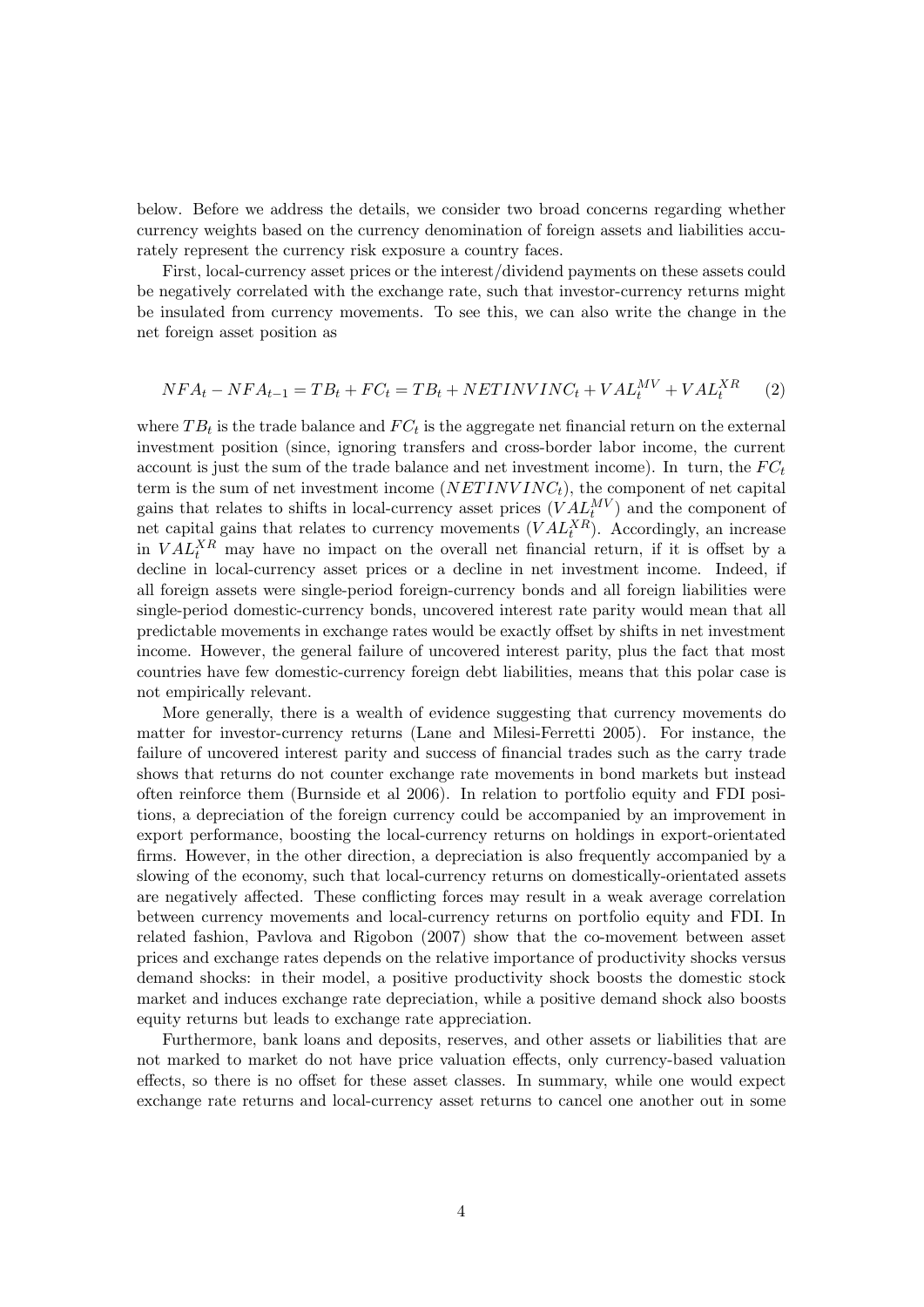below. Before we address the details, we consider two broad concerns regarding whether currency weights based on the currency denomination of foreign assets and liabilities accurately represent the currency risk exposure a country faces.

First, local-currency asset prices or the interest/dividend payments on these assets could be negatively correlated with the exchange rate, such that investor-currency returns might be insulated from currency movements. To see this, we can also write the change in the net foreign asset position as

$$
NFA_t - NFA_{t-1} = TB_t + FC_t = TB_t + NETINVINC_t + VAL_t^{MV} + VAL_t^{XR}
$$
 (2)

where  $TB_t$  is the trade balance and  $FC_t$  is the aggregate net financial return on the external investment position (since, ignoring transfers and cross-border labor income, the current account is just the sum of the trade balance and net investment income). In turn, the  $FC_t$ term is the sum of net investment income  $(NETINVINC_t)$ , the component of net capital gains that relates to shifts in local-currency asset prices  $(VAL_N^{\text{MV}})$  and the component of net capital gains that relates to currency movements  $(VAL<sub>t</sub><sup>XR</sup>)$ . Accordingly, an increase in  $VAL<sub>t</sub><sup>XR</sup>$  may have no impact on the overall net financial return, if it is offset by a decline in local-currency asset prices or a decline in net investment income. Indeed, if all foreign assets were single-period foreign-currency bonds and all foreign liabilities were single-period domestic-currency bonds, uncovered interest rate parity would mean that all predictable movements in exchange rates would be exactly offset by shifts in net investment income. However, the general failure of uncovered interest parity, plus the fact that most countries have few domestic-currency foreign debt liabilities, means that this polar case is not empirically relevant.

More generally, there is a wealth of evidence suggesting that currency movements do matter for investor-currency returns (Lane and Milesi-Ferretti 2005). For instance, the failure of uncovered interest parity and success of financial trades such as the carry trade shows that returns do not counter exchange rate movements in bond markets but instead often reinforce them (Burnside et al 2006). In relation to portfolio equity and FDI positions, a depreciation of the foreign currency could be accompanied by an improvement in export performance, boosting the local-currency returns on holdings in export-orientated firms. However, in the other direction, a depreciation is also frequently accompanied by a slowing of the economy, such that local-currency returns on domestically-orientated assets are negatively affected. These conflicting forces may result in a weak average correlation between currency movements and local-currency returns on portfolio equity and FDI. In related fashion, Pavlova and Rigobon (2007) show that the co-movement between asset prices and exchange rates depends on the relative importance of productivity shocks versus demand shocks: in their model, a positive productivity shock boosts the domestic stock market and induces exchange rate depreciation, while a positive demand shock also boosts equity returns but leads to exchange rate appreciation.

Furthermore, bank loans and deposits, reserves, and other assets or liabilities that are not marked to market do not have price valuation effects, only currency-based valuation effects, so there is no offset for these asset classes. In summary, while one would expect exchange rate returns and local-currency asset returns to cancel one another out in some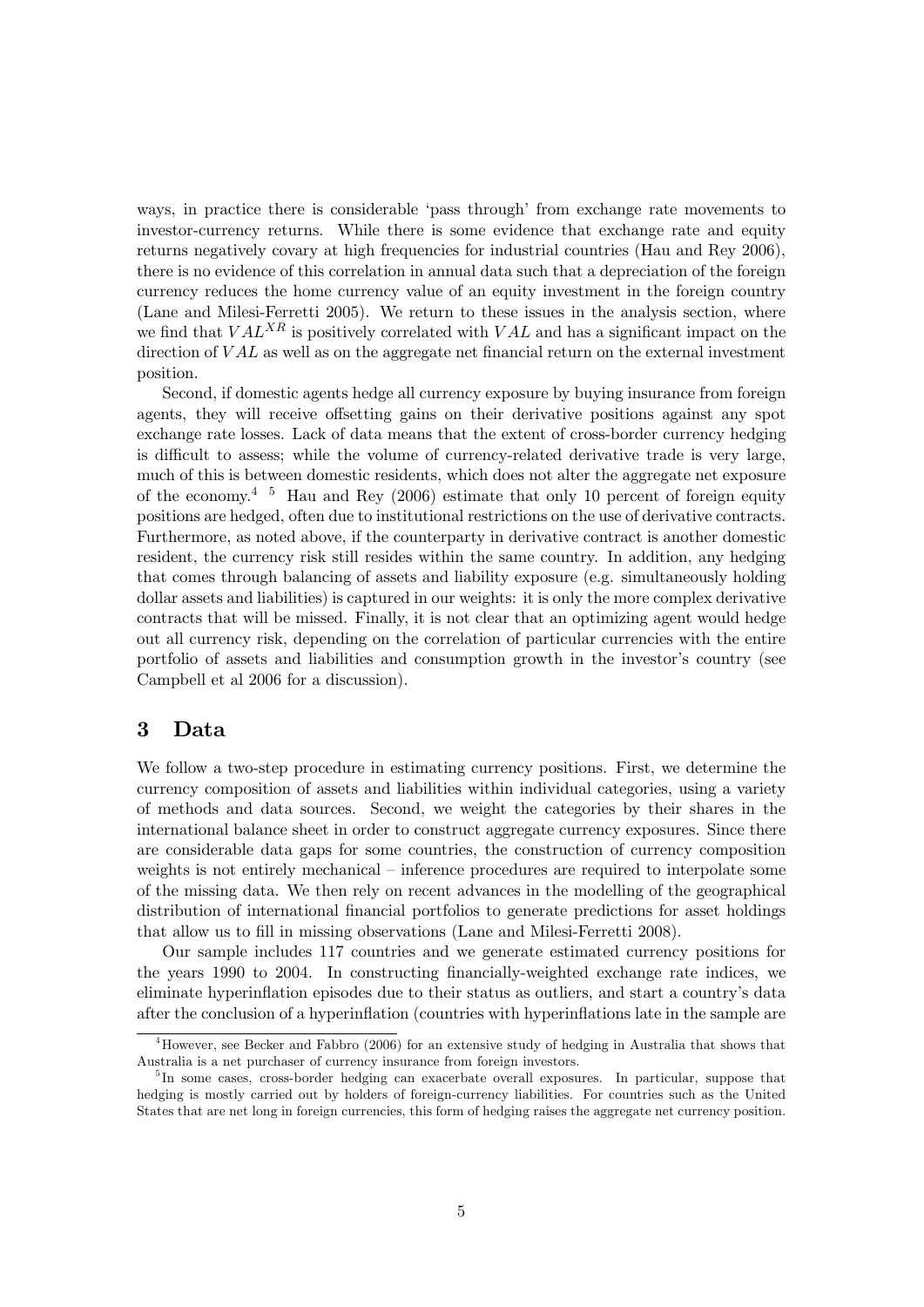ways, in practice there is considerable 'pass through' from exchange rate movements to investor-currency returns. While there is some evidence that exchange rate and equity returns negatively covary at high frequencies for industrial countries (Hau and Rey 2006), there is no evidence of this correlation in annual data such that a depreciation of the foreign currency reduces the home currency value of an equity investment in the foreign country (Lane and Milesi-Ferretti 2005). We return to these issues in the analysis section, where we find that  $VAL^{XR}$  is positively correlated with  $VAL$  and has a significant impact on the direction of  $VAL$  as well as on the aggregate net financial return on the external investment position.

Second, if domestic agents hedge all currency exposure by buying insurance from foreign agents, they will receive offsetting gains on their derivative positions against any spot exchange rate losses. Lack of data means that the extent of cross-border currency hedging is difficult to assess; while the volume of currency-related derivative trade is very large, much of this is between domestic residents, which does not alter the aggregate net exposure of the economy.<sup>4 5</sup> Hau and Rey (2006) estimate that only 10 percent of foreign equity positions are hedged, often due to institutional restrictions on the use of derivative contracts. Furthermore, as noted above, if the counterparty in derivative contract is another domestic resident, the currency risk still resides within the same country. In addition, any hedging that comes through balancing of assets and liability exposure (e.g. simultaneously holding dollar assets and liabilities) is captured in our weights: it is only the more complex derivative contracts that will be missed. Finally, it is not clear that an optimizing agent would hedge out all currency risk, depending on the correlation of particular currencies with the entire portfolio of assets and liabilities and consumption growth in the investor's country (see Campbell et al 2006 for a discussion).

### 3 Data

We follow a two-step procedure in estimating currency positions. First, we determine the currency composition of assets and liabilities within individual categories, using a variety of methods and data sources. Second, we weight the categories by their shares in the international balance sheet in order to construct aggregate currency exposures. Since there are considerable data gaps for some countries, the construction of currency composition weights is not entirely mechanical — inference procedures are required to interpolate some of the missing data. We then rely on recent advances in the modelling of the geographical distribution of international financial portfolios to generate predictions for asset holdings that allow us to fill in missing observations (Lane and Milesi-Ferretti 2008).

Our sample includes 117 countries and we generate estimated currency positions for the years 1990 to 2004. In constructing financially-weighted exchange rate indices, we eliminate hyperinflation episodes due to their status as outliers, and start a country's data after the conclusion of a hyperinflation (countries with hyperinflations late in the sample are

<sup>&</sup>lt;sup>4</sup>However, see Becker and Fabbro (2006) for an extensive study of hedging in Australia that shows that Australia is a net purchaser of currency insurance from foreign investors.

<sup>&</sup>lt;sup>5</sup>In some cases, cross-border hedging can exacerbate overall exposures. In particular, suppose that hedging is mostly carried out by holders of foreign-currency liabilities. For countries such as the United States that are net long in foreign currencies, this form of hedging raises the aggregate net currency position.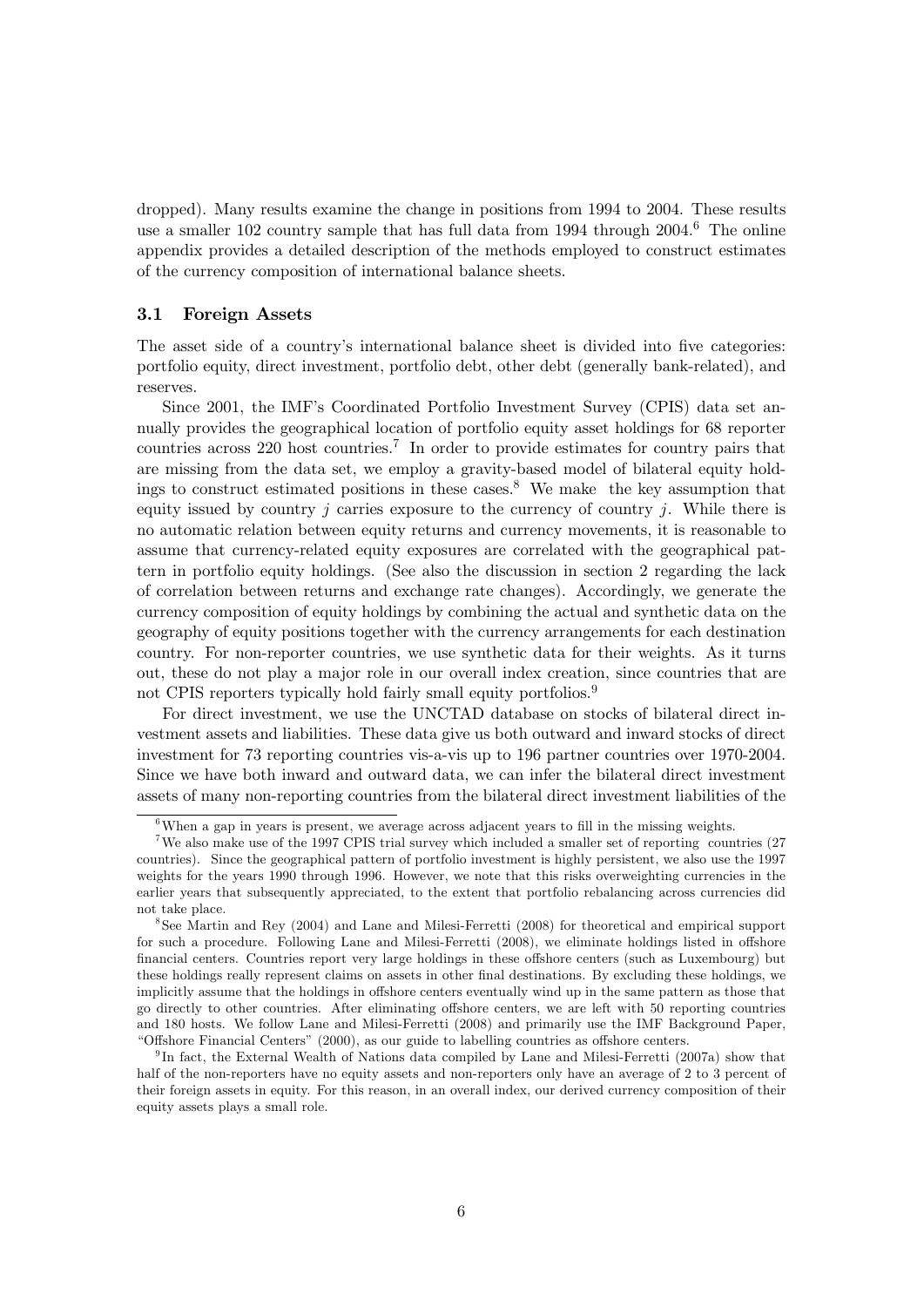dropped). Many results examine the change in positions from 1994 to 2004. These results use a smaller 102 country sample that has full data from 1994 through 2004.<sup>6</sup> The online appendix provides a detailed description of the methods employed to construct estimates of the currency composition of international balance sheets.

#### 3.1 Foreign Assets

The asset side of a country's international balance sheet is divided into five categories: portfolio equity, direct investment, portfolio debt, other debt (generally bank-related), and reserves.

Since 2001, the IMF's Coordinated Portfolio Investment Survey (CPIS) data set annually provides the geographical location of portfolio equity asset holdings for 68 reporter countries across 220 host countries.<sup>7</sup> In order to provide estimates for country pairs that are missing from the data set, we employ a gravity-based model of bilateral equity holdings to construct estimated positions in these cases.<sup>8</sup> We make the key assumption that equity issued by country j carries exposure to the currency of country j. While there is no automatic relation between equity returns and currency movements, it is reasonable to assume that currency-related equity exposures are correlated with the geographical pattern in portfolio equity holdings. (See also the discussion in section 2 regarding the lack of correlation between returns and exchange rate changes). Accordingly, we generate the currency composition of equity holdings by combining the actual and synthetic data on the geography of equity positions together with the currency arrangements for each destination country. For non-reporter countries, we use synthetic data for their weights. As it turns out, these do not play a major role in our overall index creation, since countries that are not CPIS reporters typically hold fairly small equity portfolios.<sup>9</sup>

For direct investment, we use the UNCTAD database on stocks of bilateral direct investment assets and liabilities. These data give us both outward and inward stocks of direct investment for 73 reporting countries vis-a-vis up to 196 partner countries over 1970-2004. Since we have both inward and outward data, we can infer the bilateral direct investment assets of many non-reporting countries from the bilateral direct investment liabilities of the

 $6$ When a gap in years is present, we average across adjacent years to fill in the missing weights.

<sup>&</sup>lt;sup>7</sup>We also make use of the 1997 CPIS trial survey which included a smaller set of reporting countries (27 countries). Since the geographical pattern of portfolio investment is highly persistent, we also use the 1997 weights for the years 1990 through 1996. However, we note that this risks overweighting currencies in the earlier years that subsequently appreciated, to the extent that portfolio rebalancing across currencies did not take place.

<sup>8</sup>See Martin and Rey (2004) and Lane and Milesi-Ferretti (2008) for theoretical and empirical support for such a procedure. Following Lane and Milesi-Ferretti (2008), we eliminate holdings listed in offshore financial centers. Countries report very large holdings in these offshore centers (such as Luxembourg) but these holdings really represent claims on assets in other final destinations. By excluding these holdings, we implicitly assume that the holdings in offshore centers eventually wind up in the same pattern as those that go directly to other countries. After eliminating offshore centers, we are left with 50 reporting countries and 180 hosts. We follow Lane and Milesi-Ferretti (2008) and primarily use the IMF Background Paper, "Offshore Financial Centers" (2000), as our guide to labelling countries as offshore centers.

<sup>9</sup> In fact, the External Wealth of Nations data compiled by Lane and Milesi-Ferretti (2007a) show that half of the non-reporters have no equity assets and non-reporters only have an average of 2 to 3 percent of their foreign assets in equity. For this reason, in an overall index, our derived currency composition of their equity assets plays a small role.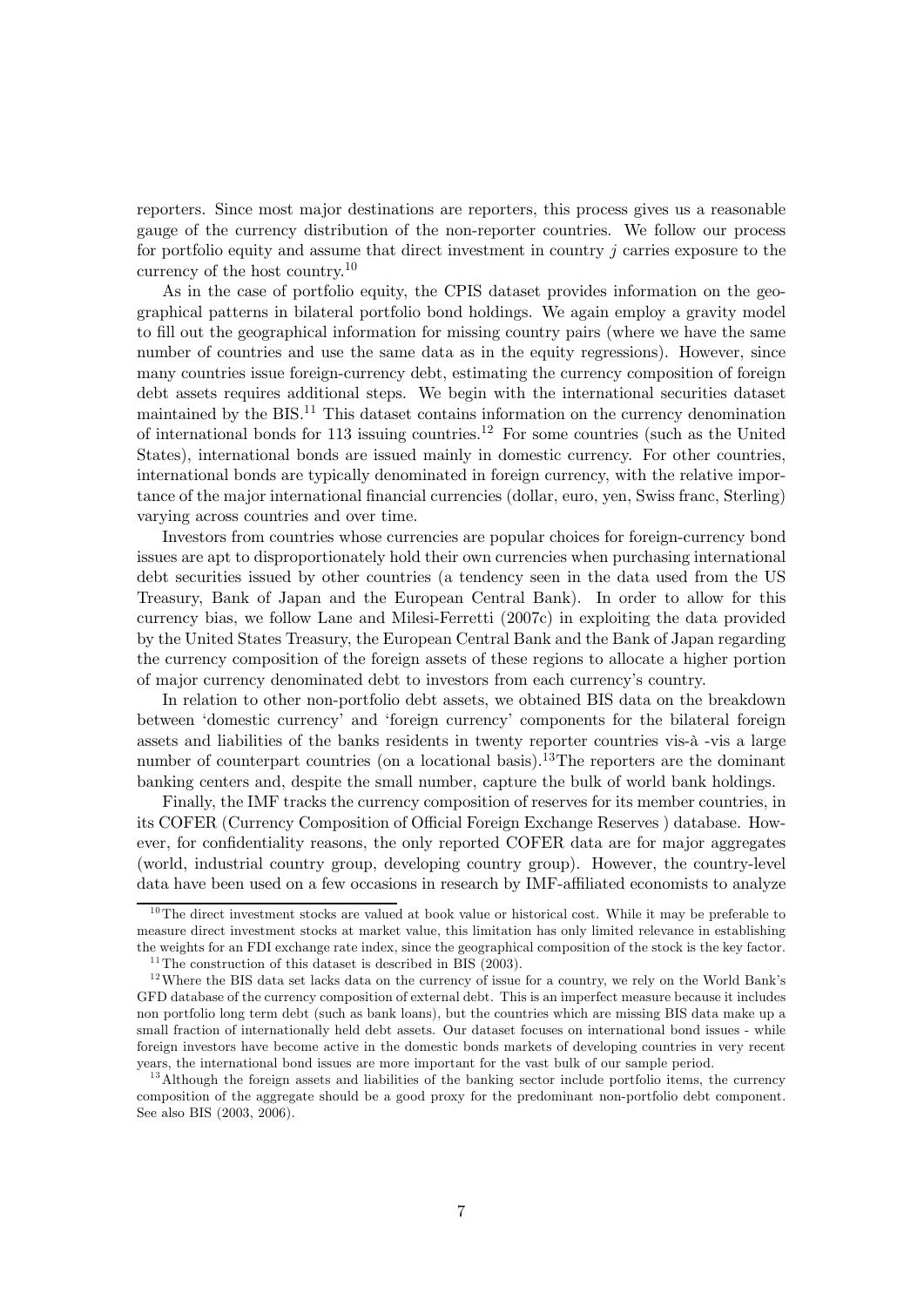reporters. Since most major destinations are reporters, this process gives us a reasonable gauge of the currency distribution of the non-reporter countries. We follow our process for portfolio equity and assume that direct investment in country  $j$  carries exposure to the currency of the host country.<sup>10</sup>

As in the case of portfolio equity, the CPIS dataset provides information on the geographical patterns in bilateral portfolio bond holdings. We again employ a gravity model to fill out the geographical information for missing country pairs (where we have the same number of countries and use the same data as in the equity regressions). However, since many countries issue foreign-currency debt, estimating the currency composition of foreign debt assets requires additional steps. We begin with the international securities dataset maintained by the BIS.11 This dataset contains information on the currency denomination of international bonds for 113 issuing countries.<sup>12</sup> For some countries (such as the United States), international bonds are issued mainly in domestic currency. For other countries, international bonds are typically denominated in foreign currency, with the relative importance of the major international financial currencies (dollar, euro, yen, Swiss franc, Sterling) varying across countries and over time.

Investors from countries whose currencies are popular choices for foreign-currency bond issues are apt to disproportionately hold their own currencies when purchasing international debt securities issued by other countries (a tendency seen in the data used from the US Treasury, Bank of Japan and the European Central Bank). In order to allow for this currency bias, we follow Lane and Milesi-Ferretti (2007c) in exploiting the data provided by the United States Treasury, the European Central Bank and the Bank of Japan regarding the currency composition of the foreign assets of these regions to allocate a higher portion of major currency denominated debt to investors from each currency's country.

In relation to other non-portfolio debt assets, we obtained BIS data on the breakdown between 'domestic currency' and 'foreign currency' components for the bilateral foreign assets and liabilities of the banks residents in twenty reporter countries vis-à -vis a large number of counterpart countries (on a locational basis).<sup>13</sup>The reporters are the dominant banking centers and, despite the small number, capture the bulk of world bank holdings.

Finally, the IMF tracks the currency composition of reserves for its member countries, in its COFER (Currency Composition of Official Foreign Exchange Reserves) database. However, for confidentiality reasons, the only reported COFER data are for major aggregates (world, industrial country group, developing country group). However, the country-level data have been used on a few occasions in research by IMF-affiliated economists to analyze

 $10$ The direct investment stocks are valued at book value or historical cost. While it may be preferable to measure direct investment stocks at market value, this limitation has only limited relevance in establishing the weights for an FDI exchange rate index, since the geographical composition of the stock is the key factor.

 $11$ <sup>11</sup>The construction of this dataset is described in BIS (2003).

 $12$  Where the BIS data set lacks data on the currency of issue for a country, we rely on the World Bank's GFD database of the currency composition of external debt. This is an imperfect measure because it includes non portfolio long term debt (such as bank loans), but the countries which are missing BIS data make up a small fraction of internationally held debt assets. Our dataset focuses on international bond issues - while foreign investors have become active in the domestic bonds markets of developing countries in very recent years, the international bond issues are more important for the vast bulk of our sample period.

<sup>&</sup>lt;sup>13</sup>Although the foreign assets and liabilities of the banking sector include portfolio items, the currency composition of the aggregate should be a good proxy for the predominant non-portfolio debt component. See also BIS (2003, 2006).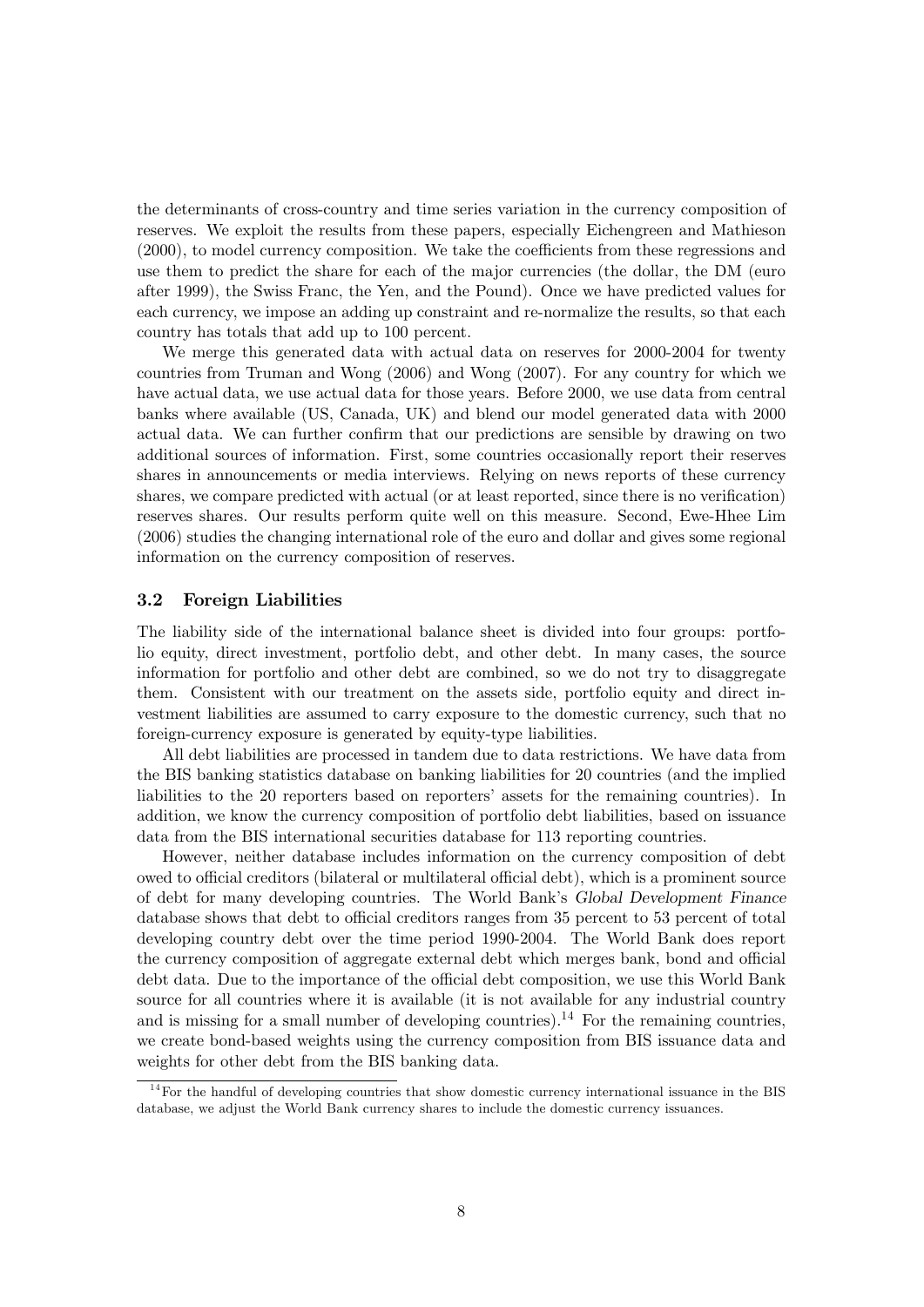the determinants of cross-country and time series variation in the currency composition of reserves. We exploit the results from these papers, especially Eichengreen and Mathieson  $(2000)$ , to model currency composition. We take the coefficients from these regressions and use them to predict the share for each of the major currencies (the dollar, the DM (euro after 1999), the Swiss Franc, the Yen, and the Pound). Once we have predicted values for each currency, we impose an adding up constraint and re-normalize the results, so that each country has totals that add up to 100 percent.

We merge this generated data with actual data on reserves for 2000-2004 for twenty countries from Truman and Wong (2006) and Wong (2007). For any country for which we have actual data, we use actual data for those years. Before 2000, we use data from central banks where available (US, Canada, UK) and blend our model generated data with 2000 actual data. We can further confirm that our predictions are sensible by drawing on two additional sources of information. First, some countries occasionally report their reserves shares in announcements or media interviews. Relying on news reports of these currency shares, we compare predicted with actual (or at least reported, since there is no verification) reserves shares. Our results perform quite well on this measure. Second, Ewe-Hhee Lim (2006) studies the changing international role of the euro and dollar and gives some regional information on the currency composition of reserves.

#### 3.2 Foreign Liabilities

The liability side of the international balance sheet is divided into four groups: portfolio equity, direct investment, portfolio debt, and other debt. In many cases, the source information for portfolio and other debt are combined, so we do not try to disaggregate them. Consistent with our treatment on the assets side, portfolio equity and direct investment liabilities are assumed to carry exposure to the domestic currency, such that no foreign-currency exposure is generated by equity-type liabilities.

All debt liabilities are processed in tandem due to data restrictions. We have data from the BIS banking statistics database on banking liabilities for 20 countries (and the implied liabilities to the 20 reporters based on reporters' assets for the remaining countries). In addition, we know the currency composition of portfolio debt liabilities, based on issuance data from the BIS international securities database for 113 reporting countries.

However, neither database includes information on the currency composition of debt owed to official creditors (bilateral or multilateral official debt), which is a prominent source of debt for many developing countries. The World Bank's Global Development Finance database shows that debt to official creditors ranges from 35 percent to 53 percent of total developing country debt over the time period 1990-2004. The World Bank does report the currency composition of aggregate external debt which merges bank, bond and official debt data. Due to the importance of the official debt composition, we use this World Bank source for all countries where it is available (it is not available for any industrial country and is missing for a small number of developing countries).<sup>14</sup> For the remaining countries, we create bond-based weights using the currency composition from BIS issuance data and weights for other debt from the BIS banking data.

 $14$  For the handful of developing countries that show domestic currency international issuance in the BIS database, we adjust the World Bank currency shares to include the domestic currency issuances.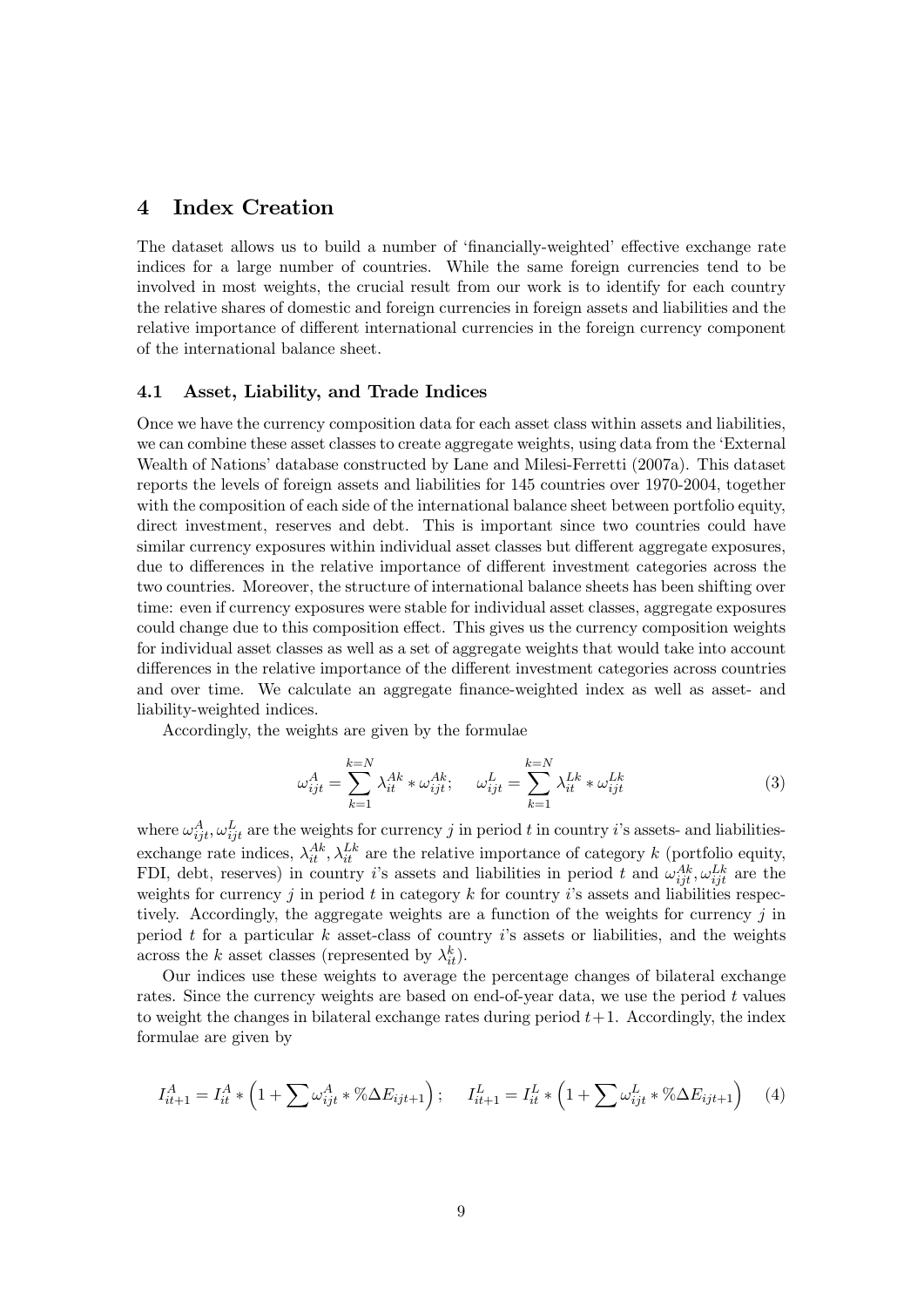### 4 Index Creation

The dataset allows us to build a number of 'financially-weighted' effective exchange rate indices for a large number of countries. While the same foreign currencies tend to be involved in most weights, the crucial result from our work is to identify for each country the relative shares of domestic and foreign currencies in foreign assets and liabilities and the relative importance of different international currencies in the foreign currency component of the international balance sheet.

#### 4.1 Asset, Liability, and Trade Indices

Once we have the currency composition data for each asset class within assets and liabilities, we can combine these asset classes to create aggregate weights, using data from the 'External Wealth of Nations' database constructed by Lane and Milesi-Ferretti (2007a). This dataset reports the levels of foreign assets and liabilities for 145 countries over 1970-2004, together with the composition of each side of the international balance sheet between portfolio equity, direct investment, reserves and debt. This is important since two countries could have similar currency exposures within individual asset classes but different aggregate exposures, due to differences in the relative importance of different investment categories across the two countries. Moreover, the structure of international balance sheets has been shifting over time: even if currency exposures were stable for individual asset classes, aggregate exposures could change due to this composition effect. This gives us the currency composition weights for individual asset classes as well as a set of aggregate weights that would take into account differences in the relative importance of the different investment categories across countries and over time. We calculate an aggregate finance-weighted index as well as asset- and liability-weighted indices.

Accordingly, the weights are given by the formulae

$$
\omega_{ijt}^A = \sum_{k=1}^{k=N} \lambda_{it}^{Ak} * \omega_{ijt}^{Ak}; \quad \omega_{ijt}^L = \sum_{k=1}^{k=N} \lambda_{it}^{Lk} * \omega_{ijt}^{Lk}
$$
(3)

where  $\omega_{ijt}^A, \omega_{ijt}^L$  are the weights for currency j in period t in country i's assets- and liabilitiesexchange rate indices,  $\lambda_{it}^{Ak}, \lambda_{it}^{Lk}$  are the relative importance of category k (portfolio equity, FDI, debt, reserves) in country *i*'s assets and liabilities in period t and  $\omega_{ijt}^{Ak}, \omega_{ijt}^{Lk}$  are the weights for currency j in period t in category k for country i's assets and liabilities respectively. Accordingly, the aggregate weights are a function of the weights for currency  $\hat{\jmath}$  in period  $t$  for a particular  $k$  asset-class of country  $i$ 's assets or liabilities, and the weights across the k asset classes (represented by  $\lambda_{it}^k$ ).

Our indices use these weights to average the percentage changes of bilateral exchange rates. Since the currency weights are based on end-of-year data, we use the period  $t$  values to weight the changes in bilateral exchange rates during period  $t+1$ . Accordingly, the index formulae are given by

$$
I_{it+1}^A = I_{it}^A * \left(1 + \sum \omega_{ijt}^A * \% \Delta E_{ijt+1}\right); \quad I_{it+1}^L = I_{it}^L * \left(1 + \sum \omega_{ijt}^L * \% \Delta E_{ijt+1}\right) \tag{4}
$$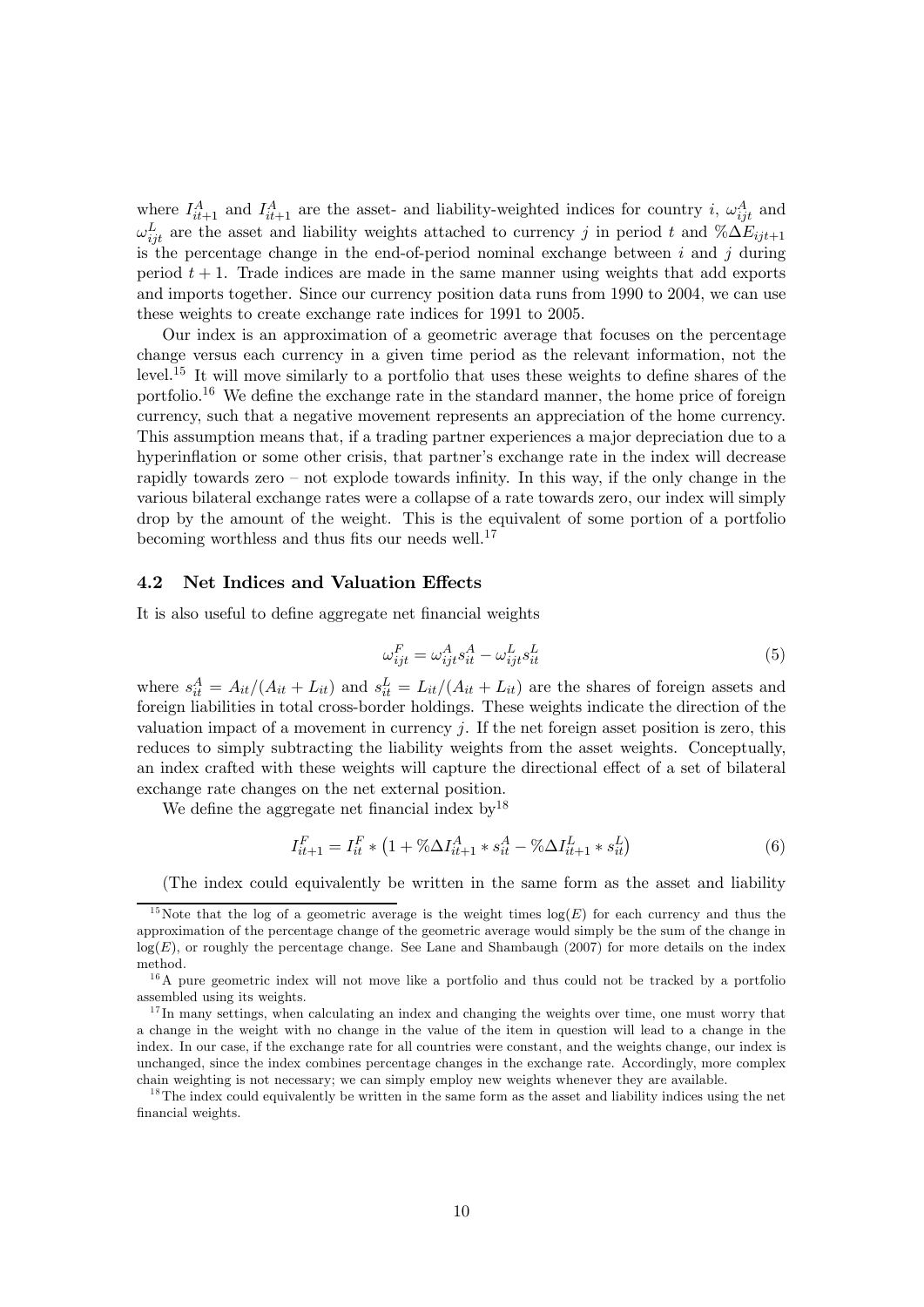where  $I_{it+1}^A$  and  $I_{it+1}^A$  are the asset- and liability-weighted indices for country i,  $\omega_{ijt}^A$  and  $\omega_{ij}^L$  are the asset and liability weights attached to currency j in period t and  $\%\Delta E_{ijt+1}$ is the percentage change in the end-of-period nominal exchange between  $i$  and  $j$  during period  $t + 1$ . Trade indices are made in the same manner using weights that add exports and imports together. Since our currency position data runs from 1990 to 2004, we can use these weights to create exchange rate indices for 1991 to 2005.

Our index is an approximation of a geometric average that focuses on the percentage change versus each currency in a given time period as the relevant information, not the level.<sup>15</sup> It will move similarly to a portfolio that uses these weights to define shares of the portfolio.<sup>16</sup> We define the exchange rate in the standard manner, the home price of foreign currency, such that a negative movement represents an appreciation of the home currency. This assumption means that, if a trading partner experiences a major depreciation due to a hyperinflation or some other crisis, that partner's exchange rate in the index will decrease rapidly towards zero — not explode towards infinity. In this way, if the only change in the various bilateral exchange rates were a collapse of a rate towards zero, our index will simply drop by the amount of the weight. This is the equivalent of some portion of a portfolio becoming worthless and thus fits our needs well. $^{17}$ 

#### 4.2 Net Indices and Valuation Effects

It is also useful to define aggregate net financial weights

$$
\omega_{ijt}^F = \omega_{ijt}^A s_{it}^A - \omega_{ijt}^L s_{it}^L
$$
\n<sup>(5)</sup>

where  $s_{it}^A = A_{it}/(A_{it} + L_{it})$  and  $s_{it}^L = L_{it}/(A_{it} + L_{it})$  are the shares of foreign assets and<br>foreign liabilities in total cross border holdings. These weights indicate the direction of the foreign liabilities in total cross-border holdings. These weights indicate the direction of the valuation impact of a movement in currency  $j$ . If the net foreign asset position is zero, this reduces to simply subtracting the liability weights from the asset weights. Conceptually, an index crafted with these weights will capture the directional effect of a set of bilateral exchange rate changes on the net external position.

We define the aggregate net financial index  $by^{18}$ 

$$
I_{it+1}^F = I_{it}^F * (1 + \% \Delta I_{it+1}^A * s_{it}^A - \% \Delta I_{it+1}^L * s_{it}^L)
$$
 (6)

(The index could equivalently be written in the same form as the asset and liability

<sup>&</sup>lt;sup>15</sup>Note that the log of a geometric average is the weight times  $log(E)$  for each currency and thus the approximation of the percentage change of the geometric average would simply be the sum of the change in  $log(E)$ , or roughly the percentage change. See Lane and Shambaugh (2007) for more details on the index method.

 $1<sup>6</sup>A$  pure geometric index will not move like a portfolio and thus could not be tracked by a portfolio assembled using its weights.

 $17$  In many settings, when calculating an index and changing the weights over time, one must worry that a change in the weight with no change in the value of the item in question will lead to a change in the index. In our case, if the exchange rate for all countries were constant, and the weights change, our index is unchanged, since the index combines percentage changes in the exchange rate. Accordingly, more complex chain weighting is not necessary; we can simply employ new weights whenever they are available.

<sup>&</sup>lt;sup>18</sup>The index could equivalently be written in the same form as the asset and liability indices using the net financial weights.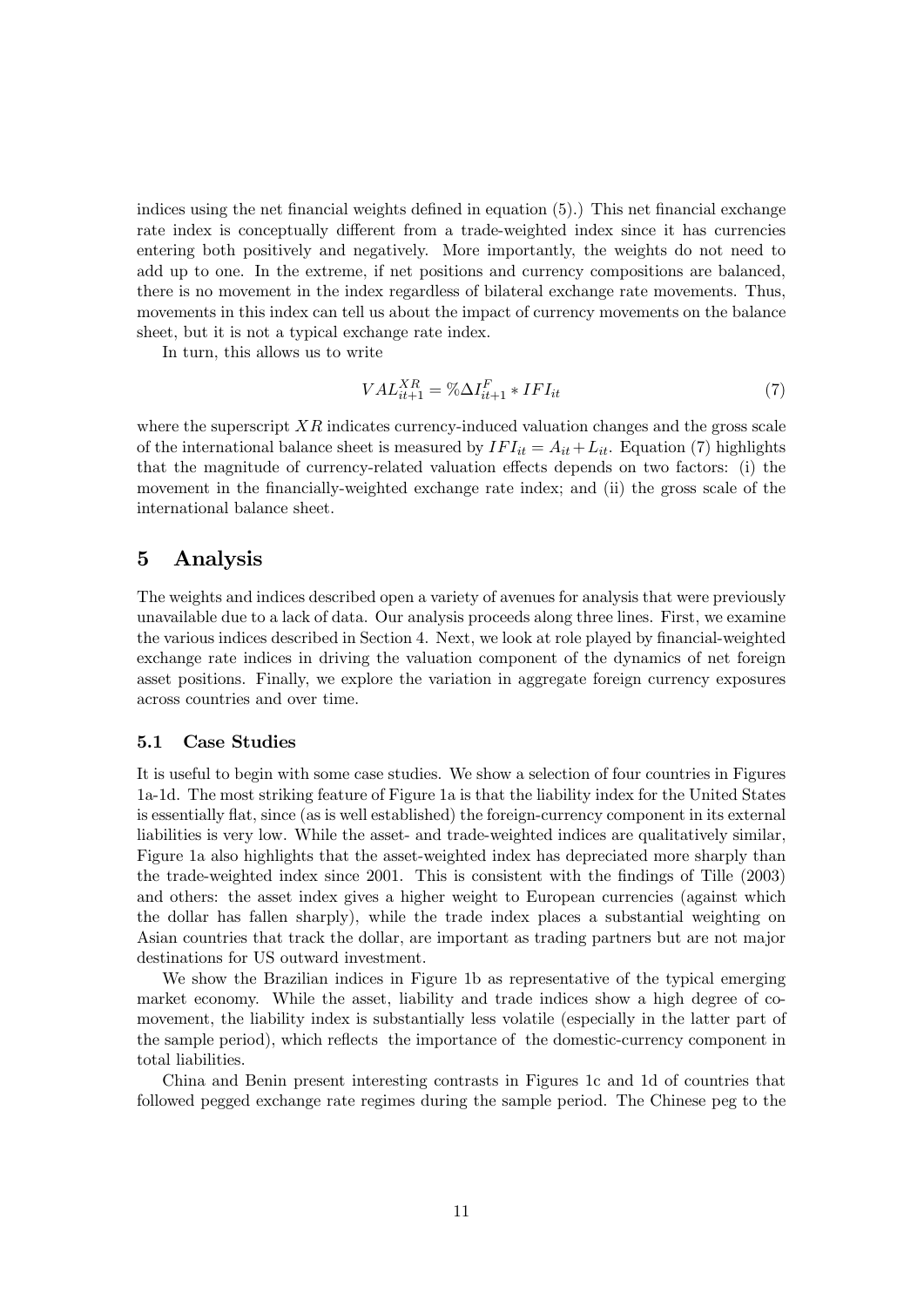indices using the net financial weights defined in equation (5).) This net financial exchange rate index is conceptually different from a trade-weighted index since it has currencies entering both positively and negatively. More importantly, the weights do not need to add up to one. In the extreme, if net positions and currency compositions are balanced, there is no movement in the index regardless of bilateral exchange rate movements. Thus, movements in this index can tell us about the impact of currency movements on the balance sheet, but it is not a typical exchange rate index.

In turn, this allows us to write

$$
VAL_{it+1}^{XR} = \% \Delta I_{it+1}^F * IFI_{it}
$$
\n<sup>(7)</sup>

where the superscript  $XR$  indicates currency-induced valuation changes and the gross scale of the international balance sheet is measured by  $IFI_{it} = A_{it} + L_{it}$ . Equation (7) highlights that the magnitude of currency-related valuation effects depends on two factors: (i) the movement in the financially-weighted exchange rate index; and (ii) the gross scale of the international balance sheet.

### 5 Analysis

The weights and indices described open a variety of avenues for analysis that were previously unavailable due to a lack of data. Our analysis proceeds along three lines. First, we examine the various indices described in Section 4. Next, we look at role played by financial-weighted exchange rate indices in driving the valuation component of the dynamics of net foreign asset positions. Finally, we explore the variation in aggregate foreign currency exposures across countries and over time.

### 5.1 Case Studies

It is useful to begin with some case studies. We show a selection of four countries in Figures 1a-1d. The most striking feature of Figure 1a is that the liability index for the United States is essentially flat, since (as is well established) the foreign-currency component in its external liabilities is very low. While the asset- and trade-weighted indices are qualitatively similar, Figure 1a also highlights that the asset-weighted index has depreciated more sharply than the trade-weighted index since 2001. This is consistent with the findings of Tille (2003) and others: the asset index gives a higher weight to European currencies (against which the dollar has fallen sharply), while the trade index places a substantial weighting on Asian countries that track the dollar, are important as trading partners but are not major destinations for US outward investment.

We show the Brazilian indices in Figure 1b as representative of the typical emerging market economy. While the asset, liability and trade indices show a high degree of comovement, the liability index is substantially less volatile (especially in the latter part of the sample period), which reflects the importance of the domestic-currency component in total liabilities.

China and Benin present interesting contrasts in Figures 1c and 1d of countries that followed pegged exchange rate regimes during the sample period. The Chinese peg to the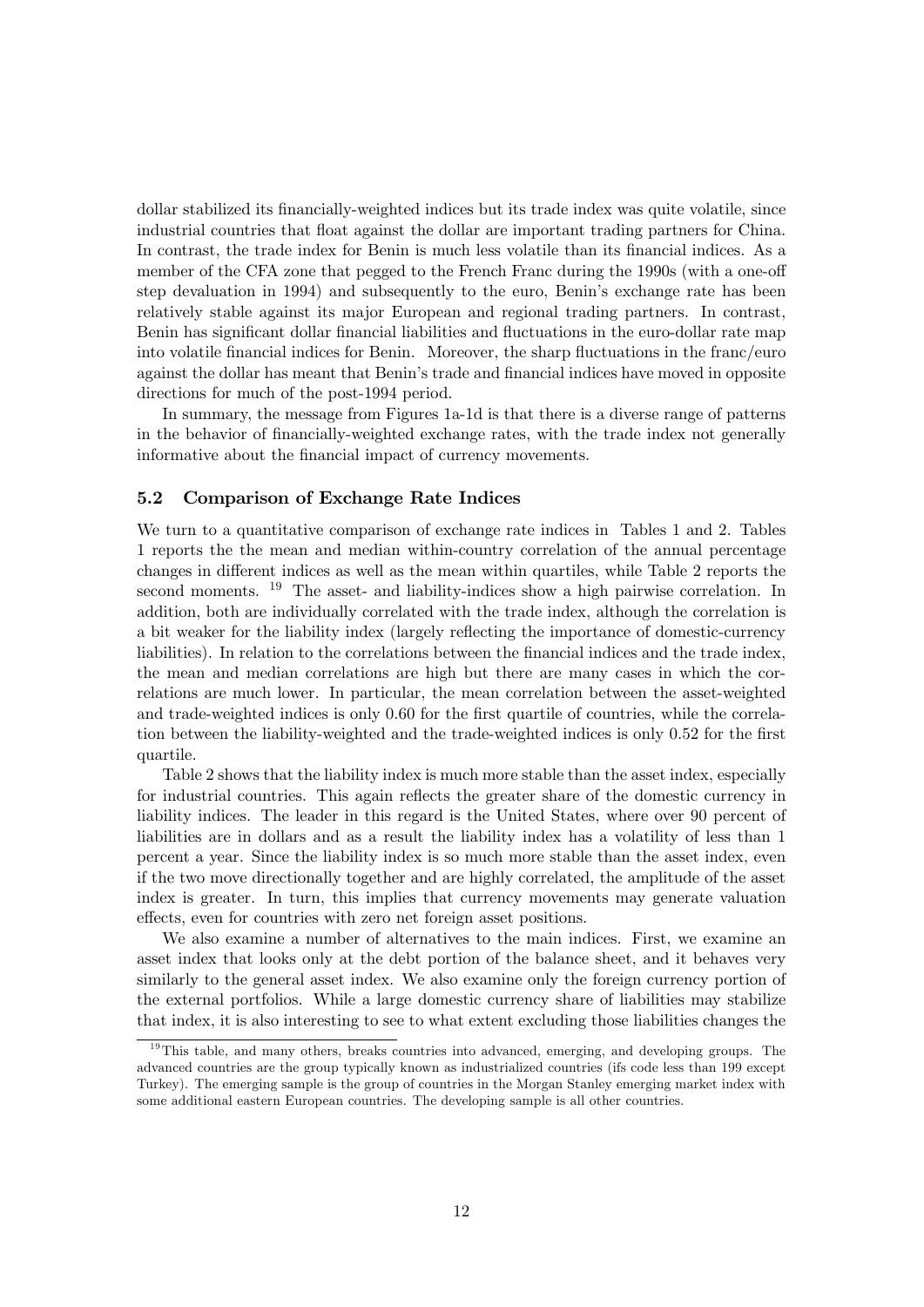dollar stabilized its financially-weighted indices but its trade index was quite volatile, since industrial countries that float against the dollar are important trading partners for China. In contrast, the trade index for Benin is much less volatile than its financial indices. As a member of the CFA zone that pegged to the French Franc during the 1990s (with a one-off step devaluation in 1994) and subsequently to the euro, Benin's exchange rate has been relatively stable against its major European and regional trading partners. In contrast, Benin has significant dollar financial liabilities and fluctuations in the euro-dollar rate map into volatile financial indices for Benin. Moreover, the sharp fluctuations in the franc/euro against the dollar has meant that Benin's trade and financial indices have moved in opposite directions for much of the post-1994 period.

In summary, the message from Figures 1a-1d is that there is a diverse range of patterns in the behavior of financially-weighted exchange rates, with the trade index not generally informative about the financial impact of currency movements.

#### 5.2 Comparison of Exchange Rate Indices

We turn to a quantitative comparison of exchange rate indices in Tables 1 and 2. Tables 1 reports the the mean and median within-country correlation of the annual percentage changes in different indices as well as the mean within quartiles, while Table 2 reports the second moments. <sup>19</sup> The asset- and liability-indices show a high pairwise correlation. In addition, both are individually correlated with the trade index, although the correlation is a bit weaker for the liability index (largely reflecting the importance of domestic-currency liabilities). In relation to the correlations between the financial indices and the trade index, the mean and median correlations are high but there are many cases in which the correlations are much lower. In particular, the mean correlation between the asset-weighted and trade-weighted indices is only 0.60 for the first quartile of countries, while the correlation between the liability-weighted and the trade-weighted indices is only 0.52 for the first quartile.

Table 2 shows that the liability index is much more stable than the asset index, especially for industrial countries. This again reflects the greater share of the domestic currency in liability indices. The leader in this regard is the United States, where over 90 percent of liabilities are in dollars and as a result the liability index has a volatility of less than 1 percent a year. Since the liability index is so much more stable than the asset index, even if the two move directionally together and are highly correlated, the amplitude of the asset index is greater. In turn, this implies that currency movements may generate valuation effects, even for countries with zero net foreign asset positions.

We also examine a number of alternatives to the main indices. First, we examine an asset index that looks only at the debt portion of the balance sheet, and it behaves very similarly to the general asset index. We also examine only the foreign currency portion of the external portfolios. While a large domestic currency share of liabilities may stabilize that index, it is also interesting to see to what extent excluding those liabilities changes the

 $19$ This table, and many others, breaks countries into advanced, emerging, and developing groups. The advanced countries are the group typically known as industrialized countries (ifs code less than 199 except Turkey). The emerging sample is the group of countries in the Morgan Stanley emerging market index with some additional eastern European countries. The developing sample is all other countries.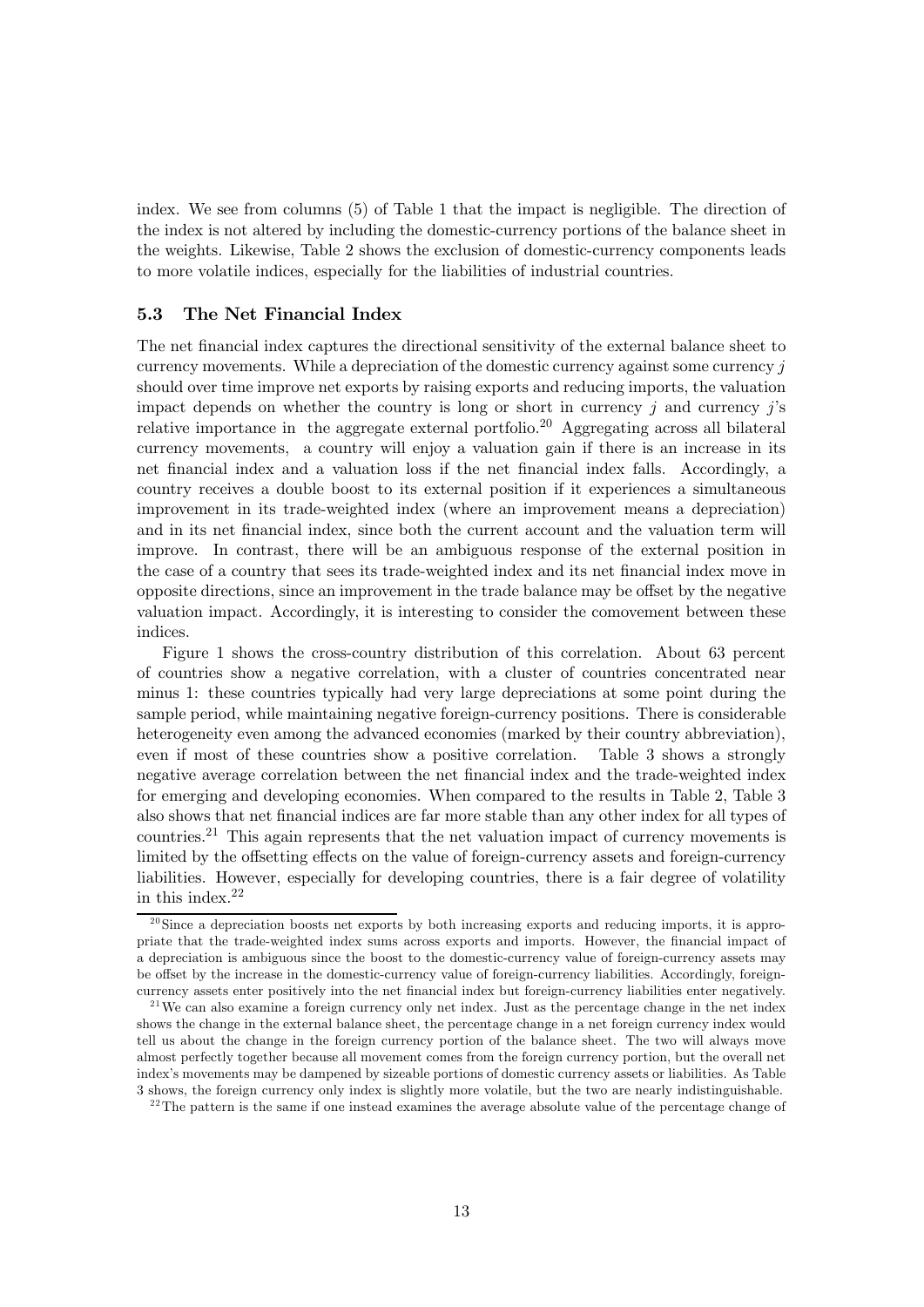index. We see from columns (5) of Table 1 that the impact is negligible. The direction of the index is not altered by including the domestic-currency portions of the balance sheet in the weights. Likewise, Table 2 shows the exclusion of domestic-currency components leads to more volatile indices, especially for the liabilities of industrial countries.

### 5.3 The Net Financial Index

The net financial index captures the directional sensitivity of the external balance sheet to currency movements. While a depreciation of the domestic currency against some currency  $\dot{\eta}$ should over time improve net exports by raising exports and reducing imports, the valuation impact depends on whether the country is long or short in currency  $j$  and currency  $j$ 's relative importance in the aggregate external portfolio.<sup>20</sup> Aggregating across all bilateral currency movements, a country will enjoy a valuation gain if there is an increase in its net financial index and a valuation loss if the net financial index falls. Accordingly, a country receives a double boost to its external position if it experiences a simultaneous improvement in its trade-weighted index (where an improvement means a depreciation) and in its net financial index, since both the current account and the valuation term will improve. In contrast, there will be an ambiguous response of the external position in the case of a country that sees its trade-weighted index and its net financial index move in opposite directions, since an improvement in the trade balance may be offset by the negative valuation impact. Accordingly, it is interesting to consider the comovement between these indices.

Figure 1 shows the cross-country distribution of this correlation. About 63 percent of countries show a negative correlation, with a cluster of countries concentrated near minus 1: these countries typically had very large depreciations at some point during the sample period, while maintaining negative foreign-currency positions. There is considerable heterogeneity even among the advanced economies (marked by their country abbreviation), even if most of these countries show a positive correlation. Table 3 shows a strongly negative average correlation between the net financial index and the trade-weighted index for emerging and developing economies. When compared to the results in Table 2, Table 3 also shows that net financial indices are far more stable than any other index for all types of countries.<sup>21</sup> This again represents that the net valuation impact of currency movements is limited by the offsetting effects on the value of foreign-currency assets and foreign-currency liabilities. However, especially for developing countries, there is a fair degree of volatility in this index.22

 $20$ Since a depreciation boosts net exports by both increasing exports and reducing imports, it is appropriate that the trade-weighted index sums across exports and imports. However, the financial impact of a depreciation is ambiguous since the boost to the domestic-currency value of foreign-currency assets may be offset by the increase in the domestic-currency value of foreign-currency liabilities. Accordingly, foreigncurrency assets enter positively into the net financial index but foreign-currency liabilities enter negatively.

 $2<sup>1</sup>$  We can also examine a foreign currency only net index. Just as the percentage change in the net index shows the change in the external balance sheet, the percentage change in a net foreign currency index would tell us about the change in the foreign currency portion of the balance sheet. The two will always move almost perfectly together because all movement comes from the foreign currency portion, but the overall net index's movements may be dampened by sizeable portions of domestic currency assets or liabilities. As Table 3 shows, the foreign currency only index is slightly more volatile, but the two are nearly indistinguishable.

<sup>&</sup>lt;sup>22</sup>The pattern is the same if one instead examines the average absolute value of the percentage change of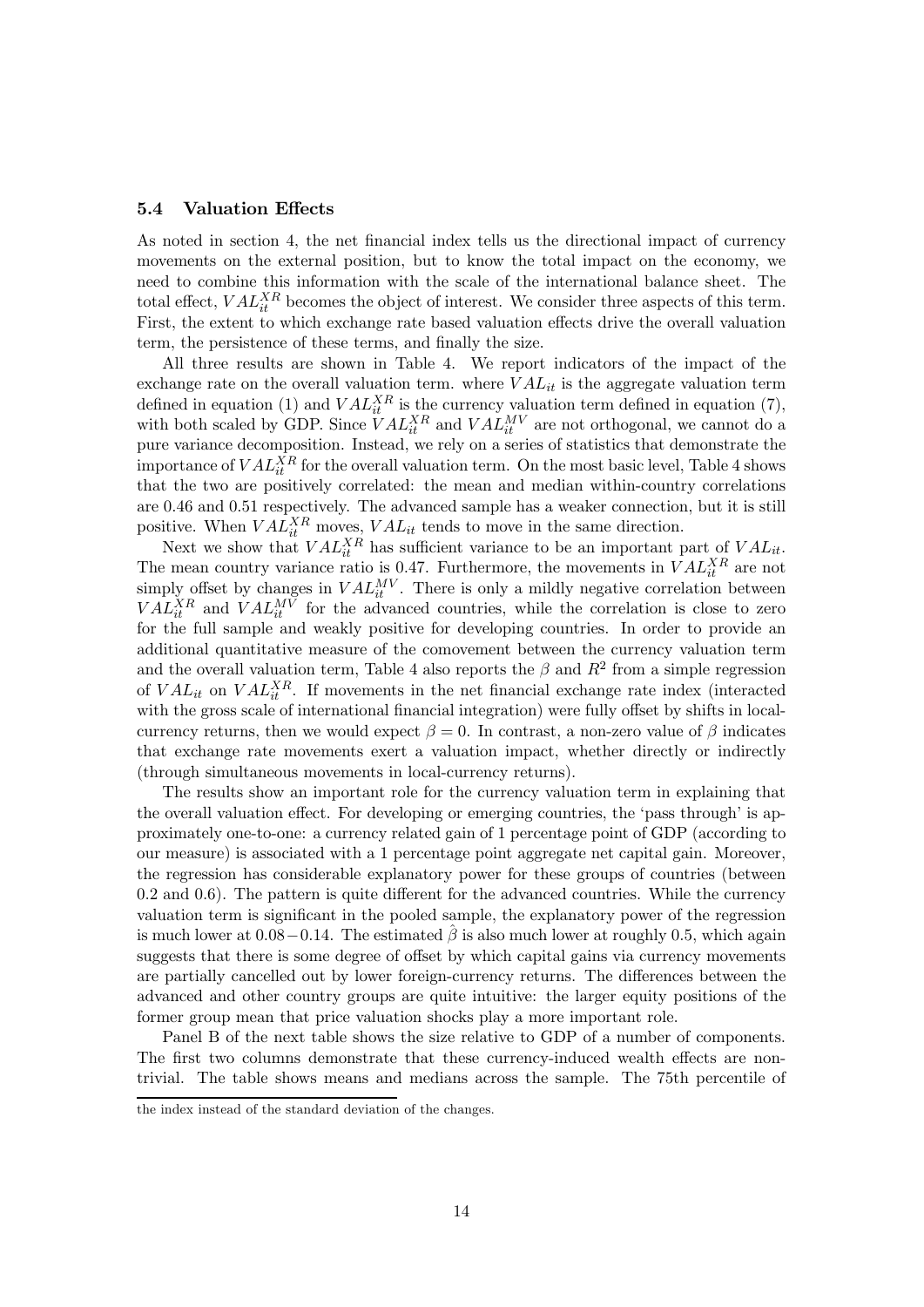### 5.4 Valuation Effects

As noted in section 4, the net financial index tells us the directional impact of currency movements on the external position, but to know the total impact on the economy, we need to combine this information with the scale of the international balance sheet. The total effect,  $VAL_{it}^{XR}$  becomes the object of interest. We consider three aspects of this term. First, the extent to which exchange rate based valuation effects drive the overall valuation term, the persistence of these terms, and finally the size.

All three results are shown in Table 4. We report indicators of the impact of the exchange rate on the overall valuation term. where  $VAL_{it}$  is the aggregate valuation term defined in equation (1) and  $VAL_{it}^{XR}$  is the currency valuation term defined in equation (7), with both scaled by GDP. Since  $VAL_{it}^{XR}$  and  $VAL_{it}^{MV}$  are not orthogonal, we cannot do a pure variance decomposition. Instead, we rely on a series of statistics that demonstrate the importance of  $VAL_{it}^{XR}$  for the overall valuation term. On the most basic level, Table 4 shows that the two are positively correlated: the mean and median within-country correlations are 0.46 and 0.51 respectively. The advanced sample has a weaker connection, but it is still positive. When  $VAL_{it}^X$  moves,  $VAL_{it}$  tends to move in the same direction.

Next we show that  $VAL_{it}^{XR}$  has sufficient variance to be an important part of  $VAL_{it}$ . The mean country variance ratio is 0.47. Furthermore, the movements in  $VAL_{it}^{XR}$  are not simply offset by changes in  $VAL_{it}^{MV}$ . There is only a mildly negative correlation between  $VAL_{it}^{XR}$  and  $VAL_{it}^{MV}$  for the advanced countries, while the correlation is close to zero for the full sample and weakly positive for developing countries. In order to provide an additional quantitative measure of the comovement between the currency valuation term and the overall valuation term, Table 4 also reports the  $\beta$  and  $R^2$  from a simple regression of  $VAL_{it}$  on  $VAL_{it}^{XR}$ . If movements in the net financial exchange rate index (interacted with the gross scale of international financial integration) were fully offset by shifts in localcurrency returns, then we would expect  $\beta = 0$ . In contrast, a non-zero value of  $\beta$  indicates that exchange rate movements exert a valuation impact, whether directly or indirectly (through simultaneous movements in local-currency returns).

The results show an important role for the currency valuation term in explaining that the overall valuation effect. For developing or emerging countries, the 'pass through' is approximately one-to-one: a currency related gain of 1 percentage point of GDP (according to our measure) is associated with a 1 percentage point aggregate net capital gain. Moreover, the regression has considerable explanatory power for these groups of countries (between  $0.2$  and  $0.6$ ). The pattern is quite different for the advanced countries. While the currency valuation term is significant in the pooled sample, the explanatory power of the regression is much lower at  $0.08-0.14$ . The estimated  $\beta$  is also much lower at roughly 0.5, which again suggests that there is some degree of offset by which capital gains via currency movements are partially cancelled out by lower foreign-currency returns. The differences between the advanced and other country groups are quite intuitive: the larger equity positions of the former group mean that price valuation shocks play a more important role.

Panel B of the next table shows the size relative to GDP of a number of components. The first two columns demonstrate that these currency-induced wealth effects are nontrivial. The table shows means and medians across the sample. The 75th percentile of

the index instead of the standard deviation of the changes.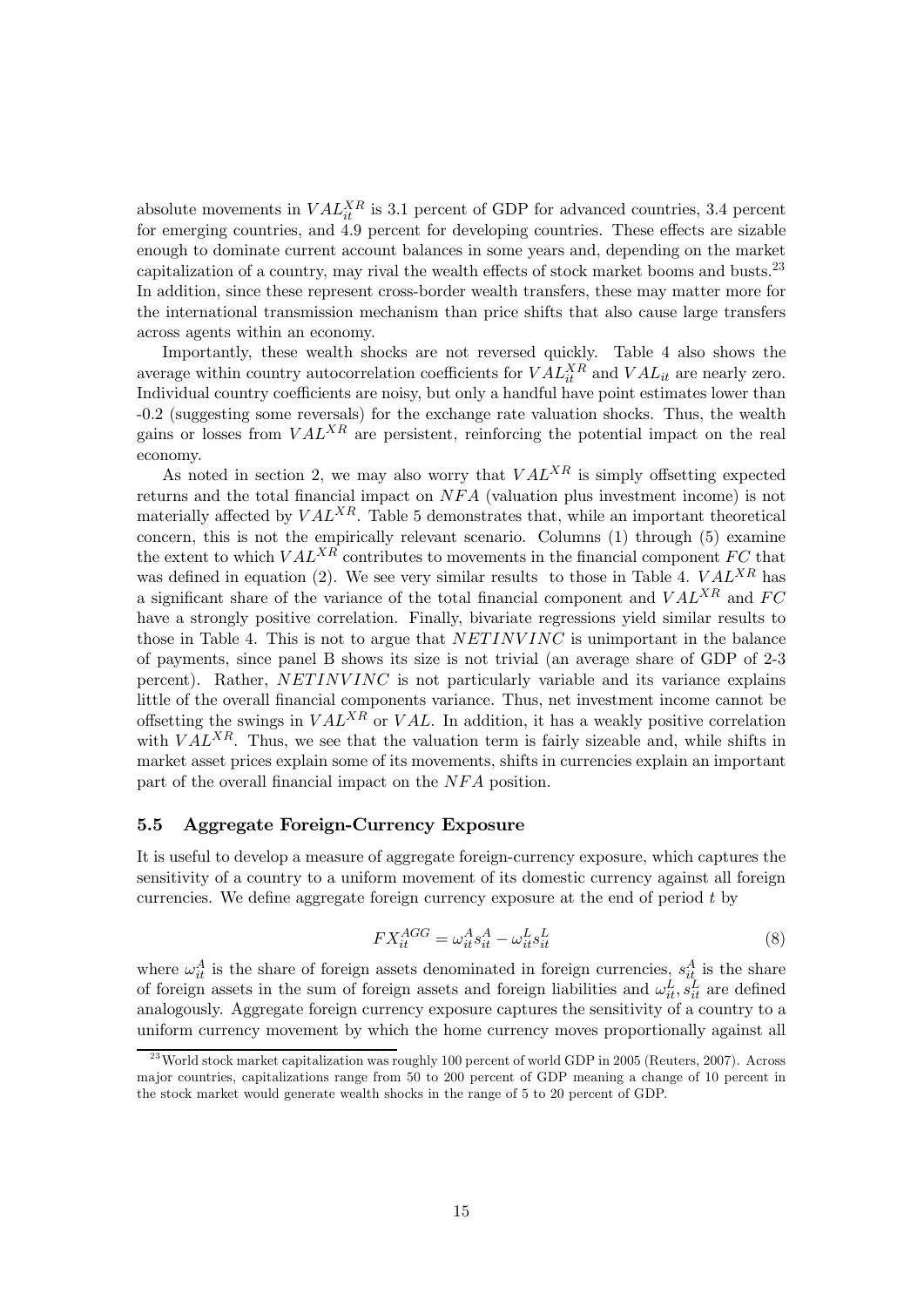absolute movements in  $VAL_{it}^{XR}$  is 3.1 percent of GDP for advanced countries, 3.4 percent for emerging countries, and  $\overline{4.9}$  percent for developing countries. These effects are sizable enough to dominate current account balances in some years and, depending on the market capitalization of a country, may rival the wealth effects of stock market booms and busts. $^{23}$ In addition, since these represent cross-border wealth transfers, these may matter more for the international transmission mechanism than price shifts that also cause large transfers across agents within an economy.

Importantly, these wealth shocks are not reversed quickly. Table 4 also shows the average within country autocorrelation coefficients for  $VAL_{it}^{XR}$  and  $VAL_{it}$  are nearly zero. Individual country coefficients are noisy, but only a handful have point estimates lower than -0.2 (suggesting some reversals) for the exchange rate valuation shocks. Thus, the wealth gains or losses from  $VAL^{XR}$  are persistent, reinforcing the potential impact on the real economy.

As noted in section 2, we may also worry that  $VAL^{XR}$  is simply offsetting expected returns and the total financial impact on  $NFA$  (valuation plus investment income) is not materially affected by  $VAL^{XR}$ . Table 5 demonstrates that, while an important theoretical concern, this is not the empirically relevant scenario. Columns (1) through (5) examine the extent to which  $VAL^{XR}$  contributes to movements in the financial component  $FC$  that was defined in equation (2). We see very similar results to those in Table 4.  $VAL^{XR}$  has a significant share of the variance of the total financial component and  $VAL^{XR}$  and  $FC$ have a strongly positive correlation. Finally, bivariate regressions yield similar results to those in Table 4. This is not to argue that  $NETINVINC$  is unimportant in the balance of payments, since panel B shows its size is not trivial (an average share of GDP of 2-3 percent). Rather,  $NETINVINC$  is not particularly variable and its variance explains little of the overall financial components variance. Thus, net investment income cannot be offsetting the swings in  $VAL^{XR}$  or  $VAL$ . In addition, it has a weakly positive correlation with  $VAL^{XR}$ . Thus, we see that the valuation term is fairly sizeable and, while shifts in market asset prices explain some of its movements, shifts in currencies explain an important part of the overall financial impact on the  $NFA$  position.

### 5.5 Aggregate Foreign-Currency Exposure

It is useful to develop a measure of aggregate foreign-currency exposure, which captures the sensitivity of a country to a uniform movement of its domestic currency against all foreign currencies. We define aggregate foreign currency exposure at the end of period  $t$  by

$$
FX_{it}^{AGG} = \omega_{it}^A s_{it}^A - \omega_{it}^L s_{it}^L
$$
\n
$$
(8)
$$

where  $\omega_{it}^A$  is the share of foreign assets denominated in foreign currencies,  $s_{it}^A$  is the share of foreign assets in the sum of foreign assets and foreign liabilities and  $\omega_{it}^L, s_{it}^L$  are defined analogously. Aggregate foreign currency exposure captures the sensitivity of a country to a uniform currency movement by which the home currency moves proportionally against all

<sup>&</sup>lt;sup>23</sup> World stock market capitalization was roughly 100 percent of world GDP in 2005 (Reuters, 2007). Across major countries, capitalizations range from 50 to 200 percent of GDP meaning a change of 10 percent in the stock market would generate wealth shocks in the range of 5 to 20 percent of GDP.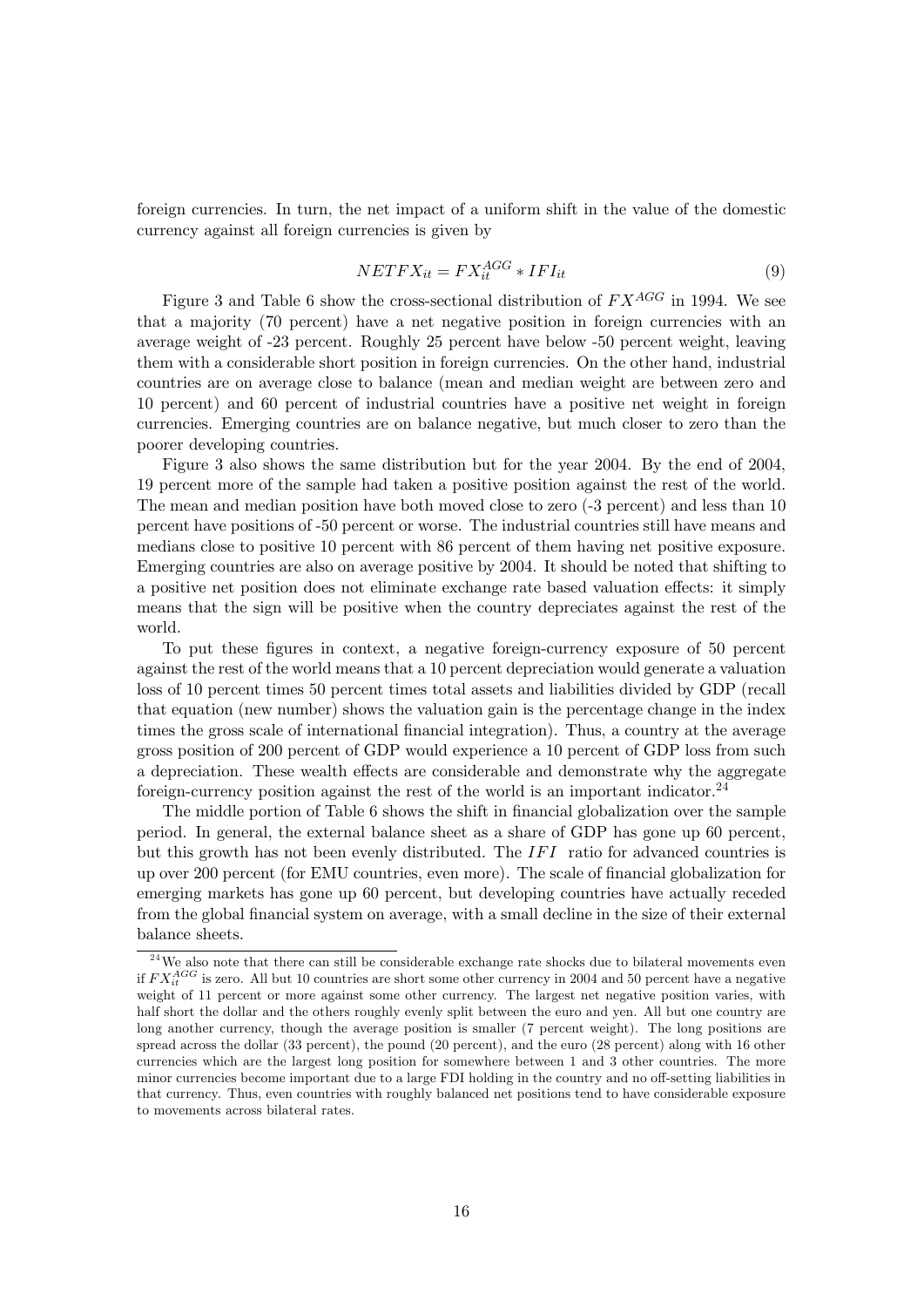foreign currencies. In turn, the net impact of a uniform shift in the value of the domestic currency against all foreign currencies is given by

$$
NETFX_{it} = FX_{it}^{AGG} * IFI_{it}
$$
\n<sup>(9)</sup>

Figure 3 and Table 6 show the cross-sectional distribution of  $FX^{AGG}$  in 1994. We see that a majority (70 percent) have a net negative position in foreign currencies with an average weight of -23 percent. Roughly 25 percent have below -50 percent weight, leaving them with a considerable short position in foreign currencies. On the other hand, industrial countries are on average close to balance (mean and median weight are between zero and 10 percent) and 60 percent of industrial countries have a positive net weight in foreign currencies. Emerging countries are on balance negative, but much closer to zero than the poorer developing countries.

Figure 3 also shows the same distribution but for the year 2004. By the end of 2004, 19 percent more of the sample had taken a positive position against the rest of the world. The mean and median position have both moved close to zero (-3 percent) and less than 10 percent have positions of -50 percent or worse. The industrial countries still have means and medians close to positive 10 percent with 86 percent of them having net positive exposure. Emerging countries are also on average positive by 2004. It should be noted that shifting to a positive net position does not eliminate exchange rate based valuation effects: it simply means that the sign will be positive when the country depreciates against the rest of the world.

To put these figures in context, a negative foreign-currency exposure of 50 percent against the rest of the world means that a 10 percent depreciation would generate a valuation loss of 10 percent times 50 percent times total assets and liabilities divided by GDP (recall that equation (new number) shows the valuation gain is the percentage change in the index times the gross scale of international financial integration). Thus, a country at the average gross position of 200 percent of GDP would experience a 10 percent of GDP loss from such a depreciation. These wealth effects are considerable and demonstrate why the aggregate foreign-currency position against the rest of the world is an important indicator.<sup>24</sup>

The middle portion of Table 6 shows the shift in financial globalization over the sample period. In general, the external balance sheet as a share of GDP has gone up 60 percent, but this growth has not been evenly distributed. The  $IFI$  ratio for advanced countries is up over 200 percent (for EMU countries, even more). The scale of financial globalization for emerging markets has gone up 60 percent, but developing countries have actually receded from the global financial system on average, with a small decline in the size of their external balance sheets.

 $24$ We also note that there can still be considerable exchange rate shocks due to bilateral movements even if  $FX_{it}^{AGG}$  is zero. All but 10 countries are short some other currency in 2004 and 50 percent have a negative weight of 11 percent or more against some other currency. The largest net negative position varies, with half short the dollar and the others roughly evenly split between the euro and yen. All but one country are long another currency, though the average position is smaller (7 percent weight). The long positions are spread across the dollar (33 percent), the pound (20 percent), and the euro (28 percent) along with 16 other currencies which are the largest long position for somewhere between 1 and 3 other countries. The more minor currencies become important due to a large FDI holding in the country and no off-setting liabilities in that currency. Thus, even countries with roughly balanced net positions tend to have considerable exposure to movements across bilateral rates.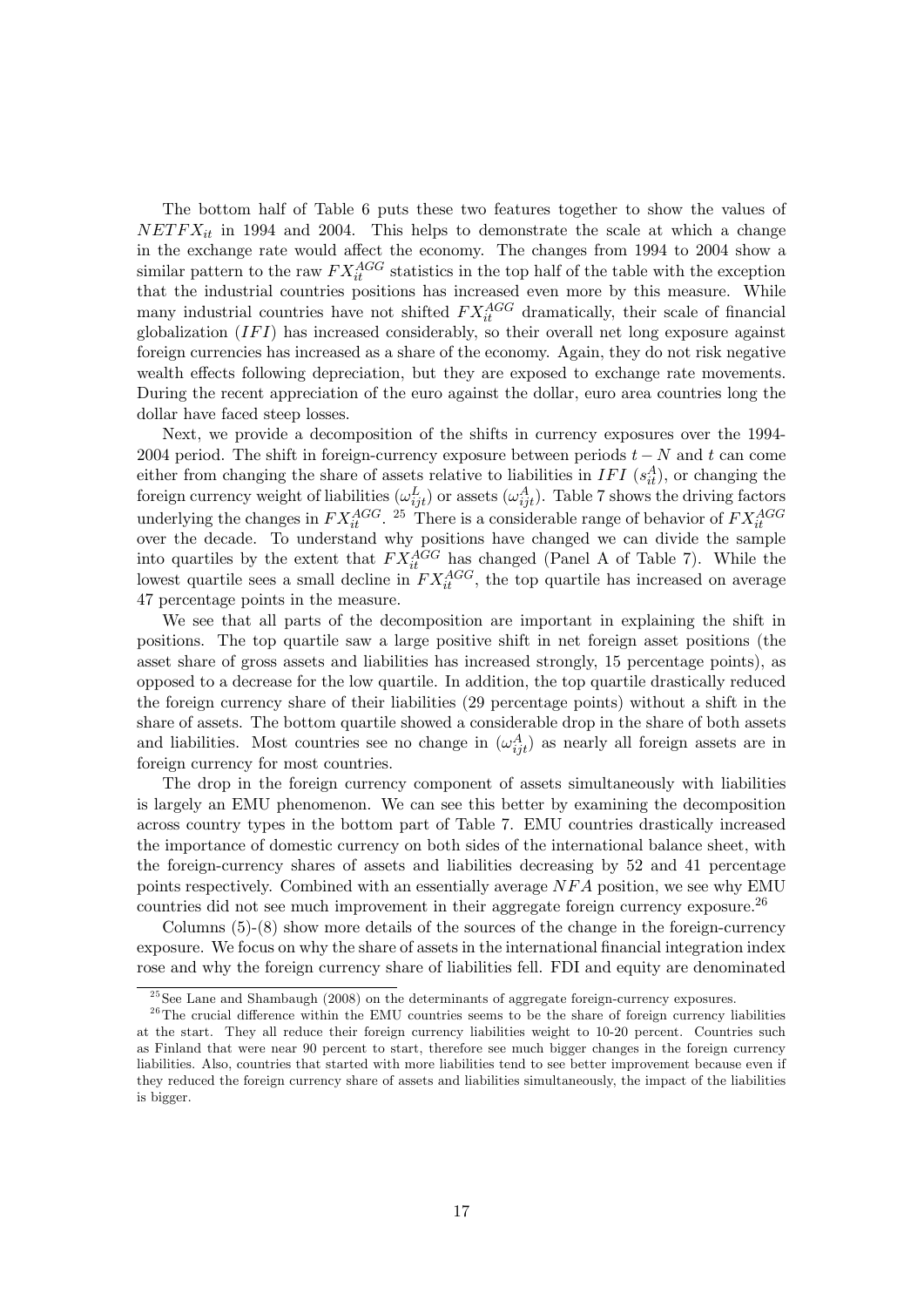The bottom half of Table 6 puts these two features together to show the values of  $NETFX_{it}$  in 1994 and 2004. This helps to demonstrate the scale at which a change in the exchange rate would affect the economy. The changes from  $1994$  to  $2004$  show a similar pattern to the raw  $FX_{it}^{AGG}$  statistics in the top half of the table with the exception that the industrial countries positions has increased even more by this measure. While many industrial countries have not shifted  $FX_{it}^{AGG}$  dramatically, their scale of financial globalization  $(IFI)$  has increased considerably, so their overall net long exposure against foreign currencies has increased as a share of the economy. Again, they do not risk negative wealth effects following depreciation, but they are exposed to exchange rate movements. During the recent appreciation of the euro against the dollar, euro area countries long the dollar have faced steep losses.

Next, we provide a decomposition of the shifts in currency exposures over the 1994- 2004 period. The shift in foreign-currency exposure between periods  $t - N$  and t can come either from changing the share of assets relative to liabilities in IFI  $(s_{it}^A)$ , or changing the foreign currency weight of liabilities  $(\omega_{ijt}^L)$  or assets  $(\omega_{ijt}^A)$ . Table 7 shows the driving factors underlying the changes in  $FX_{it}^{AGG}$ . <sup>25</sup> There is a considerable range of behavior of  $FX_{it}^{AGG}$ over the decade. To understand why positions have changed we can divide the sample into quartiles by the extent that  $FX_{it}^{AGG}$  has changed (Panel A of Table 7). While the lowest quartile sees a small decline in  $FX_{it}^{AGG}$ , the top quartile has increased on average 47 percentage points in the measure.

We see that all parts of the decomposition are important in explaining the shift in positions. The top quartile saw a large positive shift in net foreign asset positions (the asset share of gross assets and liabilities has increased strongly, 15 percentage points), as opposed to a decrease for the low quartile. In addition, the top quartile drastically reduced the foreign currency share of their liabilities (29 percentage points) without a shift in the share of assets. The bottom quartile showed a considerable drop in the share of both assets and liabilities. Most countries see no change in  $(\omega_{ijt}^A)$  as nearly all foreign assets are in foreign currency for most countries.

The drop in the foreign currency component of assets simultaneously with liabilities is largely an EMU phenomenon. We can see this better by examining the decomposition across country types in the bottom part of Table 7. EMU countries drastically increased the importance of domestic currency on both sides of the international balance sheet, with the foreign-currency shares of assets and liabilities decreasing by 52 and 41 percentage points respectively. Combined with an essentially average  $NFA$  position, we see why EMU countries did not see much improvement in their aggregate foreign currency exposure.<sup>26</sup>

Columns  $(5)-(8)$  show more details of the sources of the change in the foreign-currency exposure. We focus on why the share of assets in the international financial integration index rose and why the foreign currency share of liabilities fell. FDI and equity are denominated

 $^{25}$ See Lane and Shambaugh (2008) on the determinants of aggregate foreign-currency exposures.

 $2<sup>6</sup>$ The crucial difference within the EMU countries seems to be the share of foreign currency liabilities at the start. They all reduce their foreign currency liabilities weight to 10-20 percent. Countries such as Finland that were near 90 percent to start, therefore see much bigger changes in the foreign currency liabilities. Also, countries that started with more liabilities tend to see better improvement because even if they reduced the foreign currency share of assets and liabilities simultaneously, the impact of the liabilities is bigger.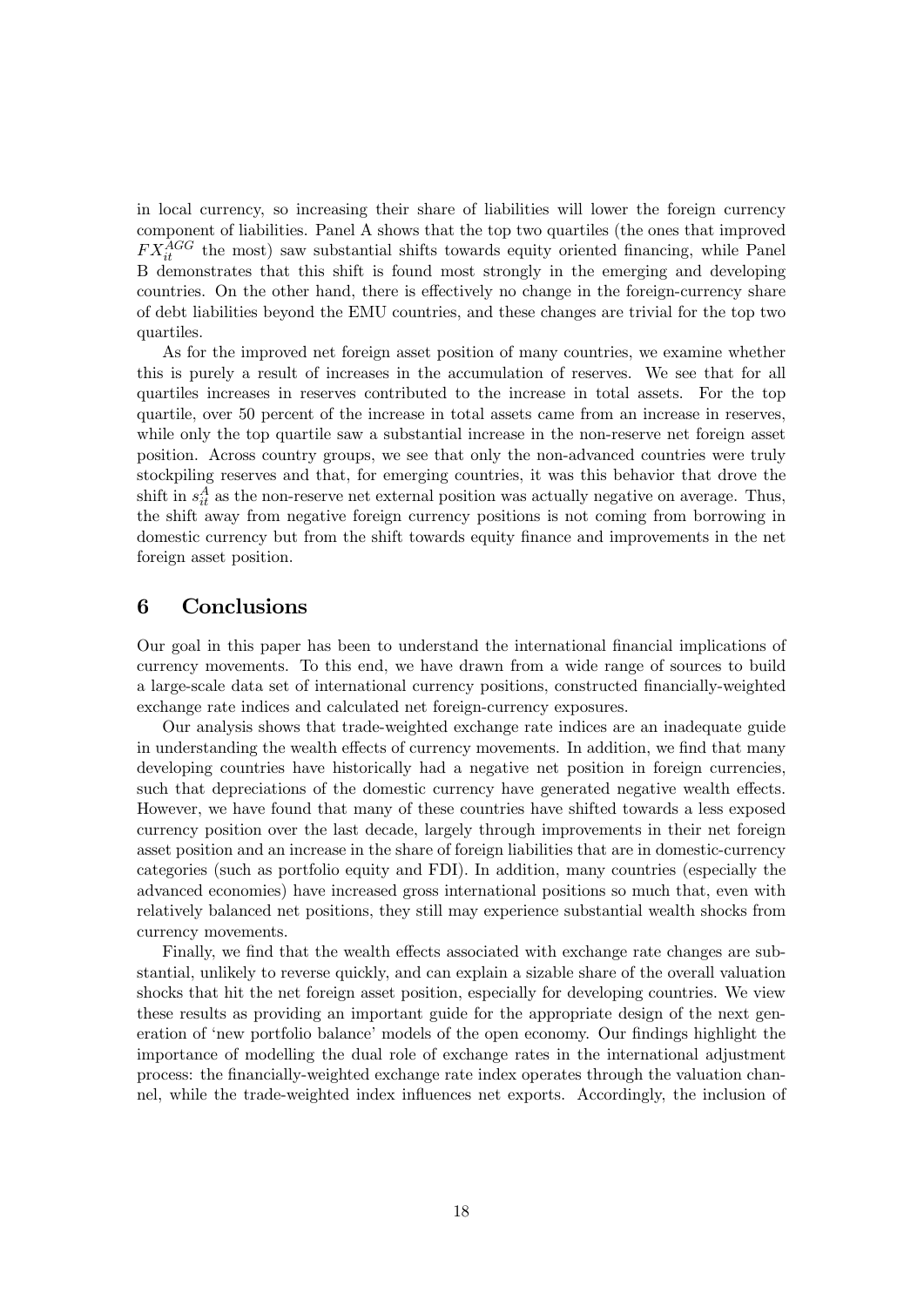in local currency, so increasing their share of liabilities will lower the foreign currency component of liabilities. Panel A shows that the top two quartiles (the ones that improved  $FX_{it}^{AGG}$  the most) saw substantial shifts towards equity oriented financing, while Panel B demonstrates that this shift is found most strongly in the emerging and developing countries. On the other hand, there is effectively no change in the foreign-currency share of debt liabilities beyond the EMU countries, and these changes are trivial for the top two quartiles.

As for the improved net foreign asset position of many countries, we examine whether this is purely a result of increases in the accumulation of reserves. We see that for all quartiles increases in reserves contributed to the increase in total assets. For the top quartile, over 50 percent of the increase in total assets came from an increase in reserves, while only the top quartile saw a substantial increase in the non-reserve net foreign asset position. Across country groups, we see that only the non-advanced countries were truly stockpiling reserves and that, for emerging countries, it was this behavior that drove the shift in  $s_{it}^A$  as the non-reserve net external position was actually negative on average. Thus, the shift away from negative foreign currency positions is not coming from borrowing in domestic currency but from the shift towards equity finance and improvements in the net foreign asset position.

### 6 Conclusions

Our goal in this paper has been to understand the international financial implications of currency movements. To this end, we have drawn from a wide range of sources to build a large-scale data set of international currency positions, constructed financially-weighted exchange rate indices and calculated net foreign-currency exposures.

Our analysis shows that trade-weighted exchange rate indices are an inadequate guide in understanding the wealth effects of currency movements. In addition, we find that many developing countries have historically had a negative net position in foreign currencies, such that depreciations of the domestic currency have generated negative wealth effects. However, we have found that many of these countries have shifted towards a less exposed currency position over the last decade, largely through improvements in their net foreign asset position and an increase in the share of foreign liabilities that are in domestic-currency categories (such as portfolio equity and FDI). In addition, many countries (especially the advanced economies) have increased gross international positions so much that, even with relatively balanced net positions, they still may experience substantial wealth shocks from currency movements.

Finally, we find that the wealth effects associated with exchange rate changes are substantial, unlikely to reverse quickly, and can explain a sizable share of the overall valuation shocks that hit the net foreign asset position, especially for developing countries. We view these results as providing an important guide for the appropriate design of the next generation of 'new portfolio balance' models of the open economy. Our findings highlight the importance of modelling the dual role of exchange rates in the international adjustment process: the financially-weighted exchange rate index operates through the valuation channel, while the trade-weighted index influences net exports. Accordingly, the inclusion of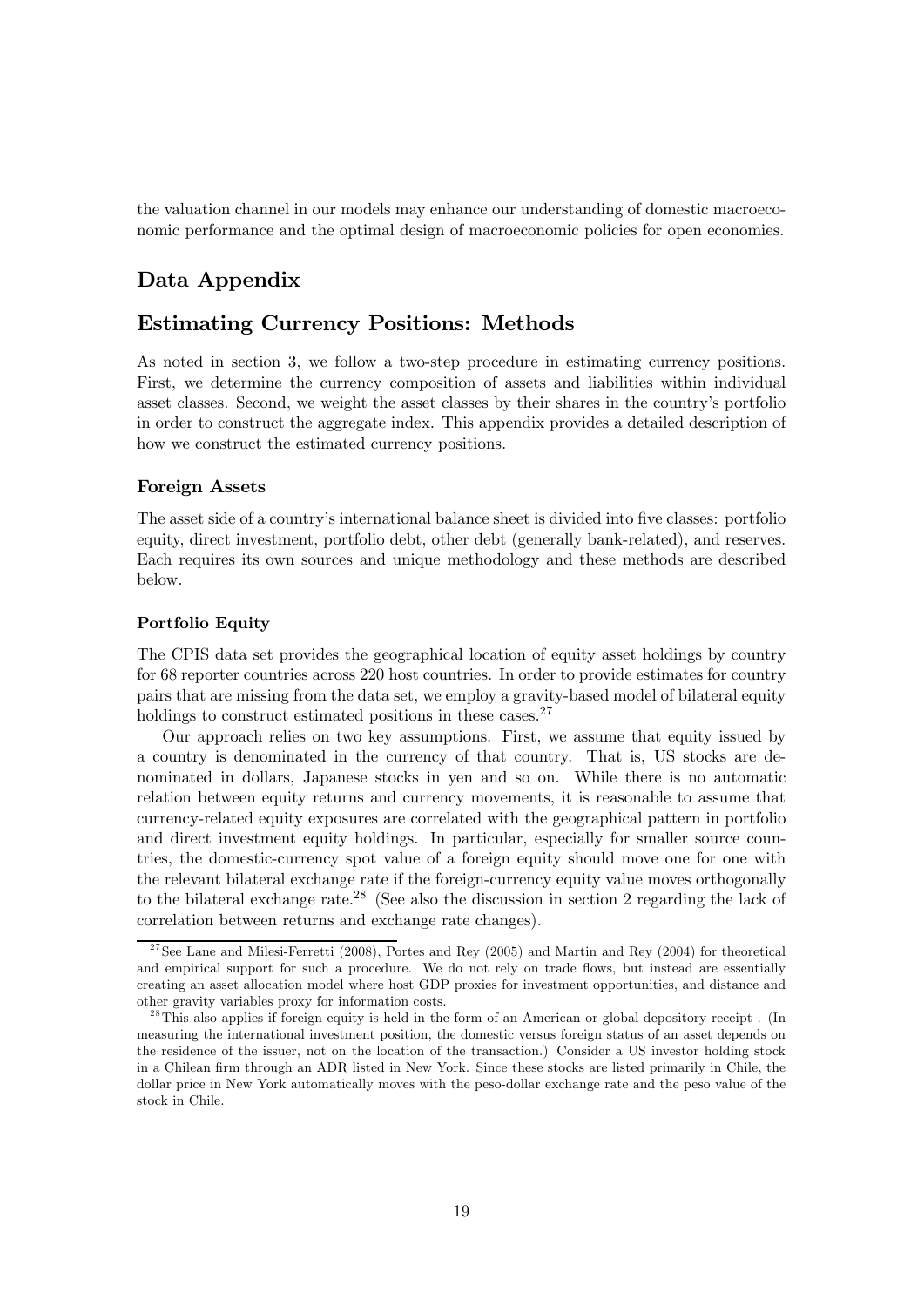the valuation channel in our models may enhance our understanding of domestic macroeconomic performance and the optimal design of macroeconomic policies for open economies.

### Data Appendix

### Estimating Currency Positions: Methods

As noted in section 3, we follow a two-step procedure in estimating currency positions. First, we determine the currency composition of assets and liabilities within individual asset classes. Second, we weight the asset classes by their shares in the country's portfolio in order to construct the aggregate index. This appendix provides a detailed description of how we construct the estimated currency positions.

### Foreign Assets

The asset side of a country's international balance sheet is divided into five classes: portfolio equity, direct investment, portfolio debt, other debt (generally bank-related), and reserves. Each requires its own sources and unique methodology and these methods are described below.

### Portfolio Equity

The CPIS data set provides the geographical location of equity asset holdings by country for 68 reporter countries across 220 host countries. In order to provide estimates for country pairs that are missing from the data set, we employ a gravity-based model of bilateral equity holdings to construct estimated positions in these cases.<sup>27</sup>

Our approach relies on two key assumptions. First, we assume that equity issued by a country is denominated in the currency of that country. That is, US stocks are denominated in dollars, Japanese stocks in yen and so on. While there is no automatic relation between equity returns and currency movements, it is reasonable to assume that currency-related equity exposures are correlated with the geographical pattern in portfolio and direct investment equity holdings. In particular, especially for smaller source countries, the domestic-currency spot value of a foreign equity should move one for one with the relevant bilateral exchange rate if the foreign-currency equity value moves orthogonally to the bilateral exchange rate.<sup>28</sup> (See also the discussion in section 2 regarding the lack of correlation between returns and exchange rate changes).

 $27$ See Lane and Milesi-Ferretti (2008), Portes and Rey (2005) and Martin and Rey (2004) for theoretical and empirical support for such a procedure. We do not rely on trade flows, but instead are essentially creating an asset allocation model where host GDP proxies for investment opportunities, and distance and other gravity variables proxy for information costs.

<sup>&</sup>lt;sup>28</sup>This also applies if foreign equity is held in the form of an American or global depository receipt. (In measuring the international investment position, the domestic versus foreign status of an asset depends on the residence of the issuer, not on the location of the transaction.) Consider a US investor holding stock in a Chilean firm through an ADR listed in New York. Since these stocks are listed primarily in Chile, the dollar price in New York automatically moves with the peso-dollar exchange rate and the peso value of the stock in Chile.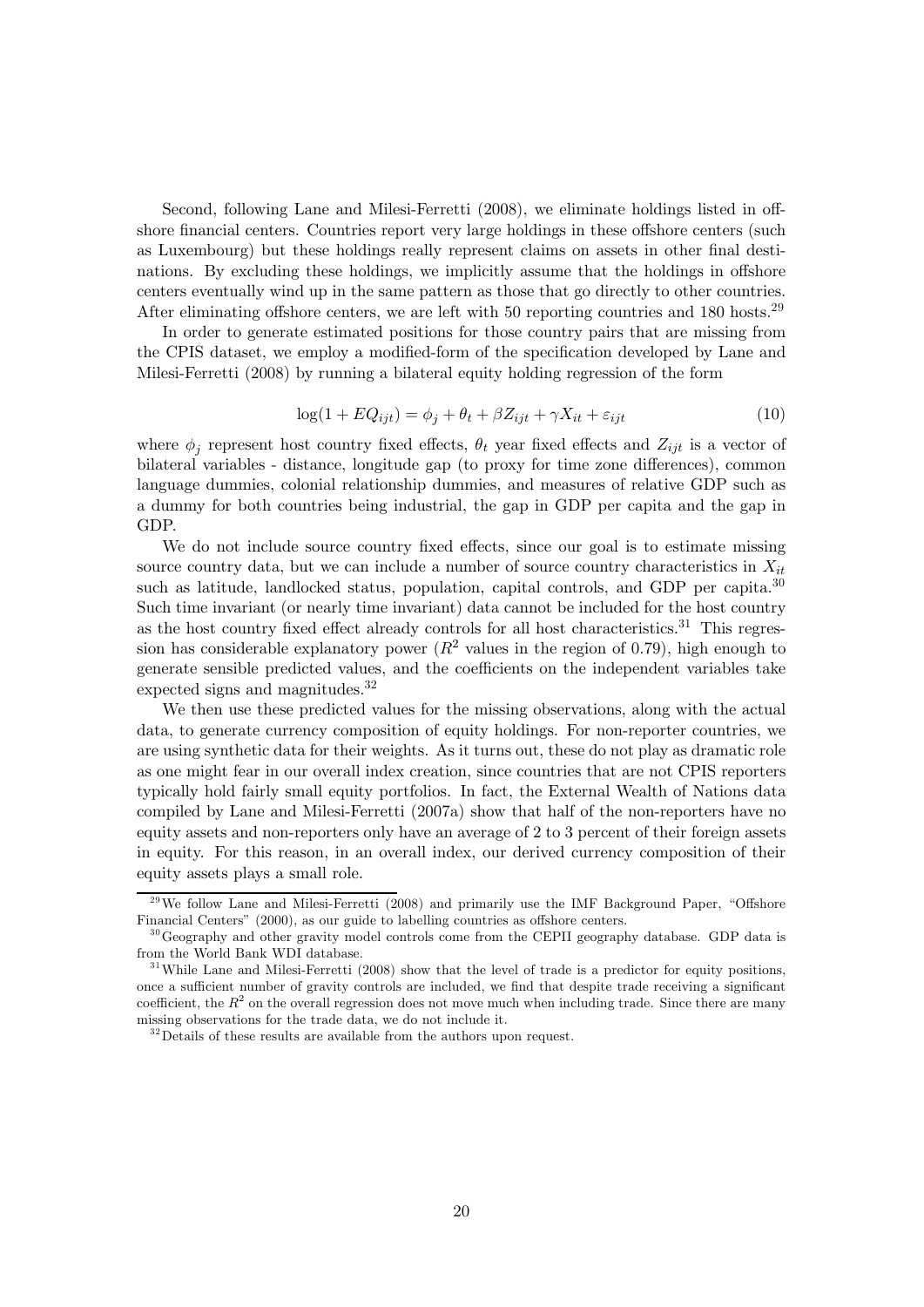Second, following Lane and Milesi-Ferretti  $(2008)$ , we eliminate holdings listed in offshore financial centers. Countries report very large holdings in these offshore centers (such as Luxembourg) but these holdings really represent claims on assets in other final destinations. By excluding these holdings, we implicitly assume that the holdings in offshore centers eventually wind up in the same pattern as those that go directly to other countries. After eliminating offshore centers, we are left with 50 reporting countries and 180 hosts.<sup>29</sup>

In order to generate estimated positions for those country pairs that are missing from the CPIS dataset, we employ a modified-form of the specification developed by Lane and Milesi-Ferretti (2008) by running a bilateral equity holding regression of the form

$$
\log(1 + EQ_{ijt}) = \phi_j + \theta_t + \beta Z_{ijt} + \gamma X_{it} + \varepsilon_{ijt}
$$
\n(10)

where  $\phi_i$  represent host country fixed effects,  $\theta_t$  year fixed effects and  $Z_{ijt}$  is a vector of bilateral variables - distance, longitude gap (to proxy for time zone differences), common language dummies, colonial relationship dummies, and measures of relative GDP such as a dummy for both countries being industrial, the gap in GDP per capita and the gap in GDP.

We do not include source country fixed effects, since our goal is to estimate missing source country data, but we can include a number of source country characteristics in  $X_{it}$ such as latitude, landlocked status, population, capital controls, and GDP per capita.<sup>30</sup> Such time invariant (or nearly time invariant) data cannot be included for the host country as the host country fixed effect already controls for all host characteristics.<sup>31</sup> This regression has considerable explanatory power  $(R^2$  values in the region of 0.79), high enough to generate sensible predicted values, and the coefficients on the independent variables take expected signs and magnitudes.<sup>32</sup>

We then use these predicted values for the missing observations, along with the actual data, to generate currency composition of equity holdings. For non-reporter countries, we are using synthetic data for their weights. As it turns out, these do not play as dramatic role as one might fear in our overall index creation, since countries that are not CPIS reporters typically hold fairly small equity portfolios. In fact, the External Wealth of Nations data compiled by Lane and Milesi-Ferretti (2007a) show that half of the non-reporters have no equity assets and non-reporters only have an average of 2 to 3 percent of their foreign assets in equity. For this reason, in an overall index, our derived currency composition of their equity assets plays a small role.

 $^{29}$ We follow Lane and Milesi-Ferretti (2008) and primarily use the IMF Background Paper, "Offshore Financial Centers" (2000), as our guide to labelling countries as offshore centers.

 $30\,\text{Geography}$  and other gravity model controls come from the CEPII geography database. GDP data is from the World Bank WDI database.

 $31$ While Lane and Milesi-Ferretti (2008) show that the level of trade is a predictor for equity positions, once a sufficient number of gravity controls are included, we find that despite trade receiving a significant coefficient, the  $R<sup>2</sup>$  on the overall regression does not move much when including trade. Since there are many missing observations for the trade data, we do not include it.

 $32$  Details of these results are available from the authors upon request.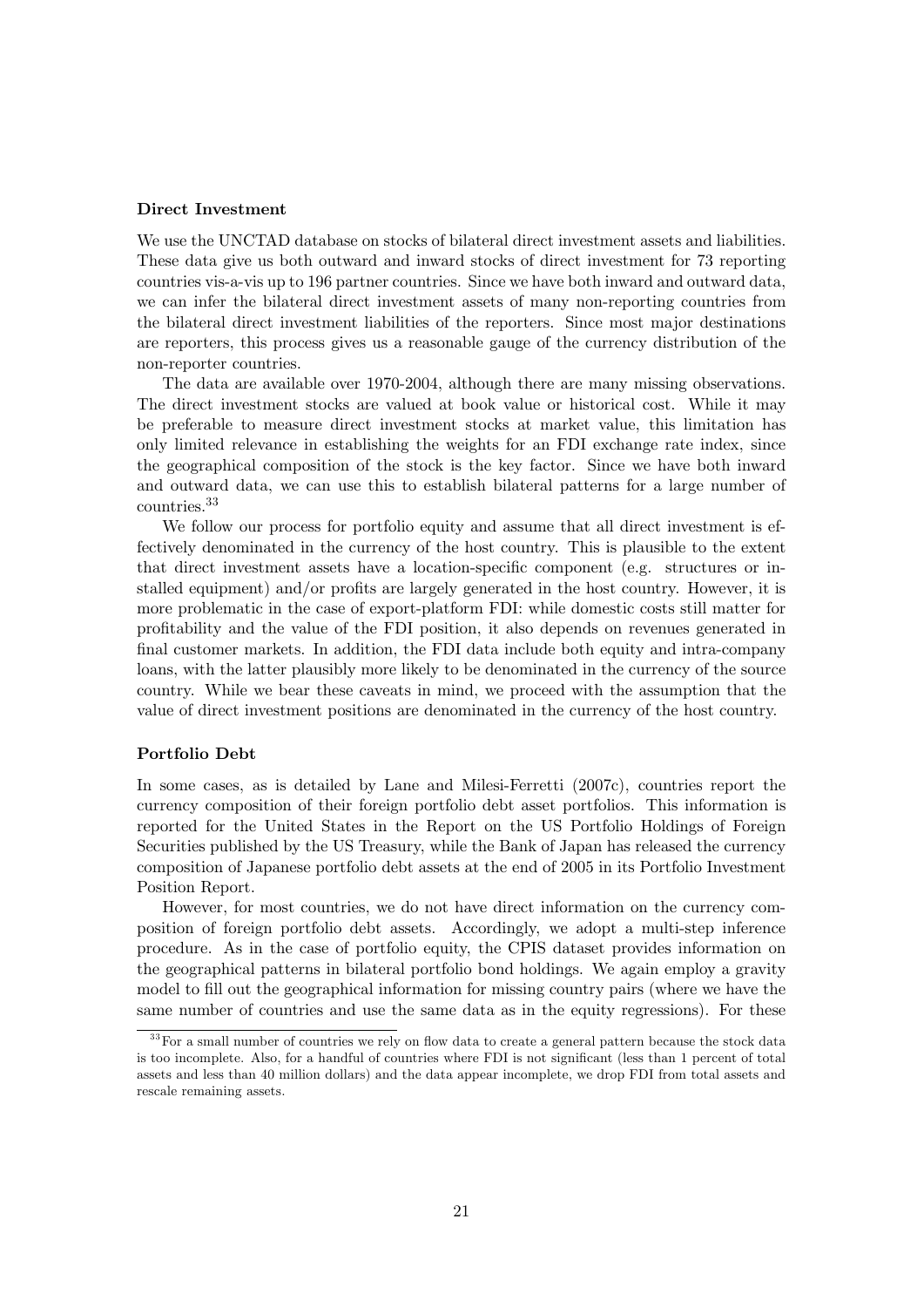#### Direct Investment

We use the UNCTAD database on stocks of bilateral direct investment assets and liabilities. These data give us both outward and inward stocks of direct investment for 73 reporting countries vis-a-vis up to 196 partner countries. Since we have both inward and outward data, we can infer the bilateral direct investment assets of many non-reporting countries from the bilateral direct investment liabilities of the reporters. Since most major destinations are reporters, this process gives us a reasonable gauge of the currency distribution of the non-reporter countries.

The data are available over 1970-2004, although there are many missing observations. The direct investment stocks are valued at book value or historical cost. While it may be preferable to measure direct investment stocks at market value, this limitation has only limited relevance in establishing the weights for an FDI exchange rate index, since the geographical composition of the stock is the key factor. Since we have both inward and outward data, we can use this to establish bilateral patterns for a large number of countries.<sup>33</sup>

We follow our process for portfolio equity and assume that all direct investment is effectively denominated in the currency of the host country. This is plausible to the extent that direct investment assets have a location-specific component (e.g. structures or installed equipment) and/or profits are largely generated in the host country. However, it is more problematic in the case of export-platform FDI: while domestic costs still matter for profitability and the value of the FDI position, it also depends on revenues generated in final customer markets. In addition, the FDI data include both equity and intra-company loans, with the latter plausibly more likely to be denominated in the currency of the source country. While we bear these caveats in mind, we proceed with the assumption that the value of direct investment positions are denominated in the currency of the host country.

#### Portfolio Debt

In some cases, as is detailed by Lane and Milesi-Ferretti (2007c), countries report the currency composition of their foreign portfolio debt asset portfolios. This information is reported for the United States in the Report on the US Portfolio Holdings of Foreign Securities published by the US Treasury, while the Bank of Japan has released the currency composition of Japanese portfolio debt assets at the end of 2005 in its Portfolio Investment Position Report.

However, for most countries, we do not have direct information on the currency composition of foreign portfolio debt assets. Accordingly, we adopt a multi-step inference procedure. As in the case of portfolio equity, the CPIS dataset provides information on the geographical patterns in bilateral portfolio bond holdings. We again employ a gravity model to fill out the geographical information for missing country pairs (where we have the same number of countries and use the same data as in the equity regressions). For these

<sup>&</sup>lt;sup>33</sup> For a small number of countries we rely on flow data to create a general pattern because the stock data is too incomplete. Also, for a handful of countries where FDI is not significant (less than 1 percent of total assets and less than 40 million dollars) and the data appear incomplete, we drop FDI from total assets and rescale remaining assets.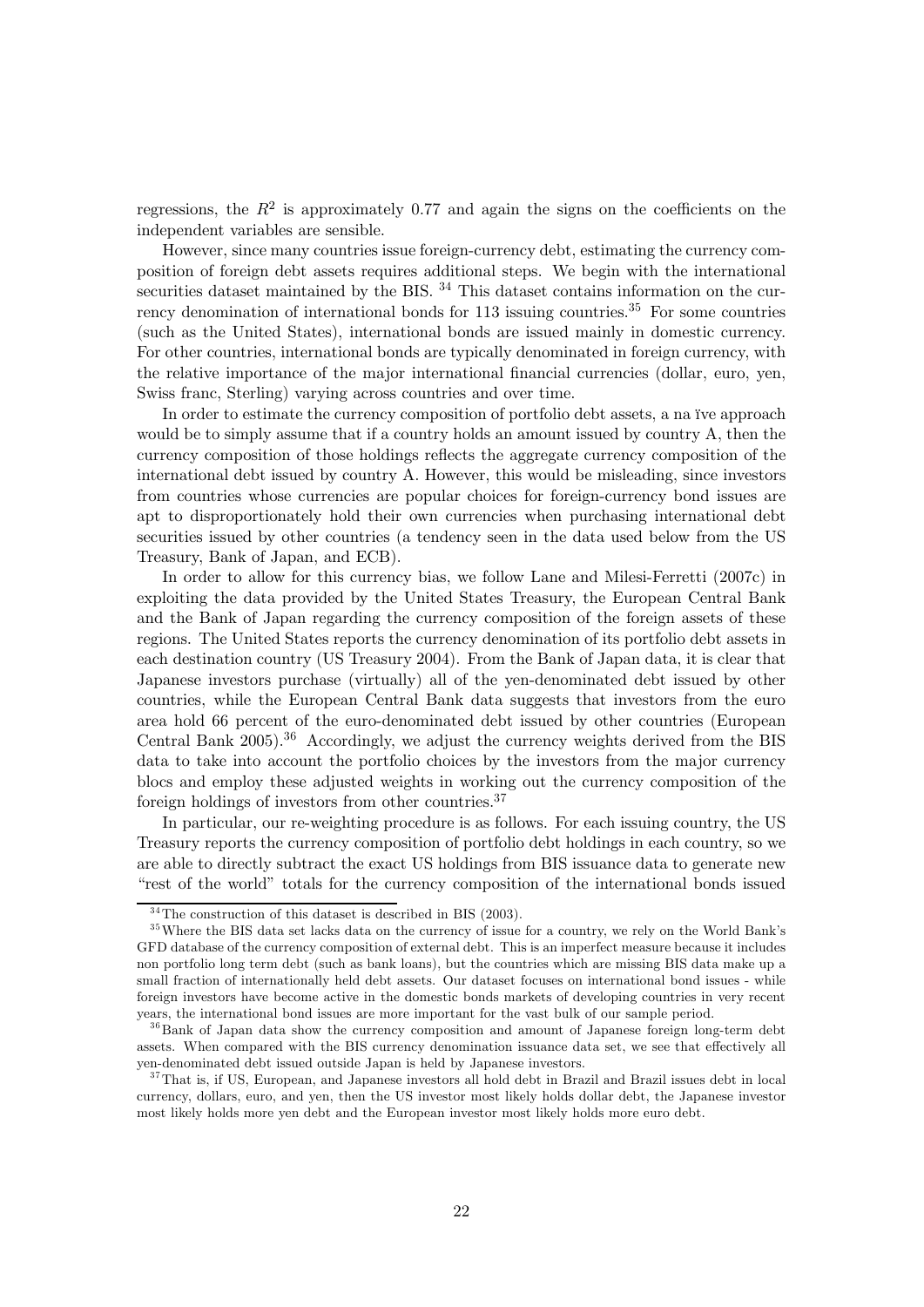regressions, the  $R^2$  is approximately 0.77 and again the signs on the coefficients on the independent variables are sensible.

However, since many countries issue foreign-currency debt, estimating the currency composition of foreign debt assets requires additional steps. We begin with the international securities dataset maintained by the BIS.<sup>34</sup> This dataset contains information on the currency denomination of international bonds for  $113$  issuing countries.<sup>35</sup> For some countries (such as the United States), international bonds are issued mainly in domestic currency. For other countries, international bonds are typically denominated in foreign currency, with the relative importance of the major international financial currencies (dollar, euro, yen, Swiss franc, Sterling) varying across countries and over time.

In order to estimate the currency composition of portfolio debt assets, a na ïve approach would be to simply assume that if a country holds an amount issued by country A, then the currency composition of those holdings reflects the aggregate currency composition of the international debt issued by country A. However, this would be misleading, since investors from countries whose currencies are popular choices for foreign-currency bond issues are apt to disproportionately hold their own currencies when purchasing international debt securities issued by other countries (a tendency seen in the data used below from the US Treasury, Bank of Japan, and ECB).

In order to allow for this currency bias, we follow Lane and Milesi-Ferretti (2007c) in exploiting the data provided by the United States Treasury, the European Central Bank and the Bank of Japan regarding the currency composition of the foreign assets of these regions. The United States reports the currency denomination of its portfolio debt assets in each destination country (US Treasury 2004). From the Bank of Japan data, it is clear that Japanese investors purchase (virtually) all of the yen-denominated debt issued by other countries, while the European Central Bank data suggests that investors from the euro area hold 66 percent of the euro-denominated debt issued by other countries (European Central Bank 2005).<sup>36</sup> Accordingly, we adjust the currency weights derived from the BIS data to take into account the portfolio choices by the investors from the major currency blocs and employ these adjusted weights in working out the currency composition of the foreign holdings of investors from other countries.37

In particular, our re-weighting procedure is as follows. For each issuing country, the US Treasury reports the currency composition of portfolio debt holdings in each country, so we are able to directly subtract the exact US holdings from BIS issuance data to generate new "rest of the world" totals for the currency composition of the international bonds issued

 $34$ The construction of this dataset is described in BIS (2003).

<sup>&</sup>lt;sup>35</sup> Where the BIS data set lacks data on the currency of issue for a country, we rely on the World Bank's GFD database of the currency composition of external debt. This is an imperfect measure because it includes non portfolio long term debt (such as bank loans), but the countries which are missing BIS data make up a small fraction of internationally held debt assets. Our dataset focuses on international bond issues - while foreign investors have become active in the domestic bonds markets of developing countries in very recent years, the international bond issues are more important for the vast bulk of our sample period.

<sup>&</sup>lt;sup>36</sup>Bank of Japan data show the currency composition and amount of Japanese foreign long-term debt assets. When compared with the BIS currency denomination issuance data set, we see that effectively all yen-denominated debt issued outside Japan is held by Japanese investors.

<sup>&</sup>lt;sup>37</sup>That is, if US, European, and Japanese investors all hold debt in Brazil and Brazil issues debt in local currency, dollars, euro, and yen, then the US investor most likely holds dollar debt, the Japanese investor most likely holds more yen debt and the European investor most likely holds more euro debt.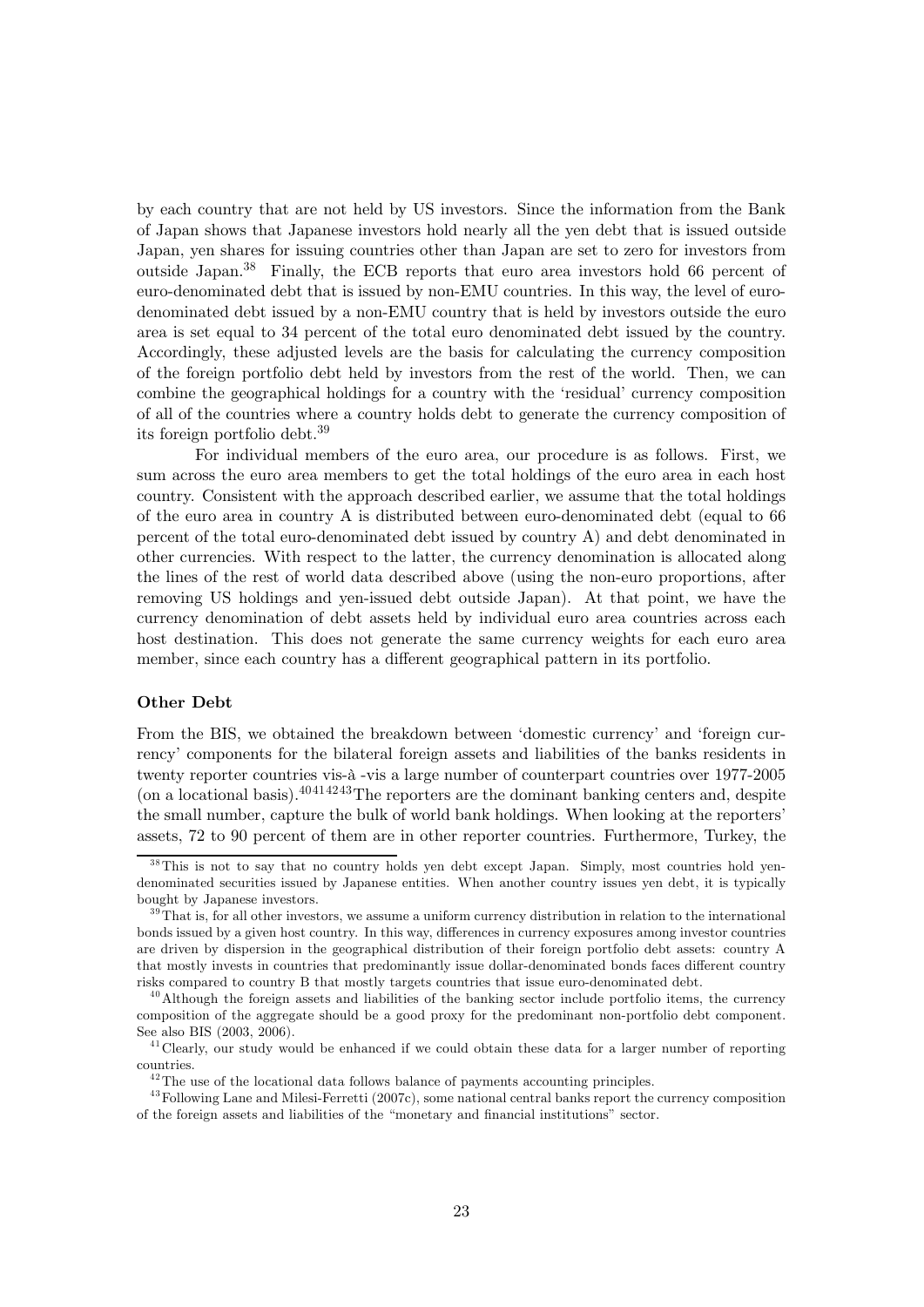by each country that are not held by US investors. Since the information from the Bank of Japan shows that Japanese investors hold nearly all the yen debt that is issued outside Japan, yen shares for issuing countries other than Japan are set to zero for investors from outside Japan.38 Finally, the ECB reports that euro area investors hold 66 percent of euro-denominated debt that is issued by non-EMU countries. In this way, the level of eurodenominated debt issued by a non-EMU country that is held by investors outside the euro area is set equal to 34 percent of the total euro denominated debt issued by the country. Accordingly, these adjusted levels are the basis for calculating the currency composition of the foreign portfolio debt held by investors from the rest of the world. Then, we can combine the geographical holdings for a country with the 'residual' currency composition of all of the countries where a country holds debt to generate the currency composition of its foreign portfolio debt.39

For individual members of the euro area, our procedure is as follows. First, we sum across the euro area members to get the total holdings of the euro area in each host country. Consistent with the approach described earlier, we assume that the total holdings of the euro area in country A is distributed between euro-denominated debt (equal to 66 percent of the total euro-denominated debt issued by country A) and debt denominated in other currencies. With respect to the latter, the currency denomination is allocated along the lines of the rest of world data described above (using the non-euro proportions, after removing US holdings and yen-issued debt outside Japan). At that point, we have the currency denomination of debt assets held by individual euro area countries across each host destination. This does not generate the same currency weights for each euro area member, since each country has a different geographical pattern in its portfolio.

#### Other Debt

From the BIS, we obtained the breakdown between 'domestic currency' and 'foreign currency' components for the bilateral foreign assets and liabilities of the banks residents in twenty reporter countries vis-à -vis a large number of counterpart countries over 1977-2005 (on a locational basis).  $40414243$ The reporters are the dominant banking centers and, despite the small number, capture the bulk of world bank holdings. When looking at the reporters' assets, 72 to 90 percent of them are in other reporter countries. Furthermore, Turkey, the

<sup>&</sup>lt;sup>38</sup>This is not to say that no country holds yen debt except Japan. Simply, most countries hold yendenominated securities issued by Japanese entities. When another country issues yen debt, it is typically bought by Japanese investors.

 $39$ That is, for all other investors, we assume a uniform currency distribution in relation to the international bonds issued by a given host country. In this way, differences in currency exposures among investor countries are driven by dispersion in the geographical distribution of their foreign portfolio debt assets: country A that mostly invests in countries that predominantly issue dollar-denominated bonds faces different country risks compared to country B that mostly targets countries that issue euro-denominated debt.

 $^{40}$ Although the foreign assets and liabilities of the banking sector include portfolio items, the currency composition of the aggregate should be a good proxy for the predominant non-portfolio debt component. See also BIS (2003, 2006).

<sup>&</sup>lt;sup>41</sup> Clearly, our study would be enhanced if we could obtain these data for a larger number of reporting countries.

 $^{42}$ The use of the locational data follows balance of payments accounting principles.

<sup>&</sup>lt;sup>43</sup>Following Lane and Milesi-Ferretti (2007c), some national central banks report the currency composition of the foreign assets and liabilities of the "monetary and financial institutions" sector.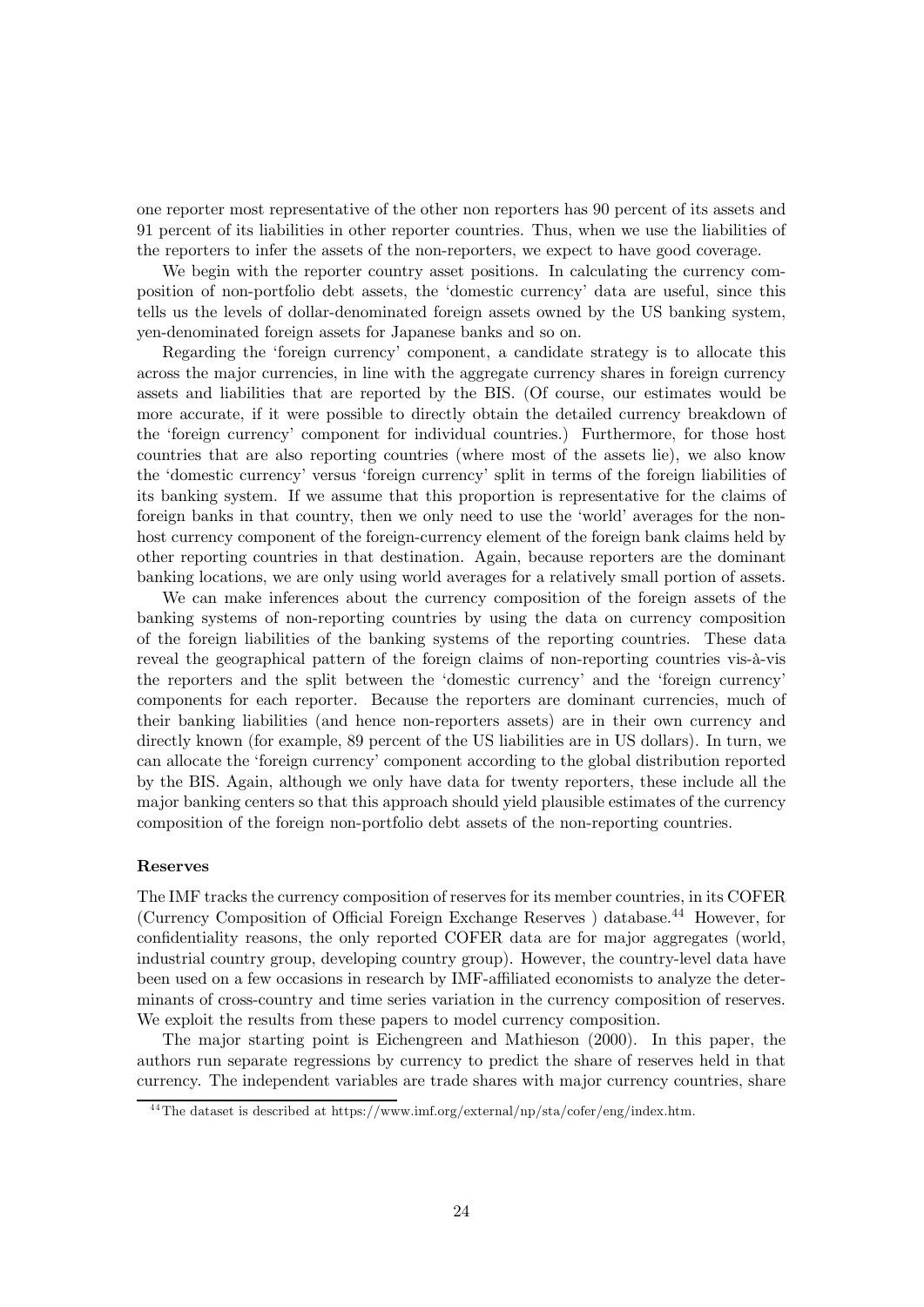one reporter most representative of the other non reporters has 90 percent of its assets and 91 percent of its liabilities in other reporter countries. Thus, when we use the liabilities of the reporters to infer the assets of the non-reporters, we expect to have good coverage.

We begin with the reporter country asset positions. In calculating the currency composition of non-portfolio debt assets, the 'domestic currency' data are useful, since this tells us the levels of dollar-denominated foreign assets owned by the US banking system, yen-denominated foreign assets for Japanese banks and so on.

Regarding the 'foreign currency' component, a candidate strategy is to allocate this across the major currencies, in line with the aggregate currency shares in foreign currency assets and liabilities that are reported by the BIS. (Of course, our estimates would be more accurate, if it were possible to directly obtain the detailed currency breakdown of the 'foreign currency' component for individual countries.) Furthermore, for those host countries that are also reporting countries (where most of the assets lie), we also know the 'domestic currency' versus 'foreign currency' split in terms of the foreign liabilities of its banking system. If we assume that this proportion is representative for the claims of foreign banks in that country, then we only need to use the 'world' averages for the nonhost currency component of the foreign-currency element of the foreign bank claims held by other reporting countries in that destination. Again, because reporters are the dominant banking locations, we are only using world averages for a relatively small portion of assets.

We can make inferences about the currency composition of the foreign assets of the banking systems of non-reporting countries by using the data on currency composition of the foreign liabilities of the banking systems of the reporting countries. These data reveal the geographical pattern of the foreign claims of non-reporting countries vis-à-vis the reporters and the split between the 'domestic currency' and the 'foreign currency' components for each reporter. Because the reporters are dominant currencies, much of their banking liabilities (and hence non-reporters assets) are in their own currency and directly known (for example, 89 percent of the US liabilities are in US dollars). In turn, we can allocate the 'foreign currency' component according to the global distribution reported by the BIS. Again, although we only have data for twenty reporters, these include all the major banking centers so that this approach should yield plausible estimates of the currency composition of the foreign non-portfolio debt assets of the non-reporting countries.

#### Reserves

The IMF tracks the currency composition of reserves for its member countries, in its COFER (Currency Composition of Official Foreign Exchange Reserves) database.<sup>44</sup> However, for confidentiality reasons, the only reported COFER data are for major aggregates (world, industrial country group, developing country group). However, the country-level data have been used on a few occasions in research by IMF-affiliated economists to analyze the determinants of cross-country and time series variation in the currency composition of reserves. We exploit the results from these papers to model currency composition.

The major starting point is Eichengreen and Mathieson (2000). In this paper, the authors run separate regressions by currency to predict the share of reserves held in that currency. The independent variables are trade shares with major currency countries, share

 $^{44}$ The dataset is described at https://www.imf.org/external/np/sta/cofer/eng/index.htm.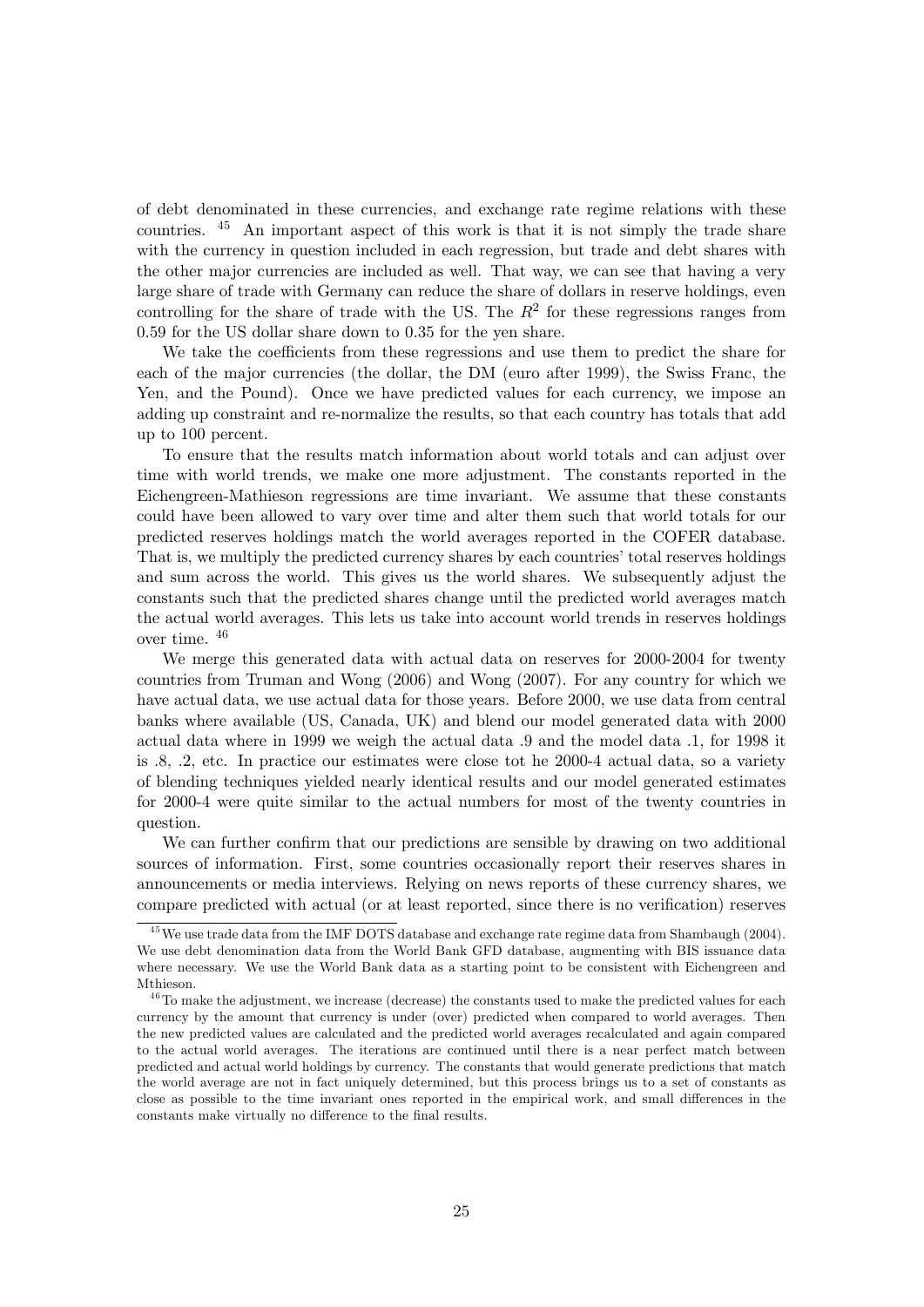of debt denominated in these currencies, and exchange rate regime relations with these countries. <sup>45</sup> An important aspect of this work is that it is not simply the trade share with the currency in question included in each regression, but trade and debt shares with the other major currencies are included as well. That way, we can see that having a very large share of trade with Germany can reduce the share of dollars in reserve holdings, even controlling for the share of trade with the US. The  $R^2$  for these regressions ranges from 0.59 for the US dollar share down to 0.35 for the yen share.

We take the coefficients from these regressions and use them to predict the share for each of the major currencies (the dollar, the DM (euro after 1999), the Swiss Franc, the Yen, and the Pound). Once we have predicted values for each currency, we impose an adding up constraint and re-normalize the results, so that each country has totals that add up to 100 percent.

To ensure that the results match information about world totals and can adjust over time with world trends, we make one more adjustment. The constants reported in the Eichengreen-Mathieson regressions are time invariant. We assume that these constants could have been allowed to vary over time and alter them such that world totals for our predicted reserves holdings match the world averages reported in the COFER database. That is, we multiply the predicted currency shares by each countries' total reserves holdings and sum across the world. This gives us the world shares. We subsequently adjust the constants such that the predicted shares change until the predicted world averages match the actual world averages. This lets us take into account world trends in reserves holdings over time. <sup>46</sup>

We merge this generated data with actual data on reserves for 2000-2004 for twenty countries from Truman and Wong (2006) and Wong (2007). For any country for which we have actual data, we use actual data for those years. Before 2000, we use data from central banks where available (US, Canada, UK) and blend our model generated data with 2000 actual data where in 1999 we weigh the actual data .9 and the model data .1, for 1998 it is .8, .2, etc. In practice our estimates were close tot he 2000-4 actual data, so a variety of blending techniques yielded nearly identical results and our model generated estimates for 2000-4 were quite similar to the actual numbers for most of the twenty countries in question.

We can further confirm that our predictions are sensible by drawing on two additional sources of information. First, some countries occasionally report their reserves shares in announcements or media interviews. Relying on news reports of these currency shares, we compare predicted with actual (or at least reported, since there is no verification) reserves

 $^{45}$  We use trade data from the IMF DOTS database and exchange rate regime data from Shambaugh (2004). We use debt denomination data from the World Bank GFD database, augmenting with BIS issuance data where necessary. We use the World Bank data as a starting point to be consistent with Eichengreen and Mthieson.

 $46$ To make the adjustment, we increase (decrease) the constants used to make the predicted values for each currency by the amount that currency is under (over) predicted when compared to world averages. Then the new predicted values are calculated and the predicted world averages recalculated and again compared to the actual world averages. The iterations are continued until there is a near perfect match between predicted and actual world holdings by currency. The constants that would generate predictions that match the world average are not in fact uniquely determined, but this process brings us to a set of constants as close as possible to the time invariant ones reported in the empirical work, and small differences in the constants make virtually no difference to the final results.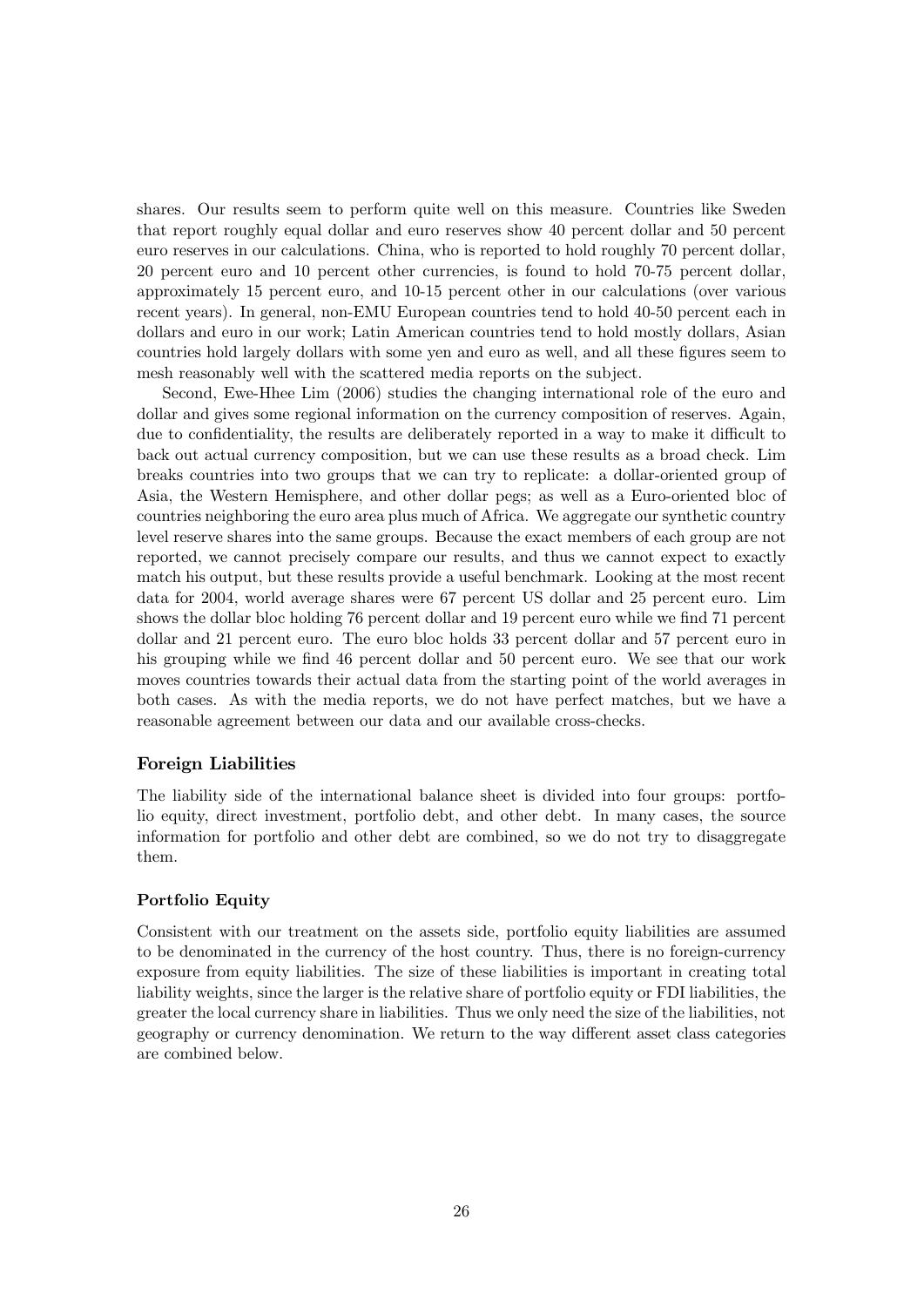shares. Our results seem to perform quite well on this measure. Countries like Sweden that report roughly equal dollar and euro reserves show 40 percent dollar and 50 percent euro reserves in our calculations. China, who is reported to hold roughly 70 percent dollar, 20 percent euro and 10 percent other currencies, is found to hold 70-75 percent dollar, approximately 15 percent euro, and 10-15 percent other in our calculations (over various recent years). In general, non-EMU European countries tend to hold 40-50 percent each in dollars and euro in our work; Latin American countries tend to hold mostly dollars, Asian countries hold largely dollars with some yen and euro as well, and all these figures seem to mesh reasonably well with the scattered media reports on the subject.

Second, Ewe-Hhee Lim (2006) studies the changing international role of the euro and dollar and gives some regional information on the currency composition of reserves. Again, due to confidentiality, the results are deliberately reported in a way to make it difficult to back out actual currency composition, but we can use these results as a broad check. Lim breaks countries into two groups that we can try to replicate: a dollar-oriented group of Asia, the Western Hemisphere, and other dollar pegs; as well as a Euro-oriented bloc of countries neighboring the euro area plus much of Africa. We aggregate our synthetic country level reserve shares into the same groups. Because the exact members of each group are not reported, we cannot precisely compare our results, and thus we cannot expect to exactly match his output, but these results provide a useful benchmark. Looking at the most recent data for 2004, world average shares were 67 percent US dollar and 25 percent euro. Lim shows the dollar bloc holding 76 percent dollar and 19 percent euro while we find 71 percent dollar and 21 percent euro. The euro bloc holds 33 percent dollar and 57 percent euro in his grouping while we find 46 percent dollar and 50 percent euro. We see that our work moves countries towards their actual data from the starting point of the world averages in both cases. As with the media reports, we do not have perfect matches, but we have a reasonable agreement between our data and our available cross-checks.

### Foreign Liabilities

The liability side of the international balance sheet is divided into four groups: portfolio equity, direct investment, portfolio debt, and other debt. In many cases, the source information for portfolio and other debt are combined, so we do not try to disaggregate them.

### Portfolio Equity

Consistent with our treatment on the assets side, portfolio equity liabilities are assumed to be denominated in the currency of the host country. Thus, there is no foreign-currency exposure from equity liabilities. The size of these liabilities is important in creating total liability weights, since the larger is the relative share of portfolio equity or FDI liabilities, the greater the local currency share in liabilities. Thus we only need the size of the liabilities, not geography or currency denomination. We return to the way different asset class categories are combined below.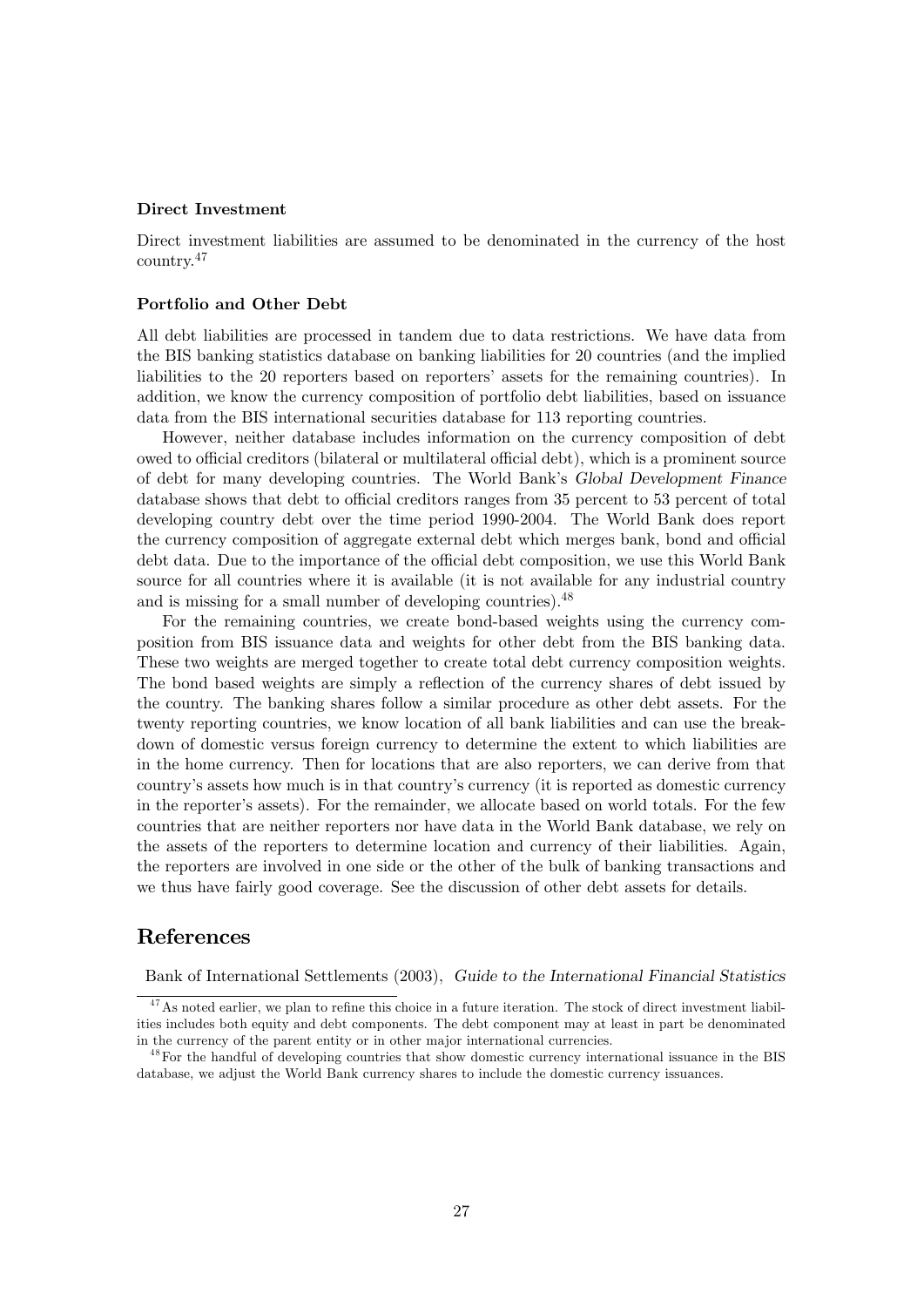#### Direct Investment

Direct investment liabilities are assumed to be denominated in the currency of the host country.<sup>47</sup>

#### Portfolio and Other Debt

All debt liabilities are processed in tandem due to data restrictions. We have data from the BIS banking statistics database on banking liabilities for 20 countries (and the implied liabilities to the 20 reporters based on reporters' assets for the remaining countries). In addition, we know the currency composition of portfolio debt liabilities, based on issuance data from the BIS international securities database for 113 reporting countries.

However, neither database includes information on the currency composition of debt owed to official creditors (bilateral or multilateral official debt), which is a prominent source of debt for many developing countries. The World Bank's Global Development Finance database shows that debt to official creditors ranges from 35 percent to 53 percent of total developing country debt over the time period 1990-2004. The World Bank does report the currency composition of aggregate external debt which merges bank, bond and official debt data. Due to the importance of the official debt composition, we use this World Bank source for all countries where it is available (it is not available for any industrial country and is missing for a small number of developing countries). <sup>48</sup>

For the remaining countries, we create bond-based weights using the currency composition from BIS issuance data and weights for other debt from the BIS banking data. These two weights are merged together to create total debt currency composition weights. The bond based weights are simply a reflection of the currency shares of debt issued by the country. The banking shares follow a similar procedure as other debt assets. For the twenty reporting countries, we know location of all bank liabilities and can use the breakdown of domestic versus foreign currency to determine the extent to which liabilities are in the home currency. Then for locations that are also reporters, we can derive from that country's assets how much is in that country's currency (it is reported as domestic currency in the reporter's assets). For the remainder, we allocate based on world totals. For the few countries that are neither reporters nor have data in the World Bank database, we rely on the assets of the reporters to determine location and currency of their liabilities. Again, the reporters are involved in one side or the other of the bulk of banking transactions and we thus have fairly good coverage. See the discussion of other debt assets for details.

### References

Bank of International Settlements (2003), Guide to the International Financial Statistics

 $47$ As noted earlier, we plan to refine this choice in a future iteration. The stock of direct investment liabilities includes both equity and debt components. The debt component may at least in part be denominated in the currency of the parent entity or in other major international currencies.

<sup>&</sup>lt;sup>48</sup>For the handful of developing countries that show domestic currency international issuance in the BIS database, we adjust the World Bank currency shares to include the domestic currency issuances.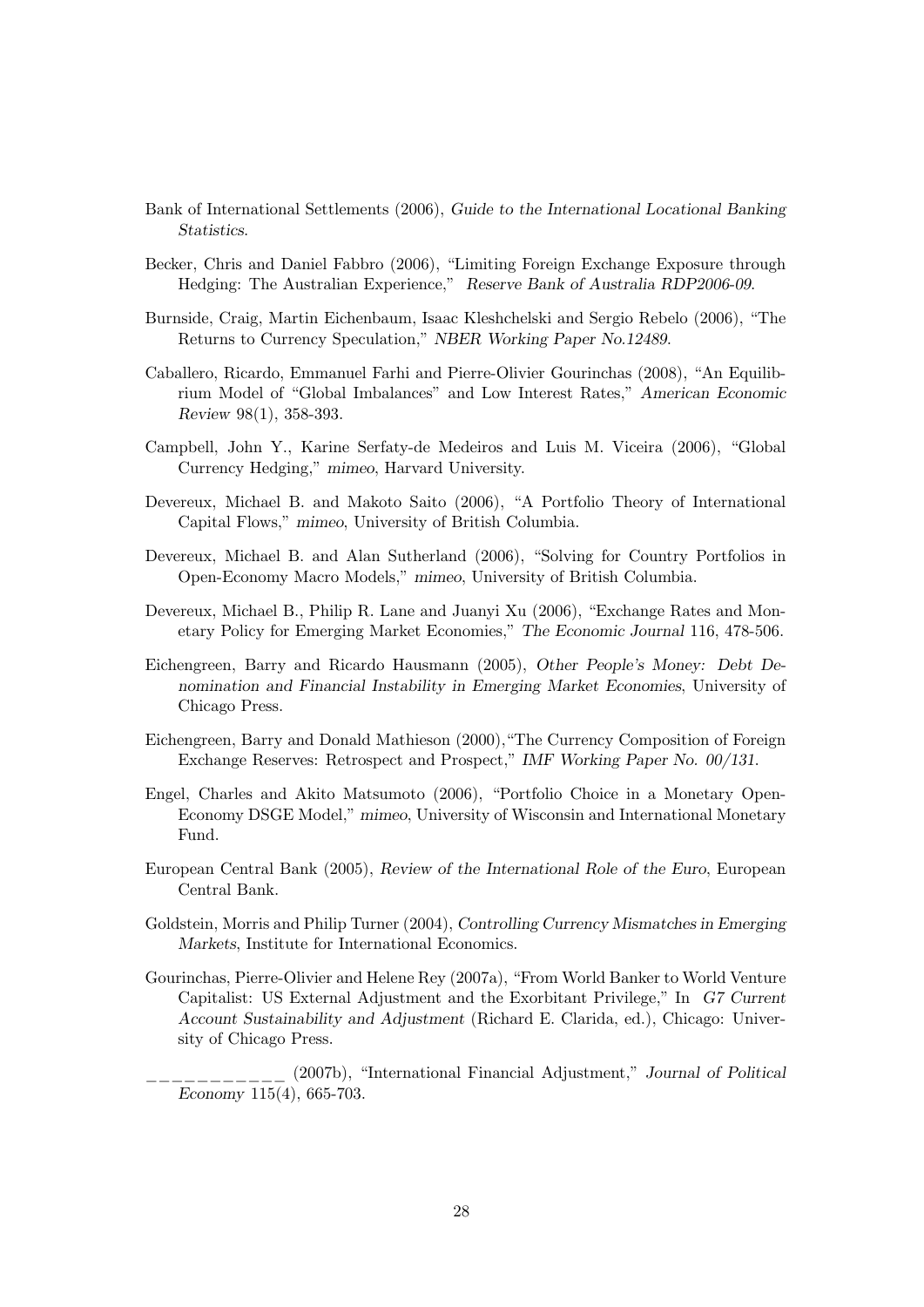- Bank of International Settlements (2006), Guide to the International Locational Banking Statistics.
- Becker, Chris and Daniel Fabbro (2006), "Limiting Foreign Exchange Exposure through Hedging: The Australian Experience," Reserve Bank of Australia RDP2006-09.
- Burnside, Craig, Martin Eichenbaum, Isaac Kleshchelski and Sergio Rebelo (2006), "The Returns to Currency Speculation," NBER Working Paper No.12489.
- Caballero, Ricardo, Emmanuel Farhi and Pierre-Olivier Gourinchas (2008), "An Equilibrium Model of "Global Imbalances" and Low Interest Rates," American Economic Review 98(1), 358-393.
- Campbell, John Y., Karine Serfaty-de Medeiros and Luis M. Viceira (2006), "Global Currency Hedging," mimeo, Harvard University.
- Devereux, Michael B. and Makoto Saito (2006), "A Portfolio Theory of International Capital Flows," mimeo, University of British Columbia.
- Devereux, Michael B. and Alan Sutherland (2006), "Solving for Country Portfolios in Open-Economy Macro Models," mimeo, University of British Columbia.
- Devereux, Michael B., Philip R. Lane and Juanyi Xu (2006), "Exchange Rates and Monetary Policy for Emerging Market Economies," The Economic Journal 116, 478-506.
- Eichengreen, Barry and Ricardo Hausmann (2005), Other People's Money: Debt Denomination and Financial Instability in Emerging Market Economies, University of Chicago Press.
- Eichengreen, Barry and Donald Mathieson (2000),"The Currency Composition of Foreign Exchange Reserves: Retrospect and Prospect," IMF Working Paper No. 00/131.
- Engel, Charles and Akito Matsumoto (2006), "Portfolio Choice in a Monetary Open-Economy DSGE Model," mimeo, University of Wisconsin and International Monetary Fund.
- European Central Bank (2005), Review of the International Role of the Euro, European Central Bank.
- Goldstein, Morris and Philip Turner (2004), Controlling Currency Mismatches in Emerging Markets, Institute for International Economics.
- Gourinchas, Pierre-Olivier and Helene Rey (2007a), "From World Banker to World Venture Capitalist: US External Adjustment and the Exorbitant Privilege," In G7 Current Account Sustainability and Adjustment (Richard E. Clarida, ed.), Chicago: University of Chicago Press.
- \_\_\_\_\_\_\_\_\_\_\_ (2007b), "International Financial Adjustment," Journal of Political Economy 115(4), 665-703.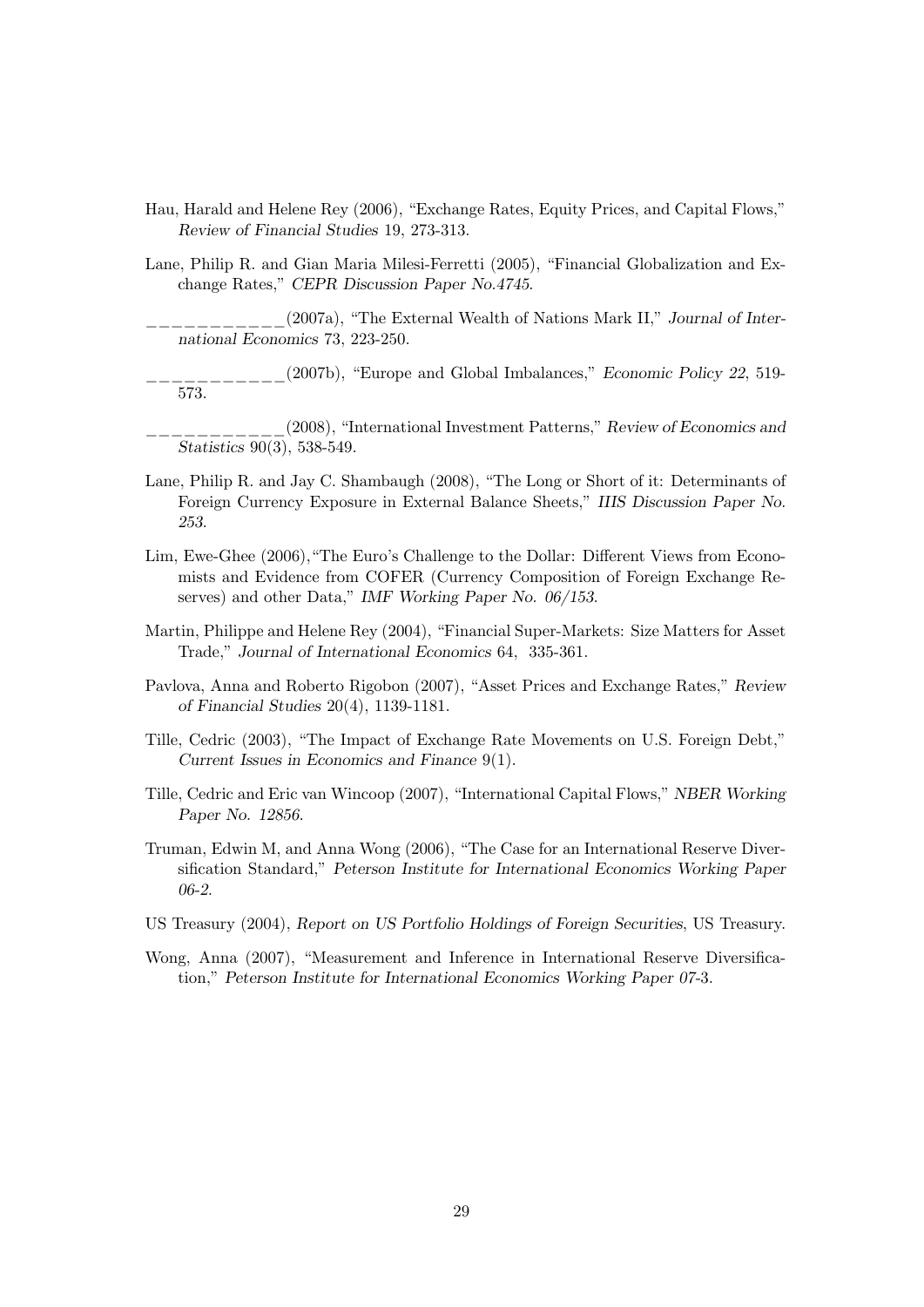- Hau, Harald and Helene Rey (2006), "Exchange Rates, Equity Prices, and Capital Flows," Review of Financial Studies 19, 273-313.
- Lane, Philip R. and Gian Maria Milesi-Ferretti (2005), "Financial Globalization and Exchange Rates," CEPR Discussion Paper No.4745.

\_\_\_\_\_\_\_\_\_\_\_(2007a), "The External Wealth of Nations Mark II," Journal of International Economics 73, 223-250.

\_\_\_\_\_\_\_\_\_\_\_(2007b), "Europe and Global Imbalances," Economic Policy 22, 519- 573.

\_\_\_\_\_\_\_\_\_\_\_(2008), "International Investment Patterns," Review of Economics and Statistics 90(3), 538-549.

- Lane, Philip R. and Jay C. Shambaugh (2008), "The Long or Short of it: Determinants of Foreign Currency Exposure in External Balance Sheets," IIIS Discussion Paper No. 253.
- Lim, Ewe-Ghee (2006), "The Euro's Challenge to the Dollar: Different Views from Economists and Evidence from COFER (Currency Composition of Foreign Exchange Reserves) and other Data," IMF Working Paper No. 06/153.
- Martin, Philippe and Helene Rey (2004), "Financial Super-Markets: Size Matters for Asset Trade," Journal of International Economics 64, 335-361.
- Pavlova, Anna and Roberto Rigobon (2007), "Asset Prices and Exchange Rates," Review of Financial Studies 20(4), 1139-1181.
- Tille, Cedric (2003), "The Impact of Exchange Rate Movements on U.S. Foreign Debt," Current Issues in Economics and Finance 9(1).
- Tille, Cedric and Eric van Wincoop (2007), "International Capital Flows," NBER Working Paper No. 12856.
- Truman, Edwin M, and Anna Wong (2006), "The Case for an International Reserve Diversification Standard," Peterson Institute for International Economics Working Paper 06-2.
- US Treasury (2004), Report on US Portfolio Holdings of Foreign Securities, US Treasury.
- Wong, Anna (2007), "Measurement and Inference in International Reserve Diversification," Peterson Institute for International Economics Working Paper 07-3.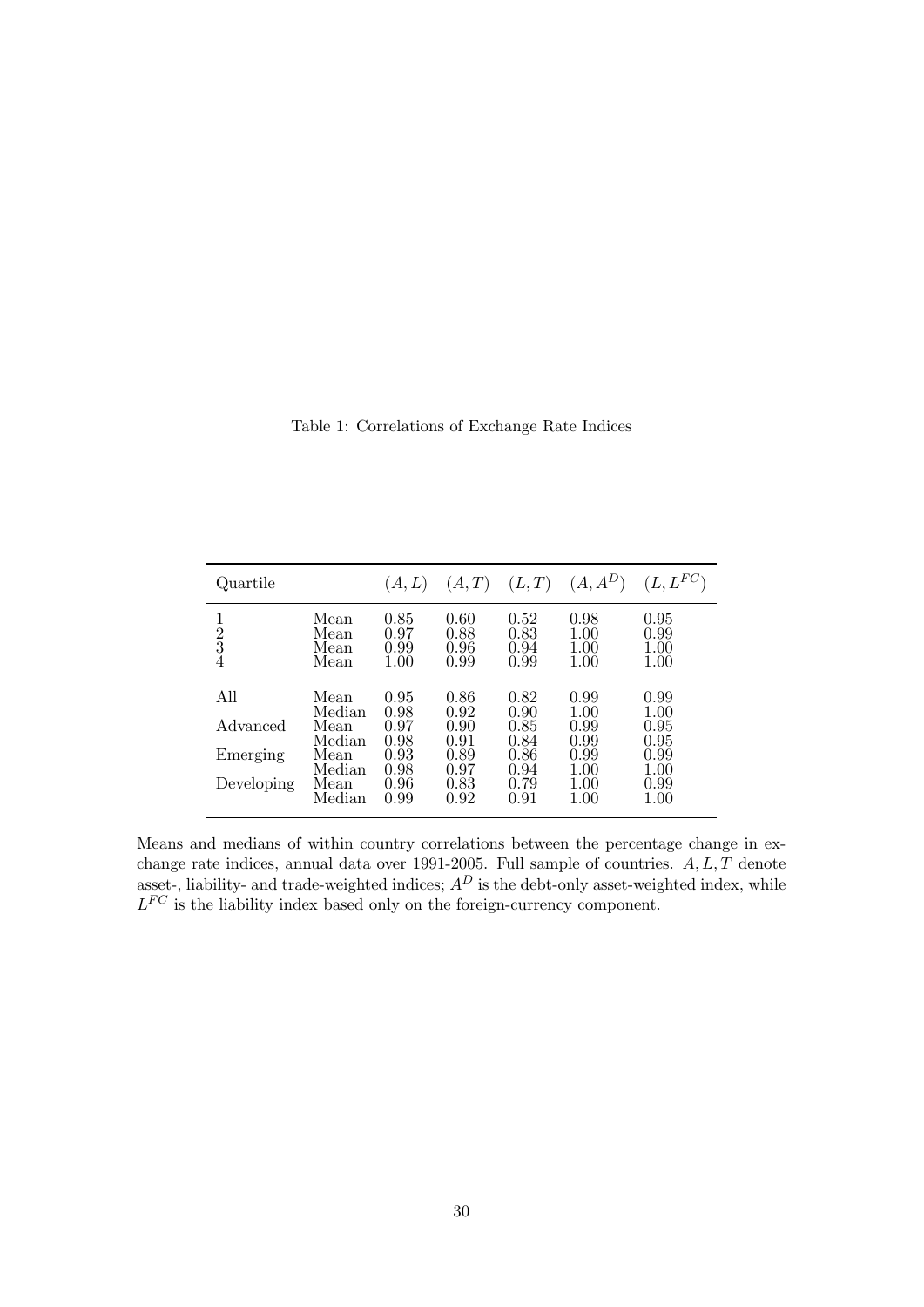|  | Table 1: Correlations of Exchange Rate Indices |
|--|------------------------------------------------|
|  |                                                |

| Quartile                        |                                  | (A, L)                       | (A,T)                        |                              | $(L, T)$ $(A, A^D)$              | $(L, L^{FC})$                        |
|---------------------------------|----------------------------------|------------------------------|------------------------------|------------------------------|----------------------------------|--------------------------------------|
| $\frac{1}{2}$<br>$\overline{4}$ | Mean<br>Mean<br>Mean<br>Mean     | 0.85<br>0.97<br>0.99<br>1.00 | 0.60<br>0.88<br>0.96<br>0.99 | 0.52<br>0.83<br>0.94<br>0.99 | 0.98<br>1.00<br>1.00<br>1.00     | 0.95<br>0.99<br>1.00<br>1.00         |
| All<br>Advanced                 | Mean<br>Median<br>Mean<br>Median | 0.95<br>0.98<br>0.97<br>0.98 | 0.86<br>0.92<br>0.90<br>0.91 | 0.82<br>0.90<br>0.85<br>0.84 | 0.99<br>1.00<br>0.99<br>0.99     | 0.99<br>$1.00\,$<br>0.95<br>0.95     |
| Emerging<br>Developing          | Mean<br>Median<br>Mean<br>Median | 0.93<br>0.98<br>0.96<br>0.99 | 0.89<br>0.97<br>0.83<br>0.92 | 0.86<br>0.94<br>0.79<br>0.91 | 0.99<br>1.00<br>1.00<br>$1.00\,$ | 0.99<br>$1.00\,$<br>0.99<br>$1.00\,$ |

Means and medians of within country correlations between the percentage change in exchange rate indices, annual data over 1991-2005. Full sample of countries.  $A, L, T$  denote asset-, liability- and trade-weighted indices;  $A<sup>D</sup>$  is the debt-only asset-weighted index, while  $L^{FC}$  is the liability index based only on the foreign-currency component.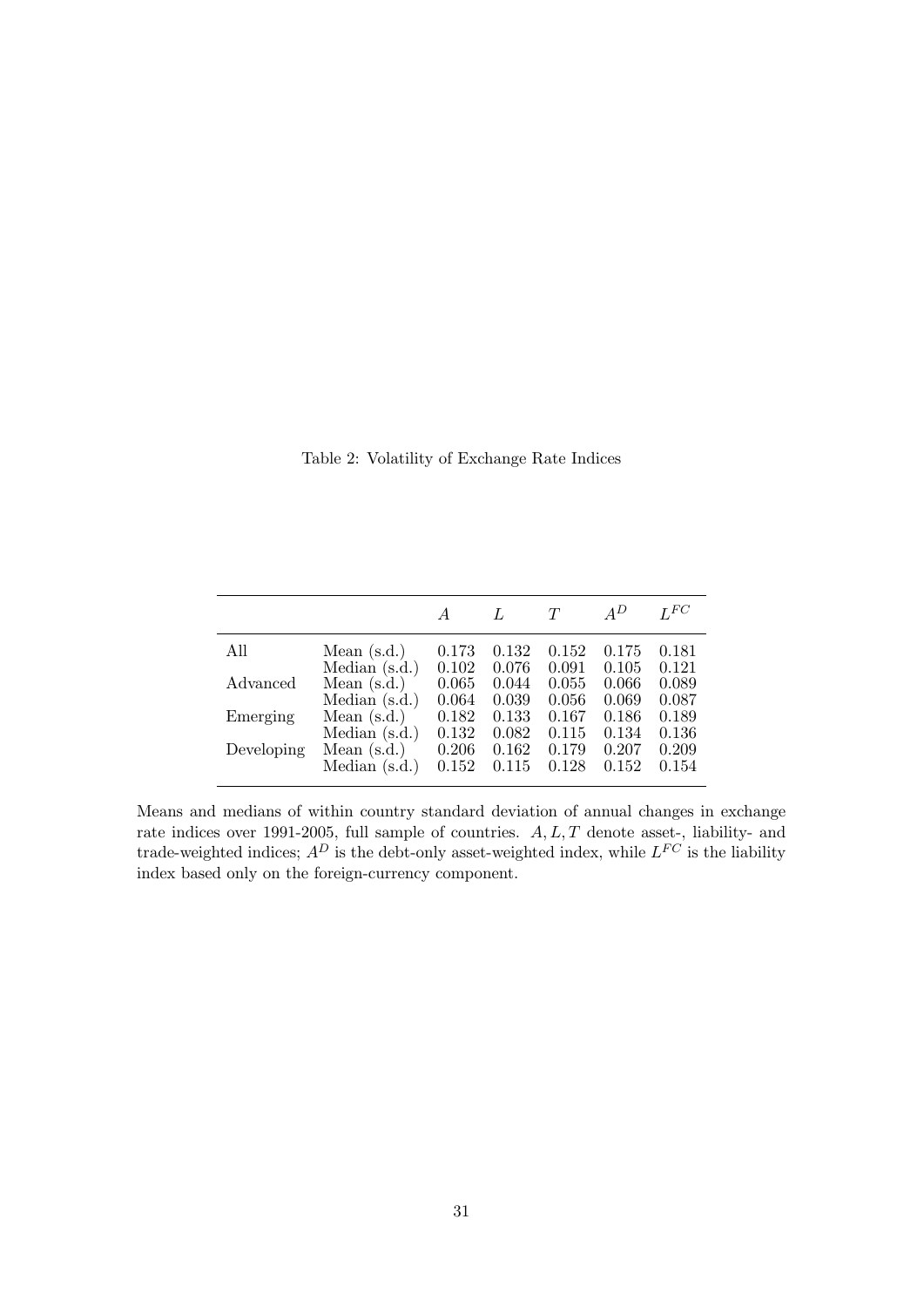Table 2: Volatility of Exchange Rate Indices

|            |                 |       | L     | T     | $A^D$ | LFC   |
|------------|-----------------|-------|-------|-------|-------|-------|
| All        | Mean $(s.d.)$   | 0.173 | 0.132 | 0.152 | 0.175 | 0.181 |
|            | Median $(s.d.)$ | 0.102 | 0.076 | 0.091 | 0.105 | 0.121 |
| Advanced   | Mean $(s.d.)$   | 0.065 | 0.044 | 0.055 | 0.066 | 0.089 |
|            | Median $(s.d.)$ | 0.064 | 0.039 | 0.056 | 0.069 | 0.087 |
| Emerging   | Mean $(s.d.)$   | 0.182 | 0.133 | 0.167 | 0.186 | 0.189 |
|            | Median $(s.d.)$ | 0.132 | 0.082 | 0.115 | 0.134 | 0.136 |
| Developing | Mean $(s.d.)$   | 0.206 | 0.162 | 0.179 | 0.207 | 0.209 |
|            | Median (s.d.)   | 0.152 | 0.115 | 0.128 | 0.152 | 0.154 |

Means and medians of within country standard deviation of annual changes in exchange rate indices over 1991-2005, full sample of countries.  $A, L, T$  denote asset-, liability- and trade-weighted indices;  $A^D$  is the debt-only asset-weighted index, while  $L^{FC}$  is the liability index based only on the foreign-currency component.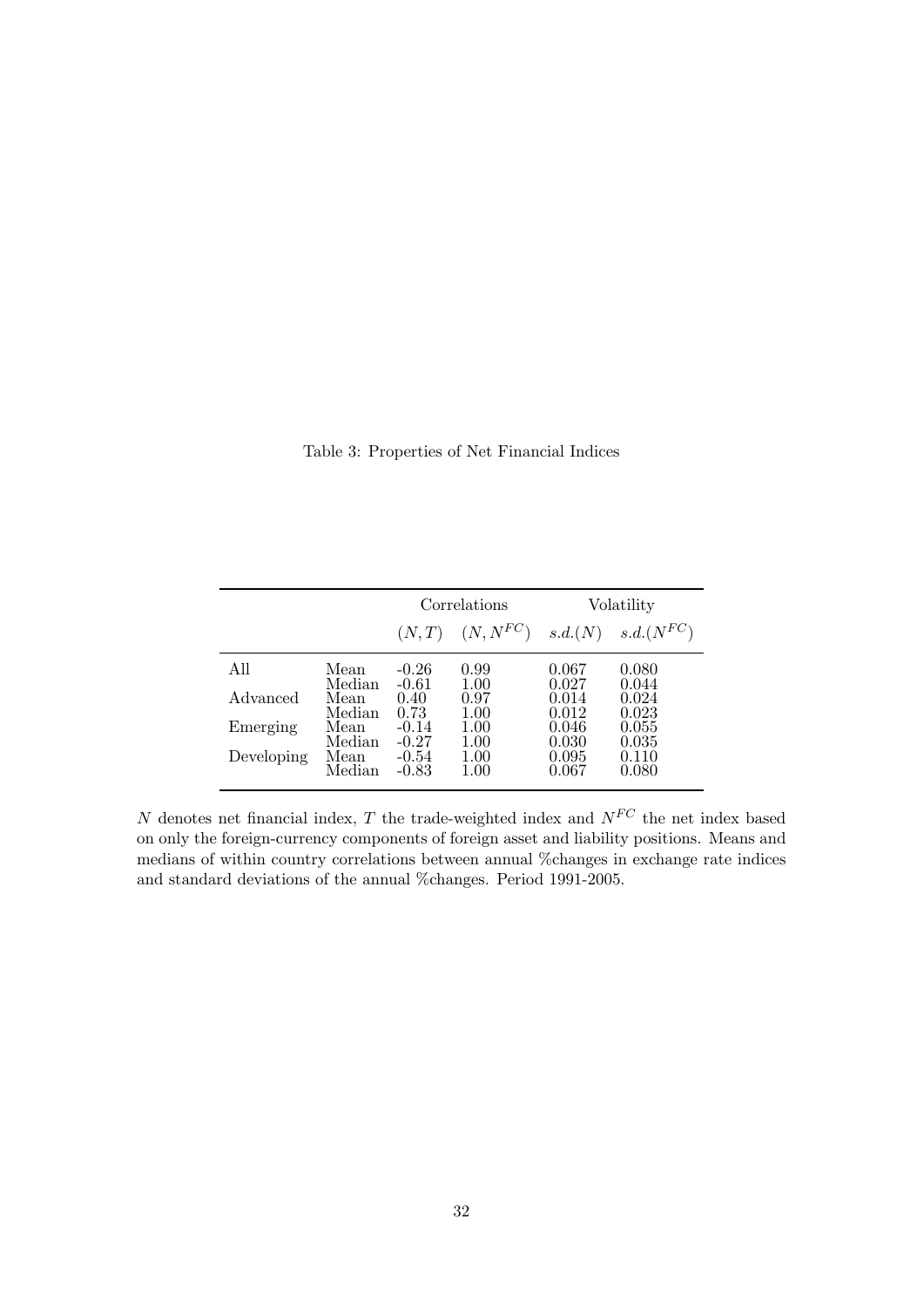Table 3: Properties of Net Financial Indices

|            |        |         | Correlations           | Volatility |                |  |
|------------|--------|---------|------------------------|------------|----------------|--|
|            |        |         | $(N, T)$ $(N, N^{FC})$ | s.d.(N)    | $s.d.(N^{FC})$ |  |
| All        | Mean   | $-0.26$ | 0.99                   | 0.067      | 0.080          |  |
|            | Median | $-0.61$ | 1.00                   | 0.027      | 0.044          |  |
| Advanced   | Mean   | 0.40    | 0.97                   | 0.014      | 0.024          |  |
|            | Median | 0.73    | 1.00                   | 0.012      | 0.023          |  |
| Emerging   | Mean   | $-0.14$ | 1.00                   | 0.046      | 0.055          |  |
|            | Median | $-0.27$ | 1.00                   | 0.030      | 0.035          |  |
| Developing | Mean   | $-0.54$ | 1.00                   | 0.095      | 0.110          |  |
|            | Median | $-0.83$ | 1.00                   | 0.067      | 0.080          |  |

 $N$  denotes net financial index,  $T$  the trade-weighted index and  $N^{FC}$  the net index based on only the foreign-currency components of foreign asset and liability positions. Means and medians of within country correlations between annual %changes in exchange rate indices and standard deviations of the annual %changes. Period 1991-2005.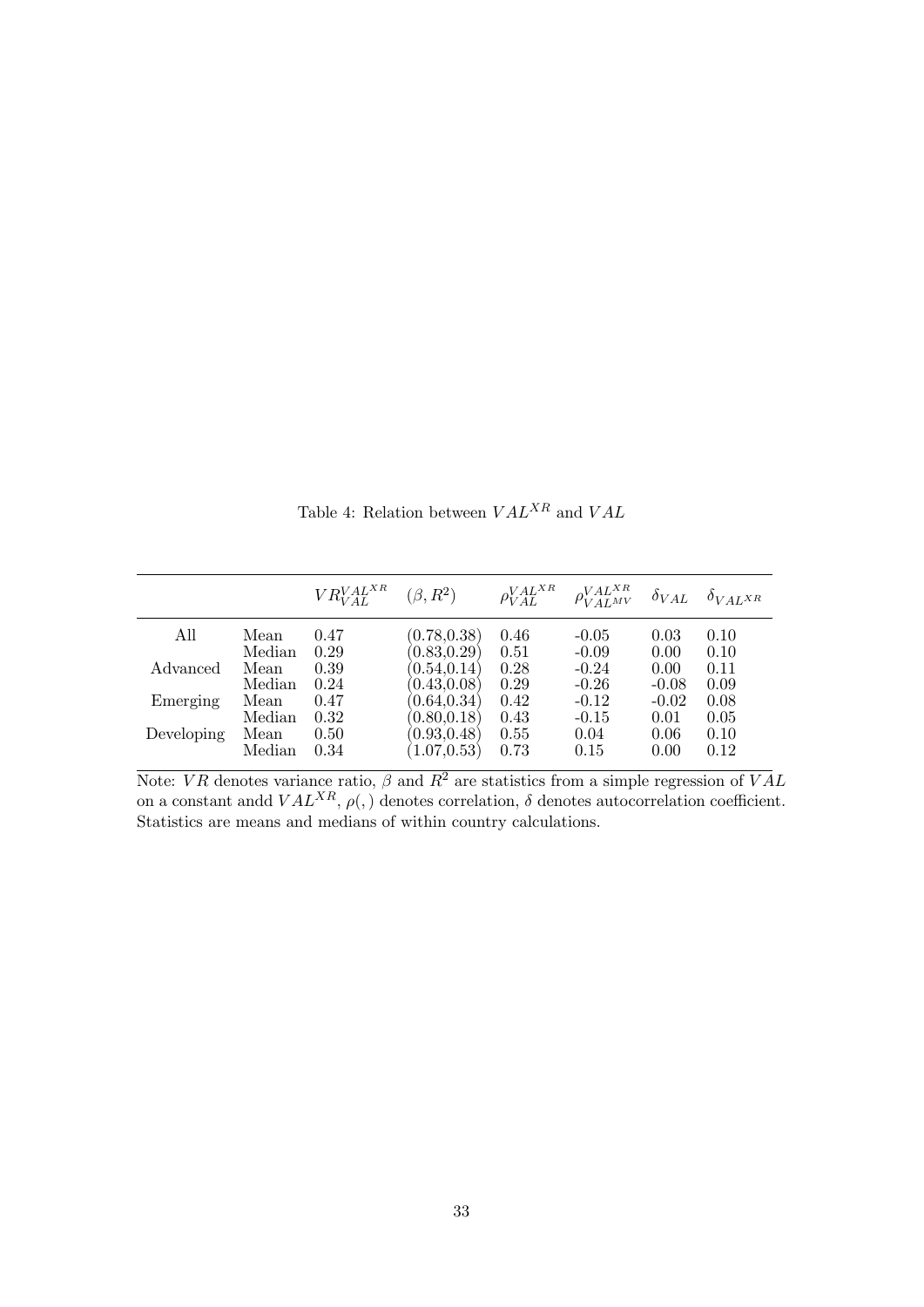Table 4: Relation between  $VAL^{XR}$  and  $VAL$ 

|            |        | $VR_{VAI}^{VALXR}$ ( $\beta, R^2$ ) |              |      | $\rho_{VAL}^{VALX R}$ $\rho_{VALM}^{VALX R}$ $\delta_{VAL}$ $\delta_{VAL}$ $\delta_{VALX R}$ |         |      |
|------------|--------|-------------------------------------|--------------|------|----------------------------------------------------------------------------------------------|---------|------|
| All        | Mean   | 0.47                                | (0.78, 0.38) | 0.46 | $-0.05$                                                                                      | 0.03    | 0.10 |
|            | Median | 0.29                                | (0.83, 0.29) | 0.51 | $-0.09$                                                                                      | 0.00    | 0.10 |
| Advanced   | Mean   | 0.39                                | (0.54, 0.14) | 0.28 | $-0.24$                                                                                      | 0.00    | 0.11 |
|            | Median | 0.24                                | (0.43, 0.08) | 0.29 | $-0.26$                                                                                      | $-0.08$ | 0.09 |
| Emerging   | Mean   | 0.47                                | (0.64, 0.34) | 0.42 | $-0.12$                                                                                      | $-0.02$ | 0.08 |
|            | Median | 0.32                                | (0.80, 0.18) | 0.43 | $-0.15$                                                                                      | 0.01    | 0.05 |
| Developing | Mean   | 0.50                                | (0.93, 0.48) | 0.55 | 0.04                                                                                         | 0.06    | 0.10 |
|            | Median | 0.34                                | (1.07, 0.53) | 0.73 | 0.15                                                                                         | 0.00    | 0.12 |

Note: VR denotes variance ratio,  $\beta$  and  $R^2$  are statistics from a simple regression of VAL on a constant and  $VAL^{XR}$ ,  $\rho(.)$  denotes correlation,  $\delta$  denotes autocorrelation coefficient.<br>Statistics are means and medians of within country calculations.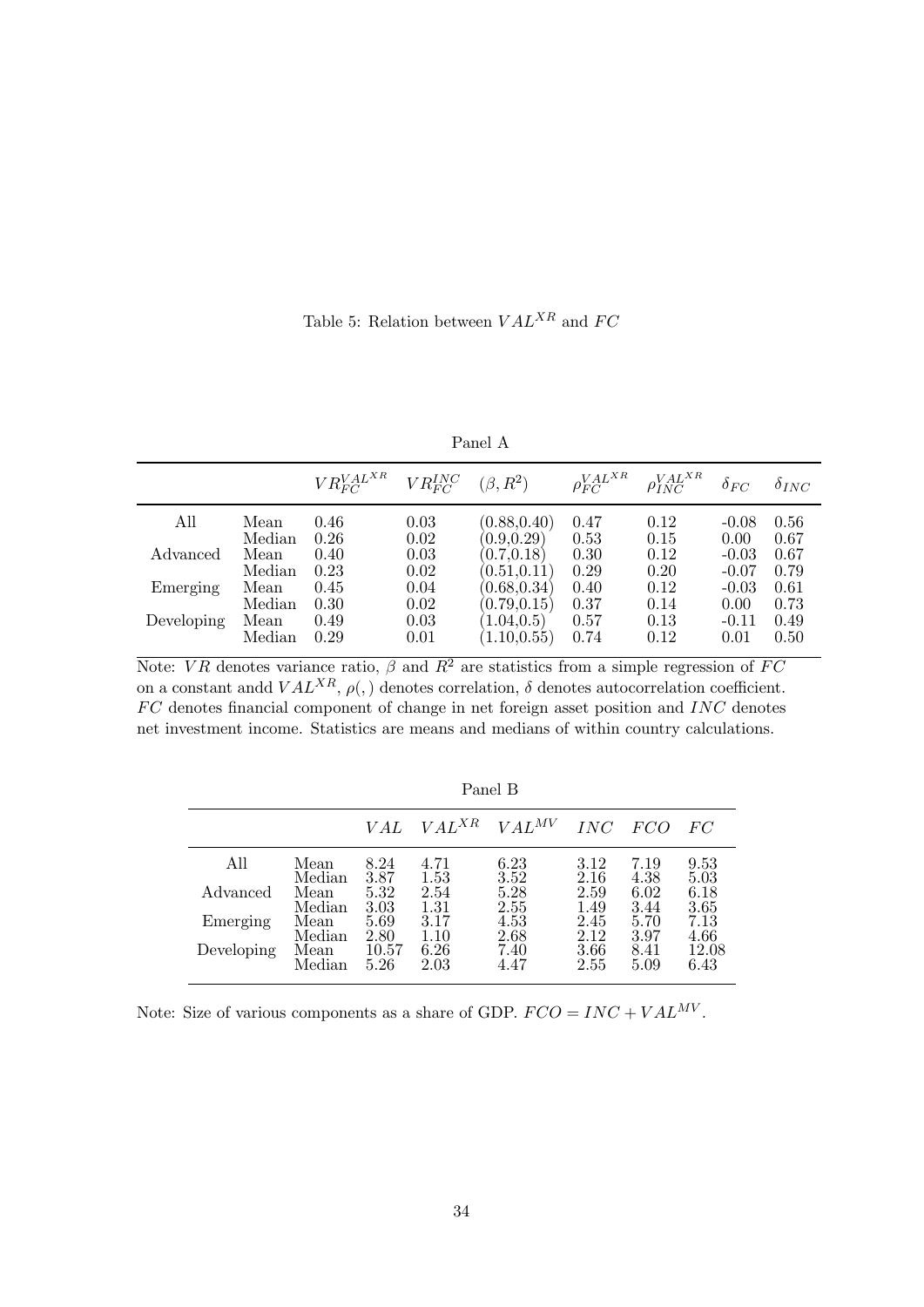Table 5: Relation between  $VAL^{XR}$  and  $FC$ 

| anet |  |
|------|--|
|------|--|

|            |        | $VR_{FC}^{VALXR}$ $VR_{FC}^{INC}$ $(\beta, R^2)$ |      |              | $\rho_{FC}^{VAL^{XR}}$ | $\rho_{INC}^{VALXR}$ | $\delta_{FC}$ | $\delta_{INC}$ |
|------------|--------|--------------------------------------------------|------|--------------|------------------------|----------------------|---------------|----------------|
| All        | Mean   | 0.46                                             | 0.03 | (0.88, 0.40) | 0.47                   | 0.12                 | $-0.08$       | 0.56           |
|            | Median | 0.26                                             | 0.02 | (0.9, 0.29)  | 0.53                   | 0.15                 | 0.00          | 0.67           |
| Advanced   | Mean   | 0.40                                             | 0.03 | (0.7, 0.18)  | 0.30                   | 0.12                 | $-0.03$       | 0.67           |
|            | Median | 0.23                                             | 0.02 | (0.51, 0.11) | 0.29                   | 0.20                 | $-0.07$       | 0.79           |
| Emerging   | Mean   | 0.45                                             | 0.04 | (0.68, 0.34) | 0.40                   | 0.12                 | $-0.03$       | 0.61           |
|            | Median | 0.30                                             | 0.02 | (0.79, 0.15) | 0.37                   | 0.14                 | 0.00          | 0.73           |
| Developing | Mean   | 0.49                                             | 0.03 | (1.04, 0.5)  | 0.57                   | 0.13                 | $-0.11$       | 0.49           |
|            | Median | 0.29                                             | 0.01 | (1.10, 0.55) | 0.74                   | 0.12                 | 0.01          | 0.50           |

Note: VR denotes variance ratio,  $\beta$  and  $R^2$  are statistics from a simple regression of FC on a constant and  $VAL^{XR}$ ,  $\rho(.)$  denotes correlation,  $\delta$  denotes autocorrelation coefficient.  $FC$  denotes financial component of change in net foreign asset position and  $INC$  denotes net investment income. Statistics are means and medians of within country calculations.

|            |        |       |            | r anvi D   |      |      |       |
|------------|--------|-------|------------|------------|------|------|-------|
|            |        | V A L | $VAL^{XR}$ | $VAL^{MV}$ | INC  | FCO  | FC    |
| All        | Mean   | 8.24  | 4.71       | 6.23       | 3.12 | 7.19 | 9.53  |
|            | Median | 3.87  | 1.53       | 3.52       | 2.16 | 4.38 | 5.03  |
| Advanced   | Mean   | 5.32  | 2.54       | 5.28       | 2.59 | 6.02 | 6.18  |
|            | Median | 3.03  | 1.31       | 2.55       | 1.49 | 3.44 | 3.65  |
| Emerging   | Mean   | 5.69  | 3.17       | 4.53       | 2.45 | 5.70 | 7.13  |
|            | Median | 2.80  | 1.10       | 2.68       | 2.12 | 3.97 | 4.66  |
| Developing | Mean   | 10.57 | 6.26       | 7.40       | 3.66 | 8.41 | 12.08 |
|            | Median | 5.26  | 2.03       | 4.47       | 2.55 | 5.09 | 6.43  |

Panel B

Note: Size of various components as a share of GDP.  $FCO = INC + VAL^{MV}$ .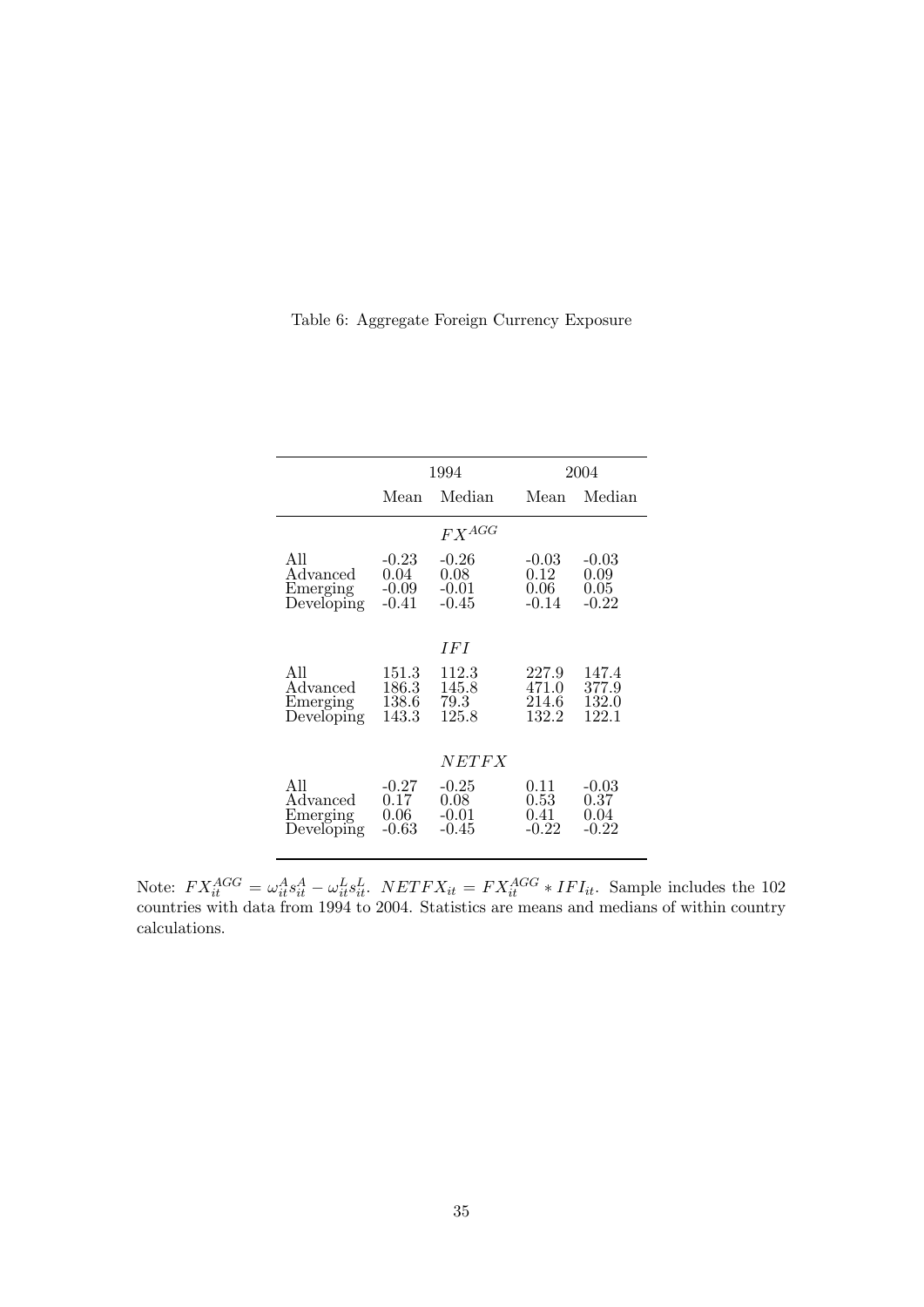| Table 6: Aggregate Foreign Currency Exposure |  |  |
|----------------------------------------------|--|--|
|                                              |  |  |

|                                           |                                       | 1994                                    |                                     | 2004                               |
|-------------------------------------------|---------------------------------------|-----------------------------------------|-------------------------------------|------------------------------------|
|                                           | Mean                                  | Median                                  | Mean                                | Median                             |
|                                           |                                       | $FX^{AGG}$                              |                                     |                                    |
| All<br>Advanced<br>Emerging<br>Developing | $-0.23$<br>0.04<br>$-0.09$<br>$-0.41$ | $-0.26$<br>0.08<br>$-0.01$<br>$-0.45$   | -0.03<br>0.12<br>0.06<br>$-0.14$    | $-0.03$<br>0.09<br>0.05<br>$-0.22$ |
|                                           |                                       | I F I                                   |                                     |                                    |
| All<br>Advanced<br>Emerging<br>Developing | 151.3<br>186.3<br>138.6<br>143.3      | 112.3<br>145.8<br>79.3<br>125.8         | 227.9<br>471.0<br>214.6<br>132.2    | 147.4<br>377.9<br>132.0<br>122.1   |
|                                           |                                       | <i>NETFX</i>                            |                                     |                                    |
| All<br>Advanced<br>Emerging<br>Developing | $-0.27$<br>0.17<br>0.06<br>$-0.63$    | $-0.25$<br>$0.08\,$<br>$-0.01$<br>-0.45 | 0.11<br>$0.53\,$<br>0.41<br>$-0.22$ | $-0.03$<br>0.37<br>0.04<br>$-0.22$ |

Note:  $FX_A^{AGG} = \omega_{it}^A s_{it}^A - \omega_{it}^L s_{it}^L$ .  $NETFX_{it} = FX_A^{AGG} * IFI_{it}$ . Sample includes the 102<br>countries with data from 1004 to 2004. Statistics are means and medians of within country countries with data from 1994 to 2004. Statistics are means and medians of within country calculations.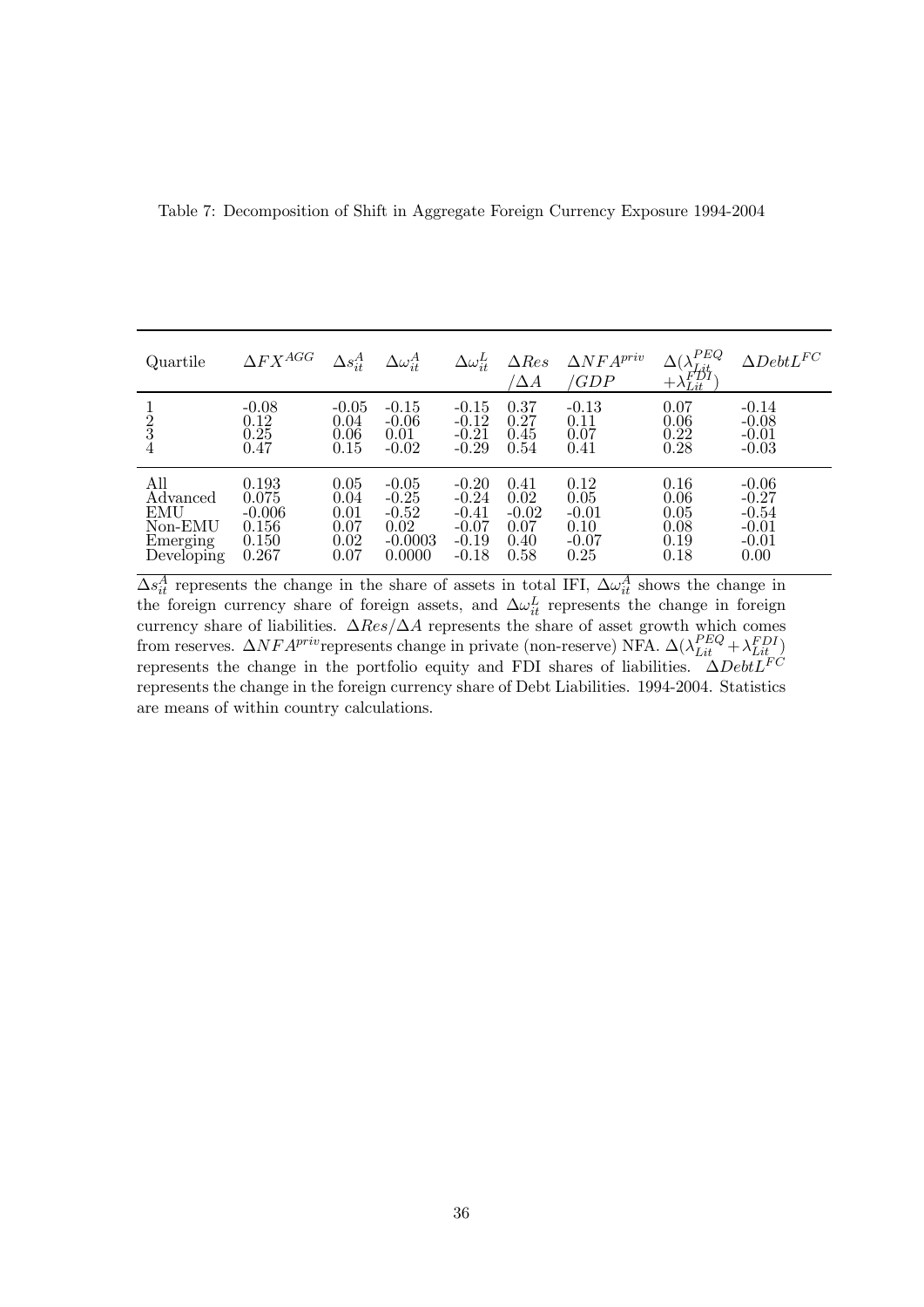| Quartile                                                    | $\Delta FX^{AGG}$                                     | $\Delta s_{it}^A$                            | $\Delta \omega_{it}^{A}$                                     | $\Delta \omega_{it}^L$                                         | $\Delta Res$<br>$\Delta A$                      | $\Delta NFA^{priv}$<br>/GDP                        | PEQ<br>$(\lambda_{Lit}^{F_{Llq}} + \lambda_{Lit}^{FDI})$ | $\Delta DebtL^{FC}$                                         |
|-------------------------------------------------------------|-------------------------------------------------------|----------------------------------------------|--------------------------------------------------------------|----------------------------------------------------------------|-------------------------------------------------|----------------------------------------------------|----------------------------------------------------------|-------------------------------------------------------------|
| $\frac{1}{2}$<br>3<br>4                                     | $-0.08$<br>0.12<br>0.25<br>0.47                       | $-0.05$<br>0.04<br>0.06<br>0.15              | $-0.15$<br>$-0.06$<br>0.01<br>$-0.02$                        | $-0.15$<br>$-0.12$<br>$-0.21$<br>$-0.29$                       | 0.37<br>0.27<br>0.45<br>0.54                    | $-0.13$<br>0.11<br>0.07<br>0.41                    | 0.07<br>0.06<br>0.22<br>0.28                             | $-0.14$<br>$-0.08$<br>$-0.01$<br>$-0.03$                    |
| All<br>Advanced<br>EMU<br>Non-EMU<br>Emerging<br>Developing | 0.193<br>0.075<br>$-0.006$<br>0.156<br>0.150<br>0.267 | 0.05<br>0.04<br>0.01<br>0.07<br>0.02<br>0.07 | $-0.05$<br>$-0.25$<br>$-0.52$<br>0.02<br>$-0.0003$<br>0.0000 | $-0.20$<br>$-0.24$<br>$-0.41$<br>$-0.07$<br>$-0.19$<br>$-0.18$ | 0.41<br>0.02<br>$-0.02$<br>0.07<br>0.40<br>0.58 | 0.12<br>0.05<br>$-0.01$<br>0.10<br>$-0.07$<br>0.25 | 0.16<br>0.06<br>0.05<br>0.08<br>0.19<br>0.18             | $-0.06$<br>$-0.27$<br>$-0.54$<br>$-0.01$<br>$-0.01$<br>0.00 |

Table 7: Decomposition of Shift in Aggregate Foreign Currency Exposure 1994-2004

 $\Delta s_{it}^A$  represents the change in the share of assets in total IFI,  $\Delta \omega_{it}^A$  shows the change in the foreign currency share of foreign assets, and  $\Delta \omega_{it}^L$  represents the change in foreign currency share of liabilities.  $\Delta Res/\Delta A$  represents the share of asset growth which comes from reserves.  $\Delta NFA^{priv}$  represents change in private (non-reserve) NFA.  $\Delta(\lambda_{Lit}^{PEQ} + \lambda_{Lit}^{FDI})$  represents the change in the portfolio equity and FDI shares of liabilities.  $\Delta DebtL^{FC}$ represents the change in the foreign currency share of Debt Liabilities. 1994-2004. Statistics are means of within country calculations.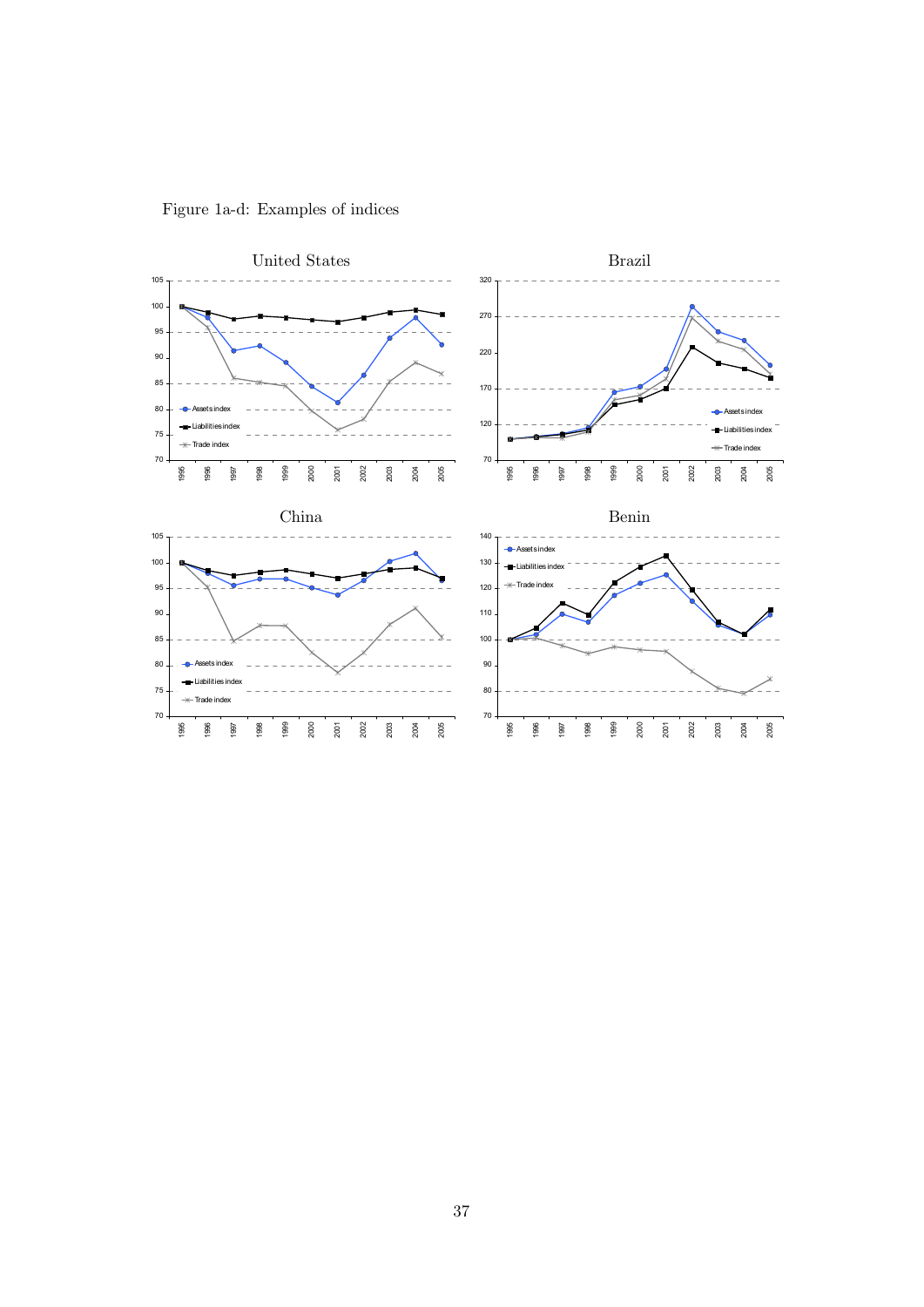

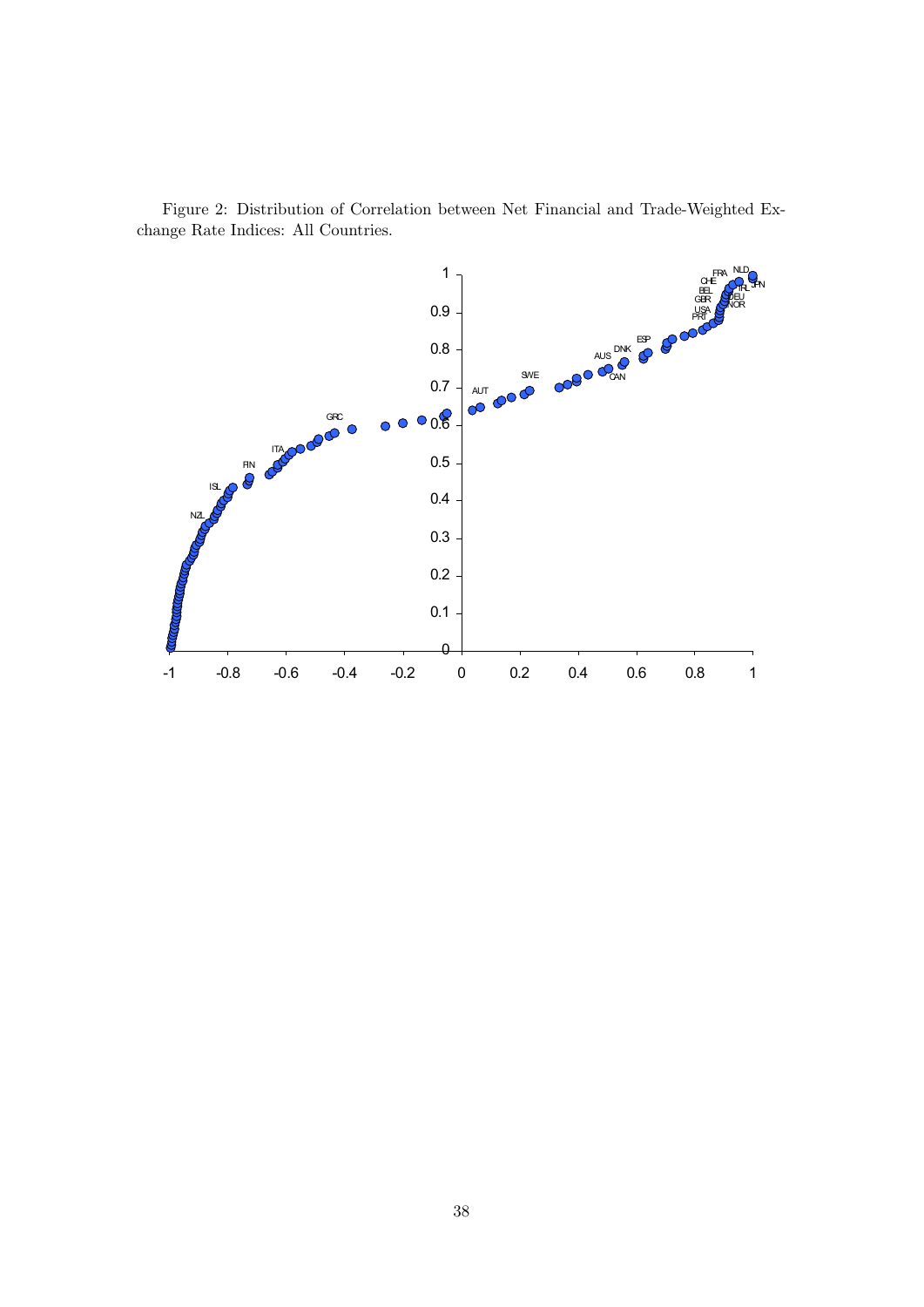

Figure 2: Distribution of Correlation between Net Financial and Trade-Weighted Exchange Rate Indices: All Countries.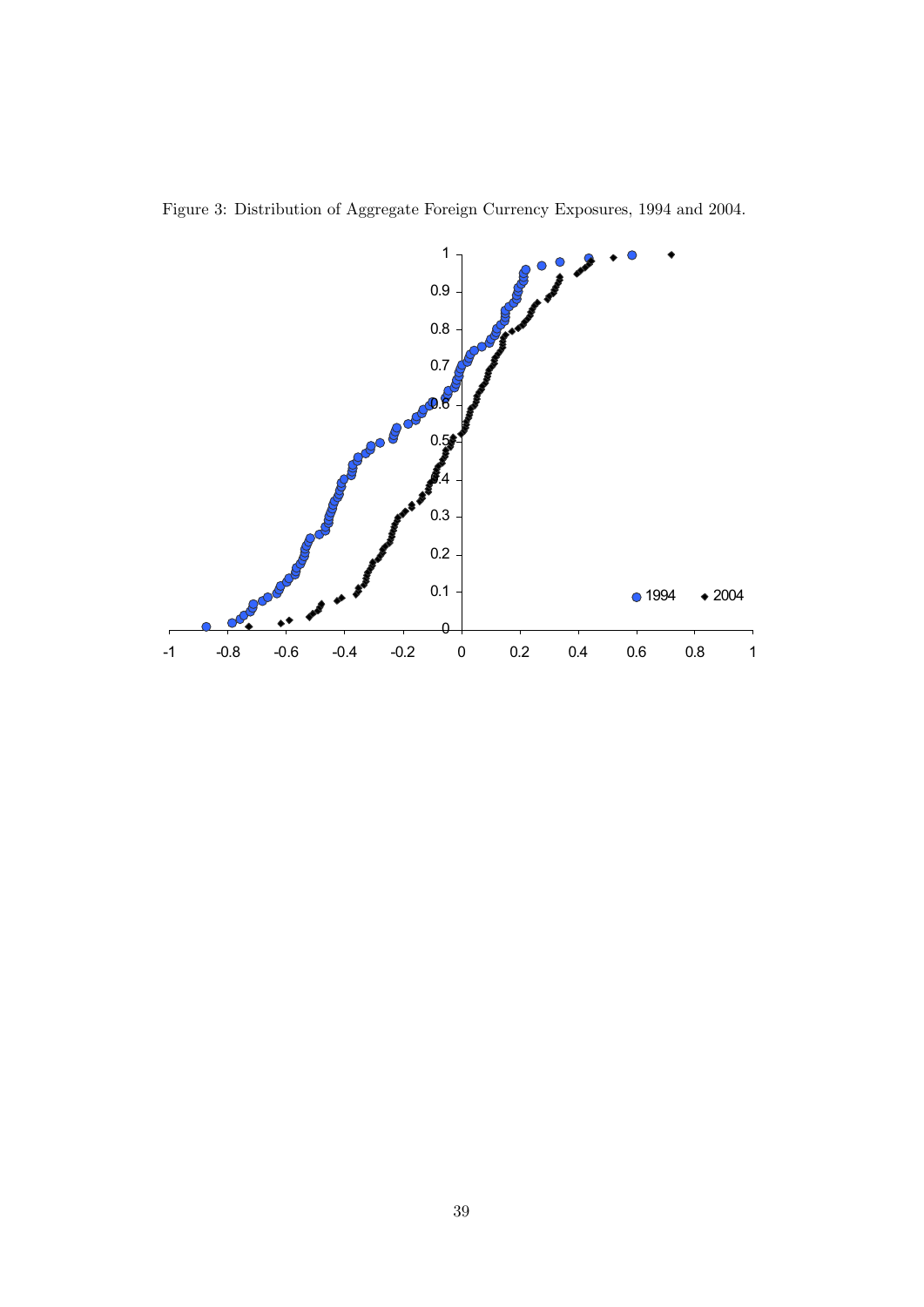

Figure 3: Distribution of Aggregate Foreign Currency Exposures, 1994 and 2004.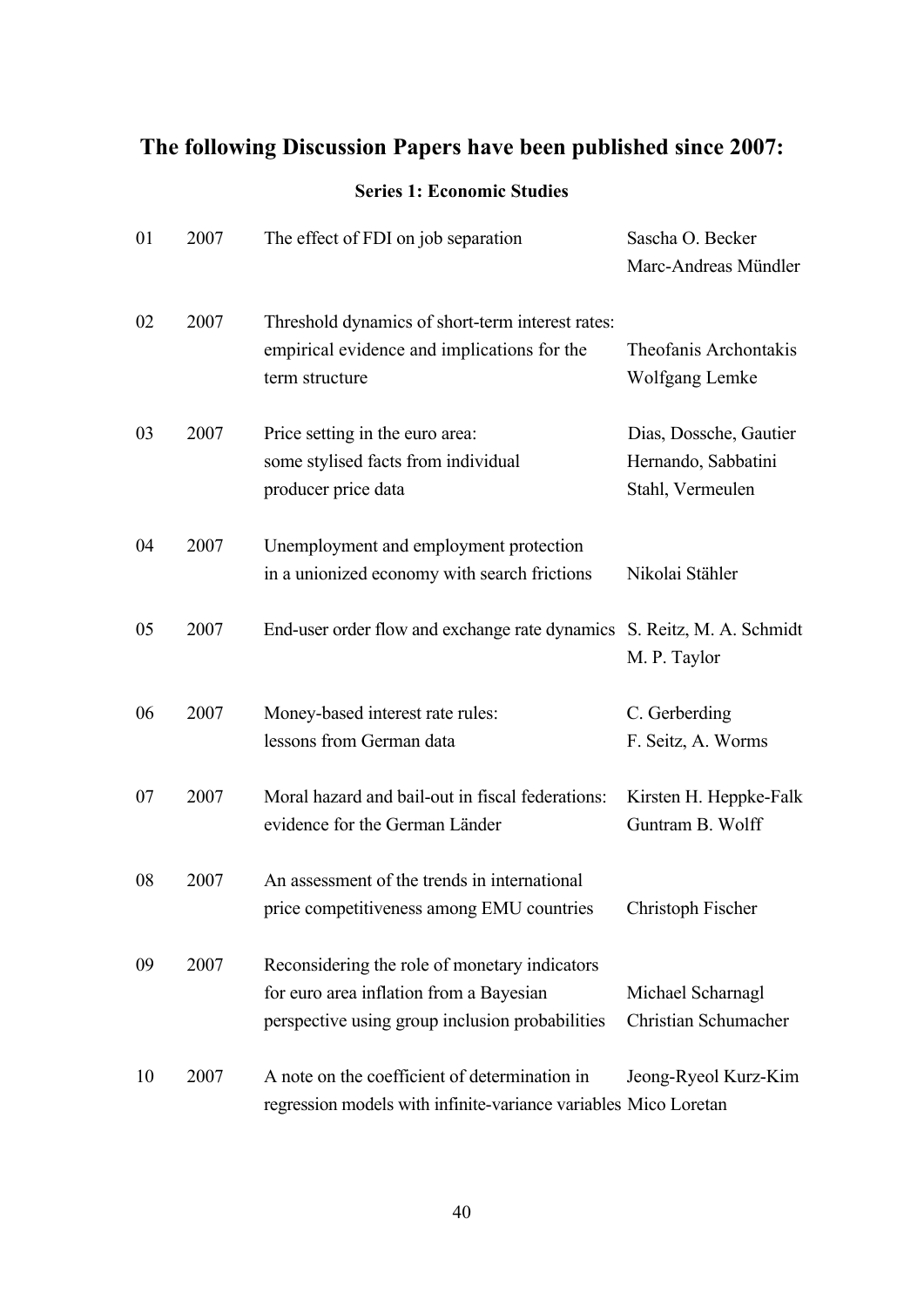# **The following Discussion Papers have been published since 2007:**

## **Series 1: Economic Studies**

| 01 | 2007 | The effect of FDI on job separation                                                                                                         | Sascha O. Becker<br>Marc-Andreas Mündler                          |
|----|------|---------------------------------------------------------------------------------------------------------------------------------------------|-------------------------------------------------------------------|
| 02 | 2007 | Threshold dynamics of short-term interest rates:<br>empirical evidence and implications for the<br>term structure                           | Theofanis Archontakis<br>Wolfgang Lemke                           |
| 03 | 2007 | Price setting in the euro area:<br>some stylised facts from individual<br>producer price data                                               | Dias, Dossche, Gautier<br>Hernando, Sabbatini<br>Stahl, Vermeulen |
| 04 | 2007 | Unemployment and employment protection<br>in a unionized economy with search frictions                                                      | Nikolai Stähler                                                   |
| 05 | 2007 | End-user order flow and exchange rate dynamics S. Reitz, M. A. Schmidt                                                                      | M. P. Taylor                                                      |
| 06 | 2007 | Money-based interest rate rules:<br>lessons from German data                                                                                | C. Gerberding<br>F. Seitz, A. Worms                               |
| 07 | 2007 | Moral hazard and bail-out in fiscal federations:<br>evidence for the German Länder                                                          | Kirsten H. Heppke-Falk<br>Guntram B. Wolff                        |
| 08 | 2007 | An assessment of the trends in international<br>price competitiveness among EMU countries                                                   | Christoph Fischer                                                 |
| 09 | 2007 | Reconsidering the role of monetary indicators<br>for euro area inflation from a Bayesian<br>perspective using group inclusion probabilities | Michael Scharnagl<br>Christian Schumacher                         |
| 10 | 2007 | A note on the coefficient of determination in<br>regression models with infinite-variance variables Mico Loretan                            | Jeong-Ryeol Kurz-Kim                                              |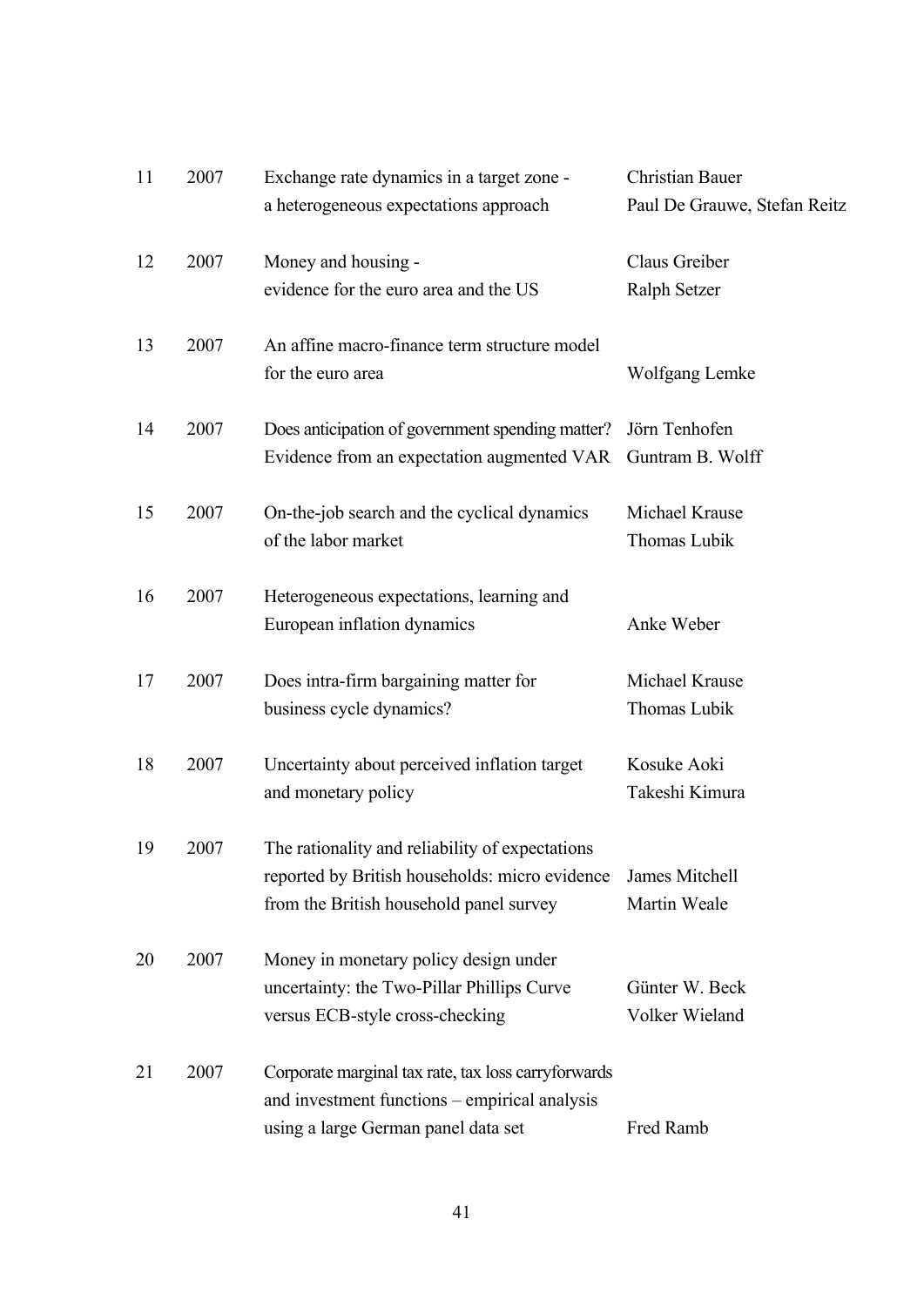| 11 | 2007 | Exchange rate dynamics in a target zone -           | <b>Christian Bauer</b>       |
|----|------|-----------------------------------------------------|------------------------------|
|    |      | a heterogeneous expectations approach               | Paul De Grauwe, Stefan Reitz |
| 12 | 2007 | Money and housing -                                 | Claus Greiber                |
|    |      | evidence for the euro area and the US               | Ralph Setzer                 |
| 13 | 2007 | An affine macro-finance term structure model        |                              |
|    |      | for the euro area                                   | Wolfgang Lemke               |
| 14 | 2007 | Does anticipation of government spending matter?    | Jörn Tenhofen                |
|    |      | Evidence from an expectation augmented VAR          | Guntram B. Wolff             |
| 15 | 2007 | On-the-job search and the cyclical dynamics         | Michael Krause               |
|    |      | of the labor market                                 | Thomas Lubik                 |
| 16 | 2007 | Heterogeneous expectations, learning and            |                              |
|    |      | European inflation dynamics                         | Anke Weber                   |
| 17 | 2007 | Does intra-firm bargaining matter for               | Michael Krause               |
|    |      | business cycle dynamics?                            | Thomas Lubik                 |
| 18 | 2007 | Uncertainty about perceived inflation target        | Kosuke Aoki                  |
|    |      | and monetary policy                                 | Takeshi Kimura               |
| 19 | 2007 | The rationality and reliability of expectations     |                              |
|    |      | reported by British households: micro evidence      | James Mitchell               |
|    |      | from the British household panel survey             | Martin Weale                 |
| 20 | 2007 | Money in monetary policy design under               |                              |
|    |      | uncertainty: the Two-Pillar Phillips Curve          | Günter W. Beck               |
|    |      | versus ECB-style cross-checking                     | Volker Wieland               |
| 21 | 2007 | Corporate marginal tax rate, tax loss carryforwards |                              |
|    |      | and investment functions - empirical analysis       |                              |
|    |      | using a large German panel data set                 | Fred Ramb                    |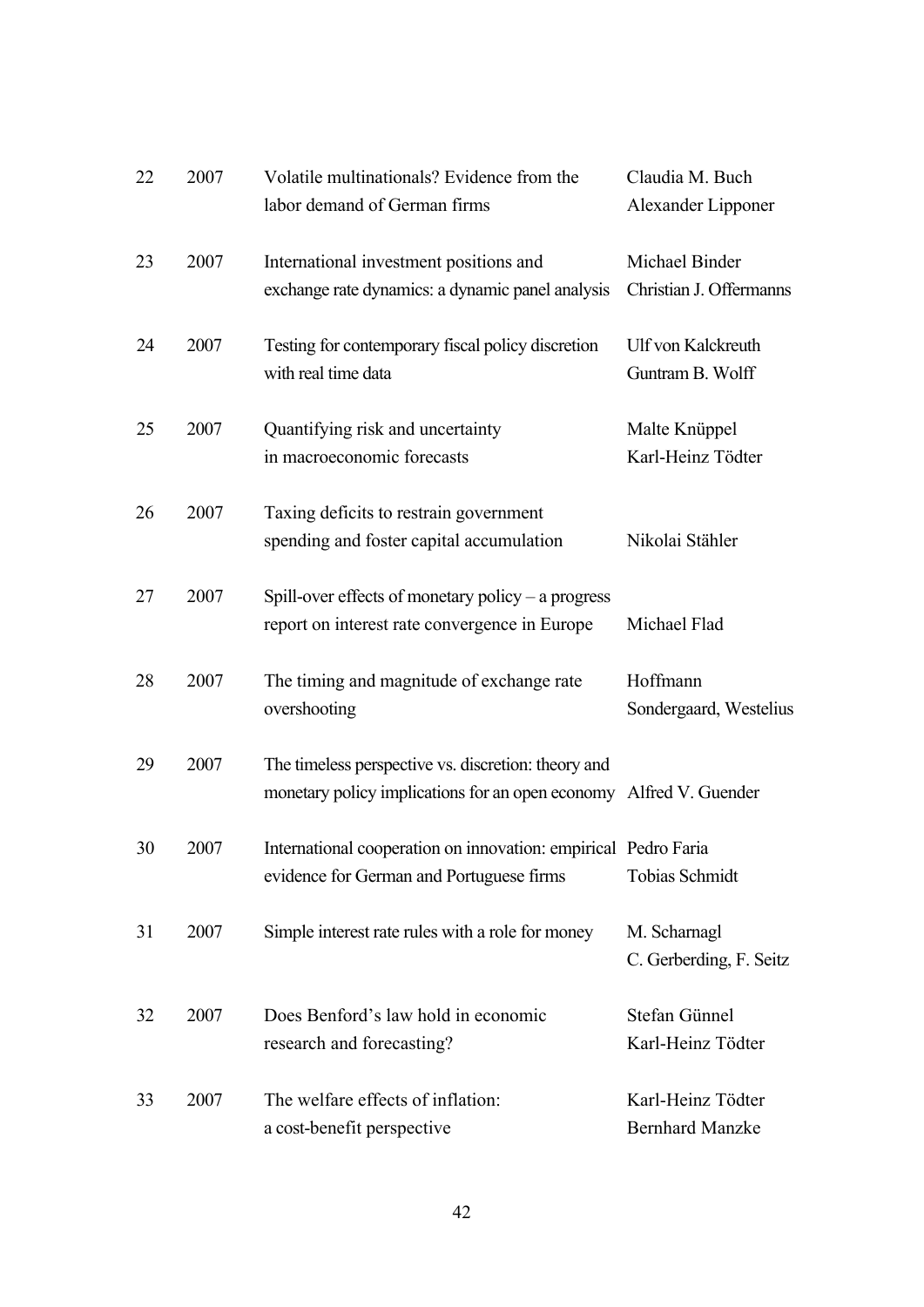| 22 | 2007 | Volatile multinationals? Evidence from the<br>labor demand of German firms                                                | Claudia M. Buch<br>Alexander Lipponer         |
|----|------|---------------------------------------------------------------------------------------------------------------------------|-----------------------------------------------|
| 23 | 2007 | International investment positions and<br>exchange rate dynamics: a dynamic panel analysis                                | Michael Binder<br>Christian J. Offermanns     |
| 24 | 2007 | Testing for contemporary fiscal policy discretion<br>with real time data                                                  | <b>Ulf von Kalckreuth</b><br>Guntram B. Wolff |
| 25 | 2007 | Quantifying risk and uncertainty<br>in macroeconomic forecasts                                                            | Malte Knüppel<br>Karl-Heinz Tödter            |
| 26 | 2007 | Taxing deficits to restrain government<br>spending and foster capital accumulation                                        | Nikolai Stähler                               |
| 27 | 2007 | Spill-over effects of monetary policy $-$ a progress<br>report on interest rate convergence in Europe                     | Michael Flad                                  |
| 28 | 2007 | The timing and magnitude of exchange rate<br>overshooting                                                                 | Hoffmann<br>Sondergaard, Westelius            |
| 29 | 2007 | The timeless perspective vs. discretion: theory and<br>monetary policy implications for an open economy Alfred V. Guender |                                               |
| 30 | 2007 | International cooperation on innovation: empirical Pedro Faria<br>evidence for German and Portuguese firms                | <b>Tobias Schmidt</b>                         |
| 31 | 2007 | Simple interest rate rules with a role for money                                                                          | M. Scharnagl<br>C. Gerberding, F. Seitz       |
| 32 | 2007 | Does Benford's law hold in economic<br>research and forecasting?                                                          | Stefan Günnel<br>Karl-Heinz Tödter            |
| 33 | 2007 | The welfare effects of inflation:<br>a cost-benefit perspective                                                           | Karl-Heinz Tödter<br><b>Bernhard Manzke</b>   |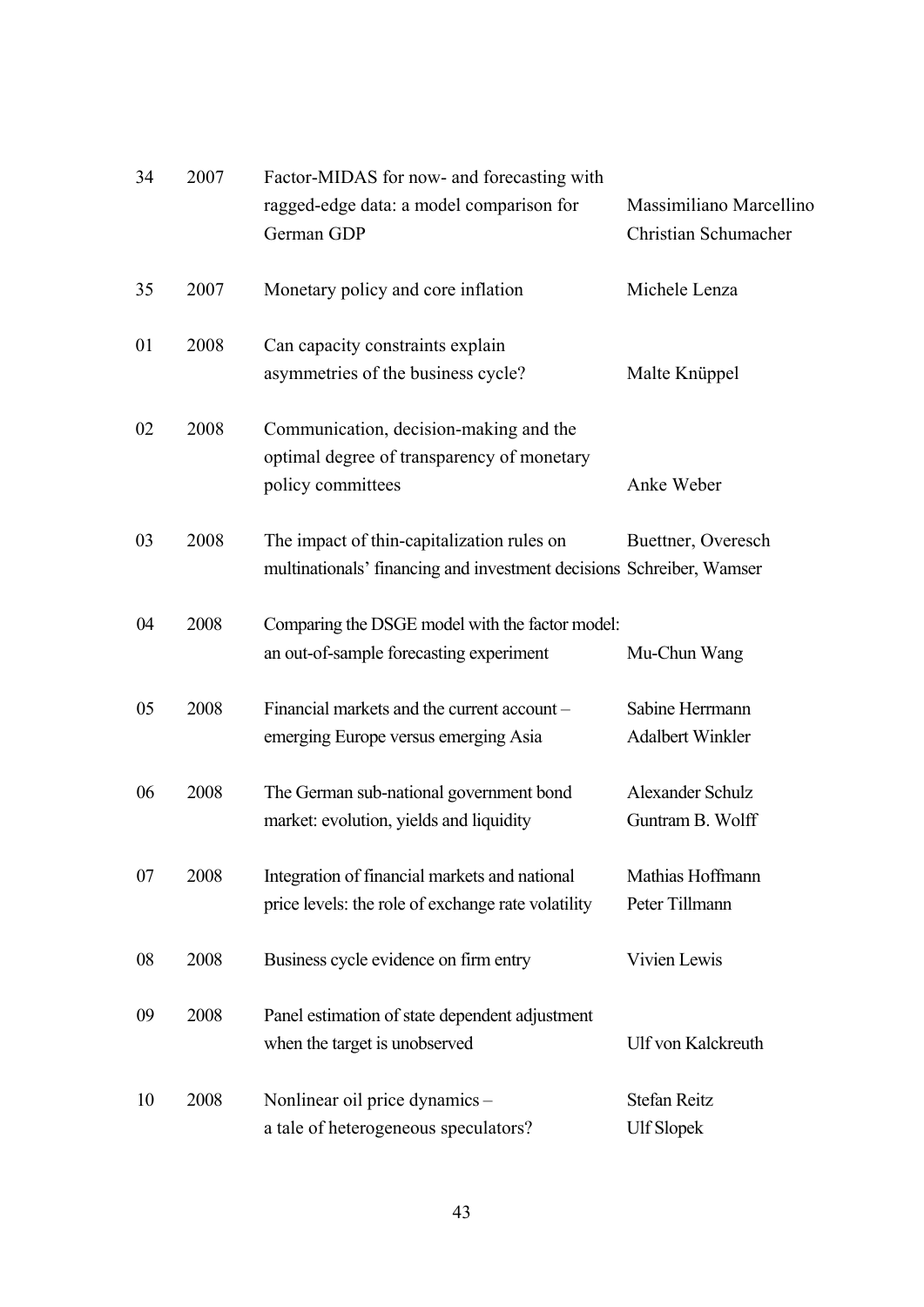| 34 | 2007 | Factor-MIDAS for now- and forecasting with                                                                         |                                                 |
|----|------|--------------------------------------------------------------------------------------------------------------------|-------------------------------------------------|
|    |      | ragged-edge data: a model comparison for<br>German GDP                                                             | Massimiliano Marcellino<br>Christian Schumacher |
| 35 | 2007 | Monetary policy and core inflation                                                                                 | Michele Lenza                                   |
| 01 | 2008 | Can capacity constraints explain<br>asymmetries of the business cycle?                                             | Malte Knüppel                                   |
| 02 | 2008 | Communication, decision-making and the<br>optimal degree of transparency of monetary<br>policy committees          | Anke Weber                                      |
| 03 | 2008 | The impact of thin-capitalization rules on<br>multinationals' financing and investment decisions Schreiber, Wamser | Buettner, Overesch                              |
| 04 | 2008 | Comparing the DSGE model with the factor model:<br>an out-of-sample forecasting experiment                         | Mu-Chun Wang                                    |
| 05 | 2008 | Financial markets and the current account -<br>emerging Europe versus emerging Asia                                | Sabine Herrmann<br><b>Adalbert Winkler</b>      |
| 06 | 2008 | The German sub-national government bond<br>market: evolution, yields and liquidity                                 | Alexander Schulz<br>Guntram B. Wolff            |
| 07 | 2008 | Integration of financial markets and national<br>price levels: the role of exchange rate volatility                | Mathias Hoffmann<br>Peter Tillmann              |
| 08 | 2008 | Business cycle evidence on firm entry                                                                              | Vivien Lewis                                    |
| 09 | 2008 | Panel estimation of state dependent adjustment<br>when the target is unobserved                                    | Ulf von Kalckreuth                              |
| 10 | 2008 | Nonlinear oil price dynamics -<br>a tale of heterogeneous speculators?                                             | <b>Stefan Reitz</b><br><b>Ulf Slopek</b>        |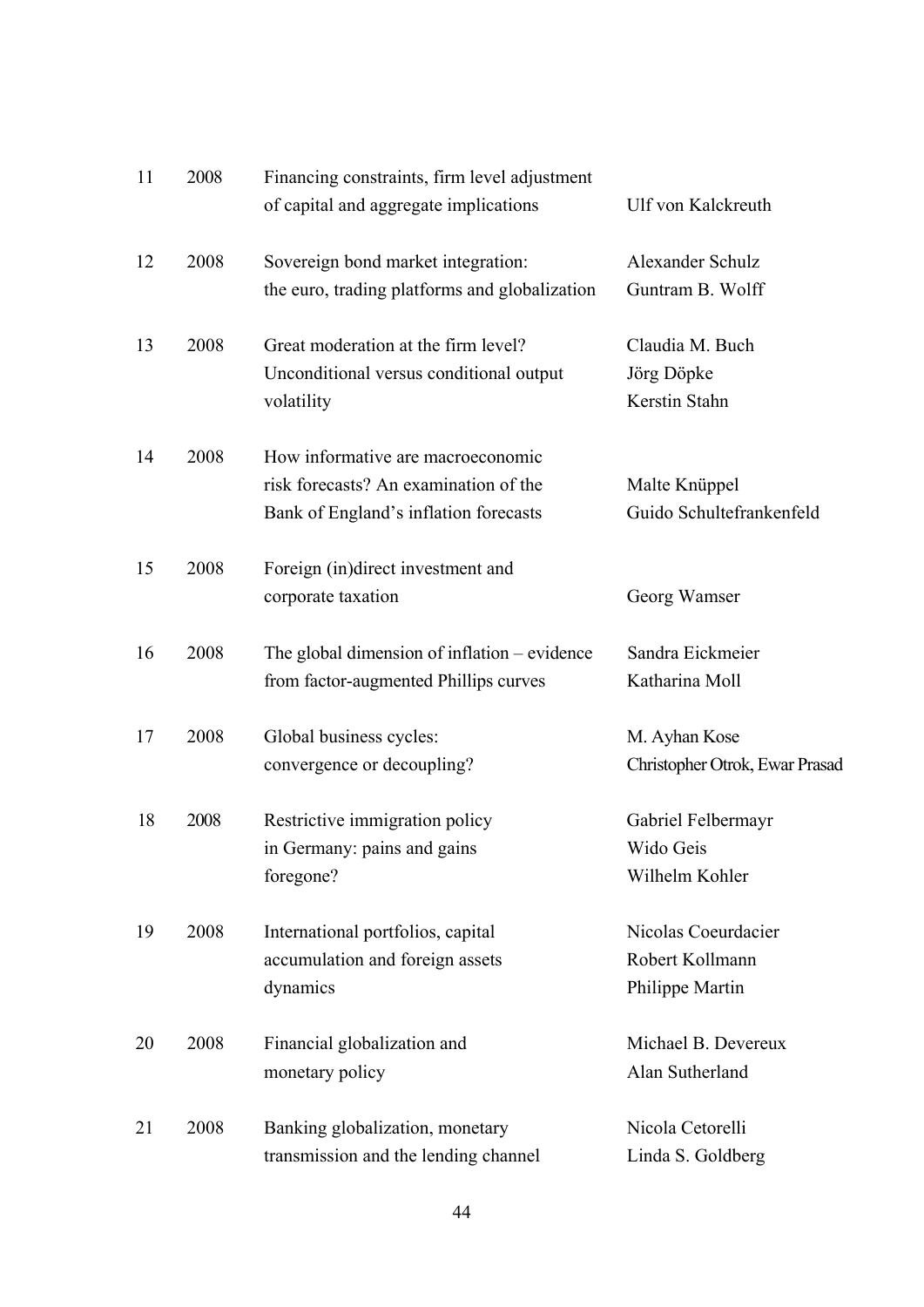| 11 | 2008 | Financing constraints, firm level adjustment<br>of capital and aggregate implications                               | <b>Ulf von Kalckreuth</b>                                 |
|----|------|---------------------------------------------------------------------------------------------------------------------|-----------------------------------------------------------|
| 12 | 2008 | Sovereign bond market integration:<br>the euro, trading platforms and globalization                                 | Alexander Schulz<br>Guntram B. Wolff                      |
| 13 | 2008 | Great moderation at the firm level?<br>Unconditional versus conditional output<br>volatility                        | Claudia M. Buch<br>Jörg Döpke<br>Kerstin Stahn            |
| 14 | 2008 | How informative are macroeconomic<br>risk forecasts? An examination of the<br>Bank of England's inflation forecasts | Malte Knüppel<br>Guido Schultefrankenfeld                 |
| 15 | 2008 | Foreign (in)direct investment and<br>corporate taxation                                                             | Georg Wamser                                              |
| 16 | 2008 | The global dimension of inflation – evidence<br>from factor-augmented Phillips curves                               | Sandra Eickmeier<br>Katharina Moll                        |
| 17 | 2008 | Global business cycles:<br>convergence or decoupling?                                                               | M. Ayhan Kose<br>Christopher Otrok, Ewar Prasad           |
| 18 | 2008 | Restrictive immigration policy<br>in Germany: pains and gains<br>foregone?                                          | Gabriel Felbermayr<br>Wido Geis<br>Wilhelm Kohler         |
| 19 | 2008 | International portfolios, capital<br>accumulation and foreign assets<br>dynamics                                    | Nicolas Coeurdacier<br>Robert Kollmann<br>Philippe Martin |
| 20 | 2008 | Financial globalization and<br>monetary policy                                                                      | Michael B. Devereux<br>Alan Sutherland                    |
| 21 | 2008 | Banking globalization, monetary<br>transmission and the lending channel                                             | Nicola Cetorelli<br>Linda S. Goldberg                     |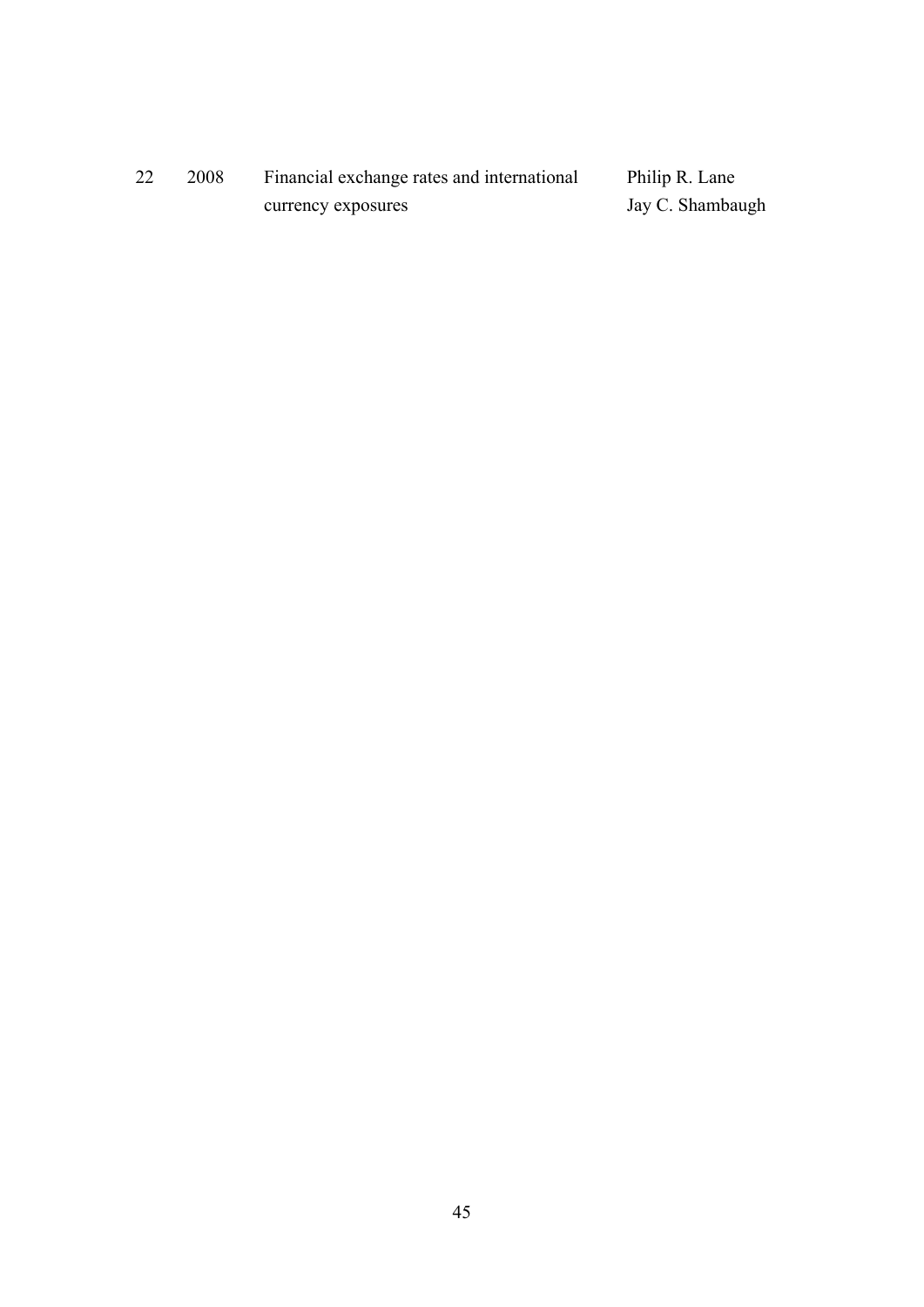| 22 | 2008 | Financial exchange rates and international | Philip R. Lane   |
|----|------|--------------------------------------------|------------------|
|    |      | currency exposures                         | Jay C. Shambaugh |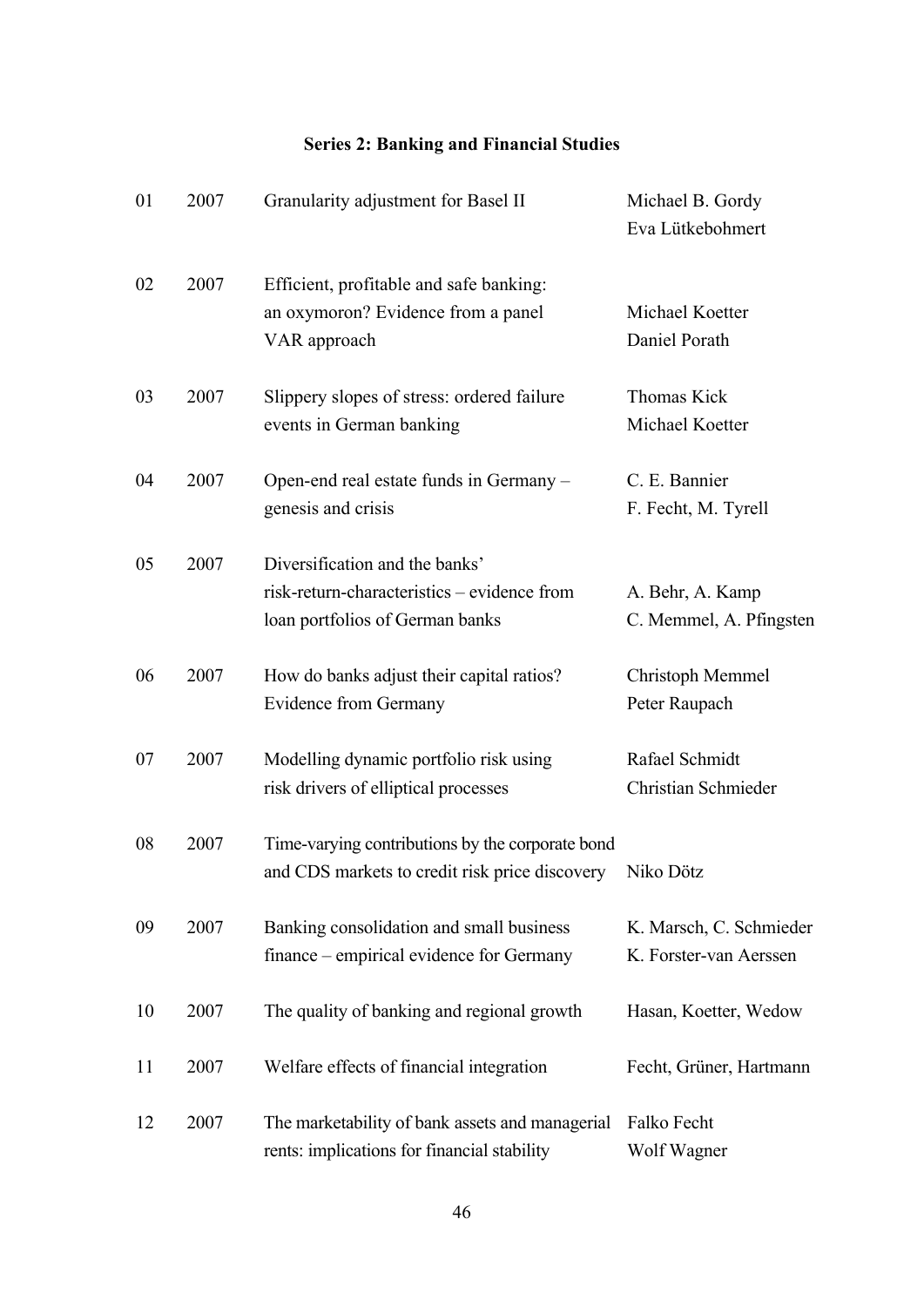## **Series 2: Banking and Financial Studies**

| 01 | 2007 | Granularity adjustment for Basel II                                                                              | Michael B. Gordy<br>Eva Lütkebohmert              |
|----|------|------------------------------------------------------------------------------------------------------------------|---------------------------------------------------|
| 02 | 2007 | Efficient, profitable and safe banking:<br>an oxymoron? Evidence from a panel<br>VAR approach                    | Michael Koetter<br>Daniel Porath                  |
| 03 | 2007 | Slippery slopes of stress: ordered failure<br>events in German banking                                           | Thomas Kick<br>Michael Koetter                    |
| 04 | 2007 | Open-end real estate funds in Germany –<br>genesis and crisis                                                    | C. E. Bannier<br>F. Fecht, M. Tyrell              |
| 05 | 2007 | Diversification and the banks'<br>risk-return-characteristics – evidence from<br>loan portfolios of German banks | A. Behr, A. Kamp<br>C. Memmel, A. Pfingsten       |
| 06 | 2007 | How do banks adjust their capital ratios?<br><b>Evidence from Germany</b>                                        | Christoph Memmel<br>Peter Raupach                 |
| 07 | 2007 | Modelling dynamic portfolio risk using<br>risk drivers of elliptical processes                                   | Rafael Schmidt<br>Christian Schmieder             |
| 08 | 2007 | Time-varying contributions by the corporate bond<br>and CDS markets to credit risk price discovery               | Niko Dötz                                         |
| 09 | 2007 | Banking consolidation and small business<br>finance – empirical evidence for Germany                             | K. Marsch, C. Schmieder<br>K. Forster-van Aerssen |
| 10 | 2007 | The quality of banking and regional growth                                                                       | Hasan, Koetter, Wedow                             |
| 11 | 2007 | Welfare effects of financial integration                                                                         | Fecht, Grüner, Hartmann                           |
| 12 | 2007 | The marketability of bank assets and managerial<br>rents: implications for financial stability                   | Falko Fecht<br>Wolf Wagner                        |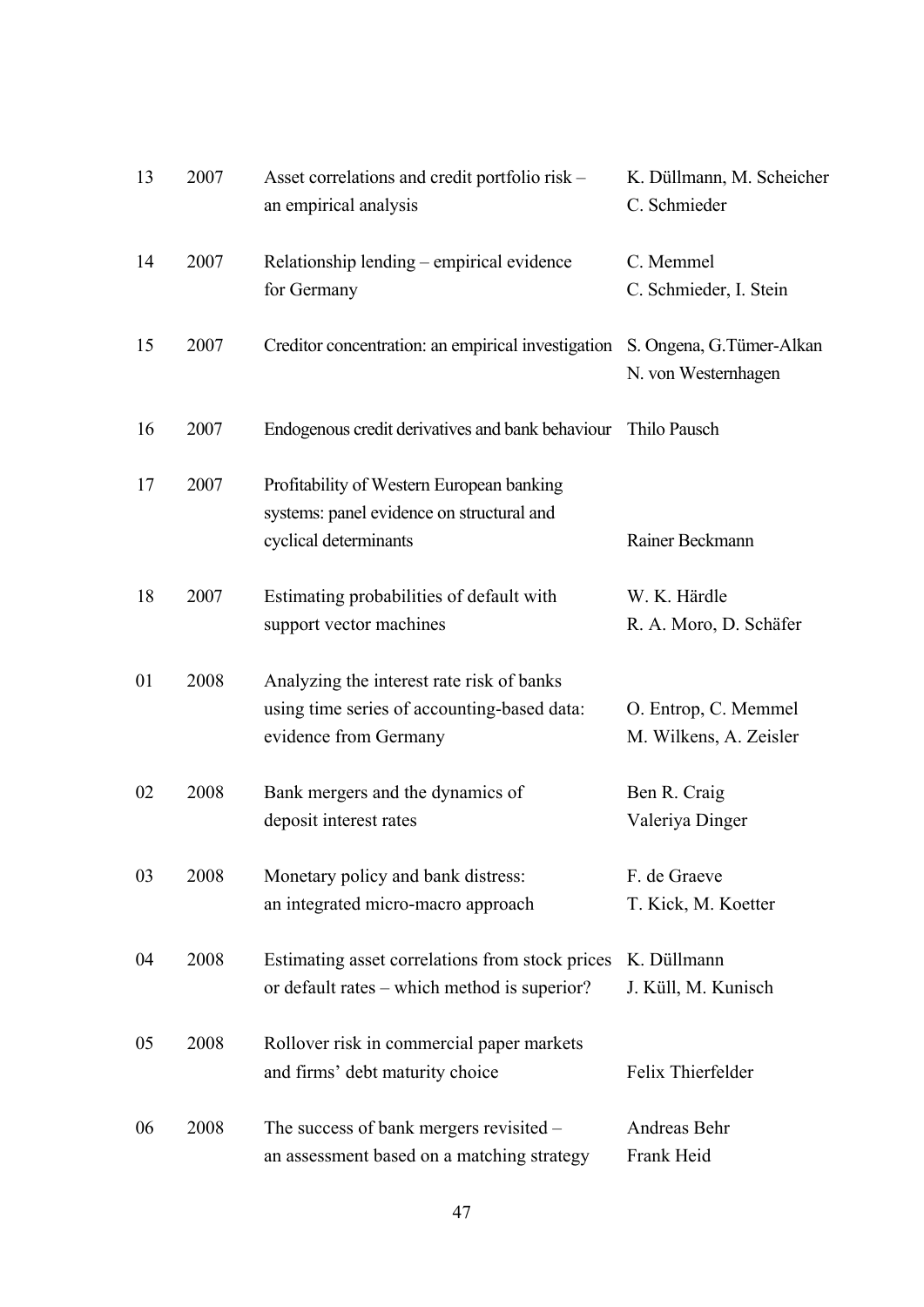| 13 | 2007 | Asset correlations and credit portfolio risk –<br>an empirical analysis                                           | K. Düllmann, M. Scheicher<br>C. Schmieder        |
|----|------|-------------------------------------------------------------------------------------------------------------------|--------------------------------------------------|
| 14 | 2007 | Relationship lending – empirical evidence<br>for Germany                                                          | C. Memmel<br>C. Schmieder, I. Stein              |
| 15 | 2007 | Creditor concentration: an empirical investigation                                                                | S. Ongena, G. Tümer-Alkan<br>N. von Westernhagen |
| 16 | 2007 | Endogenous credit derivatives and bank behaviour                                                                  | Thilo Pausch                                     |
| 17 | 2007 | Profitability of Western European banking<br>systems: panel evidence on structural and<br>cyclical determinants   | Rainer Beckmann                                  |
| 18 | 2007 | Estimating probabilities of default with<br>support vector machines                                               | W. K. Härdle<br>R. A. Moro, D. Schäfer           |
| 01 | 2008 | Analyzing the interest rate risk of banks<br>using time series of accounting-based data:<br>evidence from Germany | O. Entrop, C. Memmel<br>M. Wilkens, A. Zeisler   |
| 02 | 2008 | Bank mergers and the dynamics of<br>deposit interest rates                                                        | Ben R. Craig<br>Valeriya Dinger                  |
| 03 | 2008 | Monetary policy and bank distress:<br>an integrated micro-macro approach                                          | F. de Graeve<br>T. Kick, M. Koetter              |
| 04 | 2008 | Estimating asset correlations from stock prices<br>or default rates – which method is superior?                   | K. Düllmann<br>J. Küll, M. Kunisch               |
| 05 | 2008 | Rollover risk in commercial paper markets<br>and firms' debt maturity choice                                      | Felix Thierfelder                                |
| 06 | 2008 | The success of bank mergers revisited –<br>an assessment based on a matching strategy                             | Andreas Behr<br>Frank Heid                       |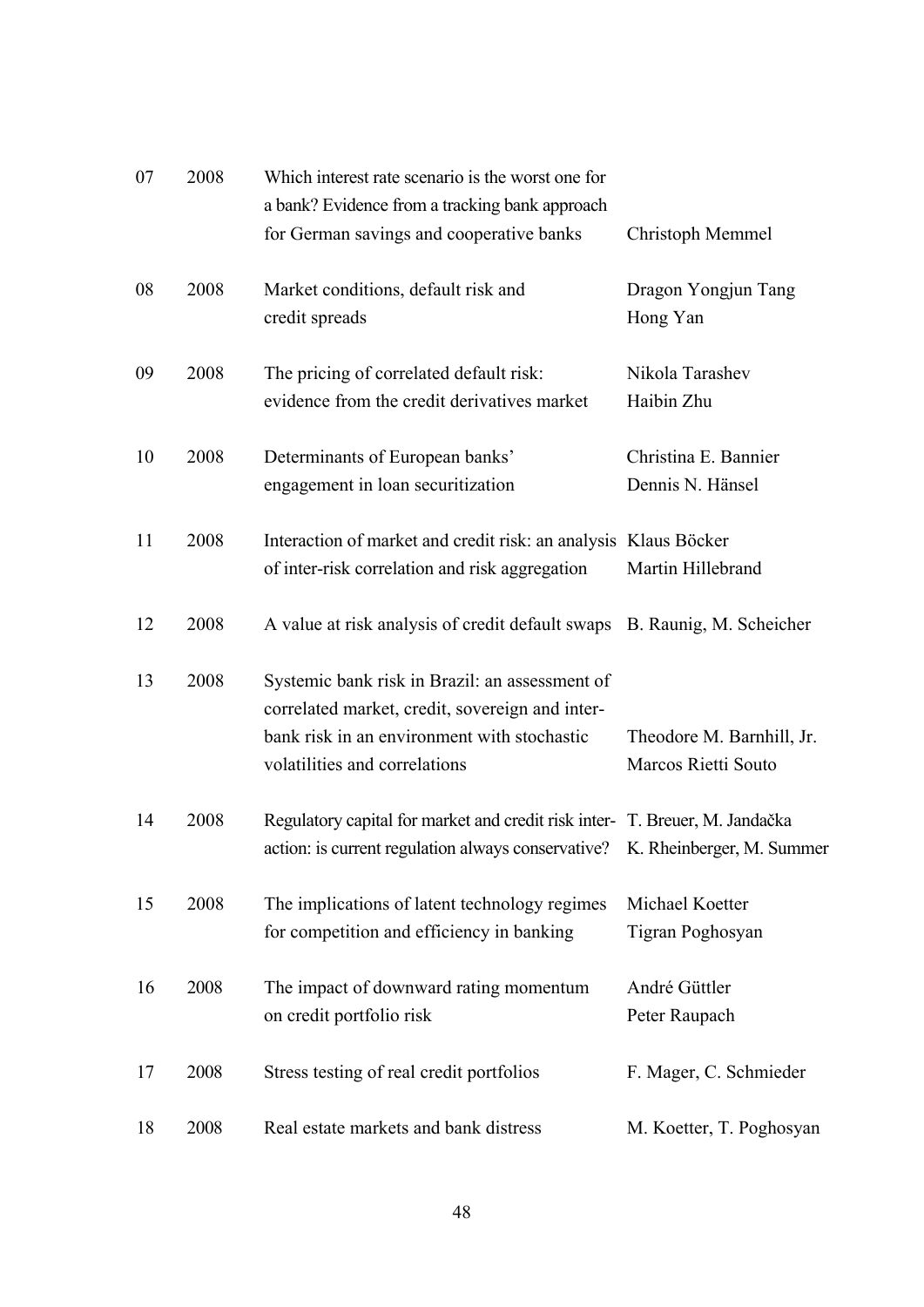| 07 | 2008 | Which interest rate scenario is the worst one for<br>a bank? Evidence from a tracking bank approach                                                                               |                                                  |
|----|------|-----------------------------------------------------------------------------------------------------------------------------------------------------------------------------------|--------------------------------------------------|
|    |      | for German savings and cooperative banks                                                                                                                                          | Christoph Memmel                                 |
| 08 | 2008 | Market conditions, default risk and<br>credit spreads                                                                                                                             | Dragon Yongjun Tang<br>Hong Yan                  |
| 09 | 2008 | The pricing of correlated default risk:<br>evidence from the credit derivatives market                                                                                            | Nikola Tarashev<br>Haibin Zhu                    |
| 10 | 2008 | Determinants of European banks'<br>engagement in loan securitization                                                                                                              | Christina E. Bannier<br>Dennis N. Hänsel         |
| 11 | 2008 | Interaction of market and credit risk: an analysis Klaus Böcker<br>of inter-risk correlation and risk aggregation                                                                 | Martin Hillebrand                                |
| 12 | 2008 | A value at risk analysis of credit default swaps B. Raunig, M. Scheicher                                                                                                          |                                                  |
| 13 | 2008 | Systemic bank risk in Brazil: an assessment of<br>correlated market, credit, sovereign and inter-<br>bank risk in an environment with stochastic<br>volatilities and correlations | Theodore M. Barnhill, Jr.<br>Marcos Rietti Souto |
| 14 | 2008 | Regulatory capital for market and credit risk inter- T. Breuer, M. Jandačka<br>action: is current regulation always conservative? K. Rheinberger, M. Summer                       |                                                  |
| 15 | 2008 | The implications of latent technology regimes<br>for competition and efficiency in banking                                                                                        | Michael Koetter<br>Tigran Poghosyan              |
| 16 | 2008 | The impact of downward rating momentum<br>on credit portfolio risk                                                                                                                | André Güttler<br>Peter Raupach                   |
| 17 | 2008 | Stress testing of real credit portfolios                                                                                                                                          | F. Mager, C. Schmieder                           |
| 18 | 2008 | Real estate markets and bank distress                                                                                                                                             | M. Koetter, T. Poghosyan                         |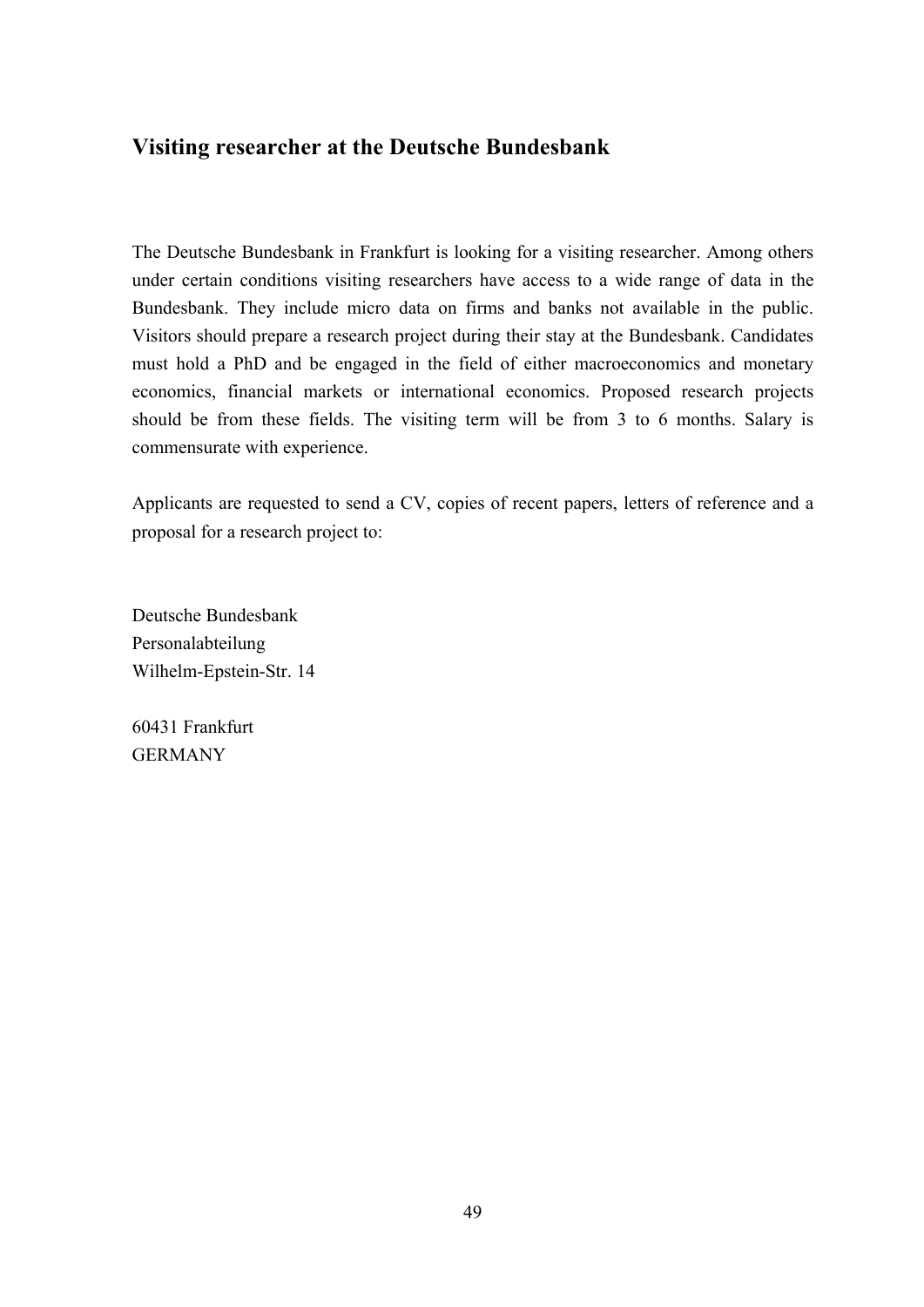## **Visiting researcher at the Deutsche Bundesbank**

The Deutsche Bundesbank in Frankfurt is looking for a visiting researcher. Among others under certain conditions visiting researchers have access to a wide range of data in the Bundesbank. They include micro data on firms and banks not available in the public. Visitors should prepare a research project during their stay at the Bundesbank. Candidates must hold a PhD and be engaged in the field of either macroeconomics and monetary economics, financial markets or international economics. Proposed research projects should be from these fields. The visiting term will be from 3 to 6 months. Salary is commensurate with experience.

Applicants are requested to send a CV, copies of recent papers, letters of reference and a proposal for a research project to:

Deutsche Bundesbank Personalabteilung Wilhelm-Epstein-Str. 14

60431 Frankfurt GERMANY